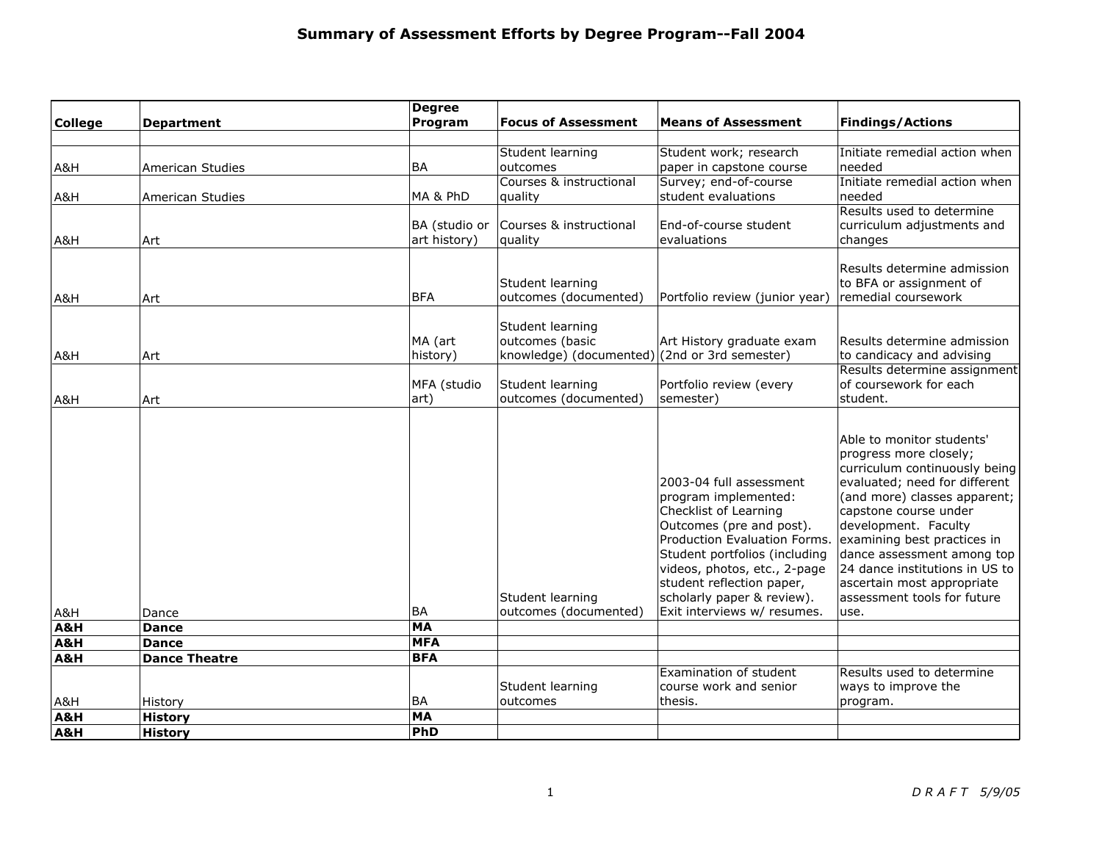|                   |                                       | <b>Degree</b>                        |                                                                                      |                                                                                                                                                                                                                                                                                                 |                                                                                                                                                                                                                                                                                                                                                                            |
|-------------------|---------------------------------------|--------------------------------------|--------------------------------------------------------------------------------------|-------------------------------------------------------------------------------------------------------------------------------------------------------------------------------------------------------------------------------------------------------------------------------------------------|----------------------------------------------------------------------------------------------------------------------------------------------------------------------------------------------------------------------------------------------------------------------------------------------------------------------------------------------------------------------------|
| <b>College</b>    | <b>Department</b>                     | Program                              | <b>Focus of Assessment</b>                                                           | <b>Means of Assessment</b>                                                                                                                                                                                                                                                                      | <b>Findings/Actions</b>                                                                                                                                                                                                                                                                                                                                                    |
| A&H               | American Studies                      | <b>BA</b>                            | Student learning<br>outcomes                                                         | Student work; research<br>paper in capstone course                                                                                                                                                                                                                                              | Initiate remedial action when<br>needed                                                                                                                                                                                                                                                                                                                                    |
| A&H               | American Studies                      | MA & PhD                             | Courses & instructional<br>quality                                                   | Survey; end-of-course<br>student evaluations                                                                                                                                                                                                                                                    | Initiate remedial action when<br>needed                                                                                                                                                                                                                                                                                                                                    |
| A&H               | Art                                   | BA (studio or<br>art history)        | Courses & instructional<br>quality                                                   | End-of-course student<br>evaluations                                                                                                                                                                                                                                                            | Results used to determine<br>curriculum adjustments and<br>changes                                                                                                                                                                                                                                                                                                         |
| A&H               | Art                                   | <b>BFA</b>                           | Student learning<br>outcomes (documented)                                            | Portfolio review (junior year)                                                                                                                                                                                                                                                                  | Results determine admission<br>to BFA or assignment of<br>remedial coursework                                                                                                                                                                                                                                                                                              |
| A&H               | Art                                   | MA (art<br>history)                  | Student learning<br>outcomes (basic<br>knowledge) (documented) (2nd or 3rd semester) | Art History graduate exam                                                                                                                                                                                                                                                                       | Results determine admission<br>to candicacy and advising                                                                                                                                                                                                                                                                                                                   |
| A&H               | Art                                   | MFA (studio<br>art)                  | Student learning<br>outcomes (documented)                                            | Portfolio review (every<br>semester)                                                                                                                                                                                                                                                            | Results determine assignment<br>of coursework for each<br>student.                                                                                                                                                                                                                                                                                                         |
| A&H<br>A&H<br>A&H | Dance<br><b>Dance</b><br><b>Dance</b> | <b>BA</b><br><b>MA</b><br><b>MFA</b> | Student learning<br>outcomes (documented)                                            | 2003-04 full assessment<br>program implemented:<br>Checklist of Learning<br>Outcomes (pre and post).<br>Production Evaluation Forms.<br>Student portfolios (including<br>videos, photos, etc., 2-page<br>student reflection paper,<br>scholarly paper & review).<br>Exit interviews w/ resumes. | Able to monitor students'<br>progress more closely;<br>curriculum continuously being<br>evaluated; need for different<br>(and more) classes apparent;<br>capstone course under<br>development. Faculty<br>examining best practices in<br>dance assessment among top<br>24 dance institutions in US to<br>ascertain most appropriate<br>assessment tools for future<br>use. |
| A&H               | <b>Dance Theatre</b>                  | <b>BFA</b>                           |                                                                                      |                                                                                                                                                                                                                                                                                                 |                                                                                                                                                                                                                                                                                                                                                                            |
|                   |                                       |                                      |                                                                                      | Examination of student                                                                                                                                                                                                                                                                          | Results used to determine                                                                                                                                                                                                                                                                                                                                                  |
| A&H               | History                               | <b>BA</b>                            | Student learning<br>outcomes                                                         | course work and senior<br>thesis.                                                                                                                                                                                                                                                               | ways to improve the<br>program.                                                                                                                                                                                                                                                                                                                                            |
| A&H               | <b>History</b>                        | <b>MA</b>                            |                                                                                      |                                                                                                                                                                                                                                                                                                 |                                                                                                                                                                                                                                                                                                                                                                            |
| A&H               | <b>History</b>                        | PhD                                  |                                                                                      |                                                                                                                                                                                                                                                                                                 |                                                                                                                                                                                                                                                                                                                                                                            |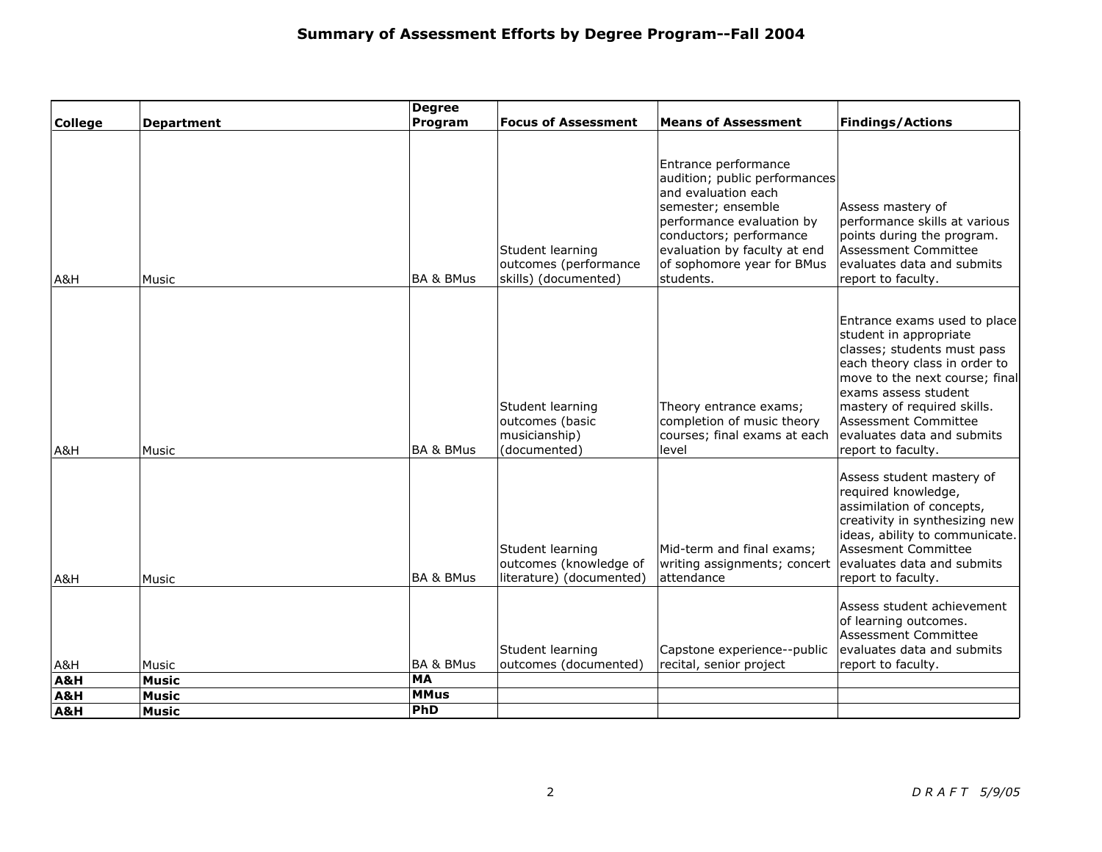| <b>College</b> | <b>Department</b> | <b>Degree</b><br>Program | <b>Focus of Assessment</b>                                             | <b>Means of Assessment</b>                                                                                                                                                                                                            | <b>Findings/Actions</b>                                                                                                                                                                                                                                                                     |
|----------------|-------------------|--------------------------|------------------------------------------------------------------------|---------------------------------------------------------------------------------------------------------------------------------------------------------------------------------------------------------------------------------------|---------------------------------------------------------------------------------------------------------------------------------------------------------------------------------------------------------------------------------------------------------------------------------------------|
|                |                   |                          |                                                                        |                                                                                                                                                                                                                                       |                                                                                                                                                                                                                                                                                             |
| A&H            | Music             | <b>BA &amp; BMus</b>     | Student learning<br>outcomes (performance<br>skills) (documented)      | Entrance performance<br>audition; public performances<br>and evaluation each<br>semester; ensemble<br>performance evaluation by<br>conductors; performance<br>evaluation by faculty at end<br>of sophomore year for BMus<br>students. | Assess mastery of<br>performance skills at various<br>points during the program.<br>Assessment Committee<br>evaluates data and submits<br>report to faculty.                                                                                                                                |
| A&H            | Music             | <b>BA &amp; BMus</b>     | Student learning<br>outcomes (basic<br>musicianship)<br>(documented)   | Theory entrance exams;<br>completion of music theory<br>courses; final exams at each<br>level                                                                                                                                         | Entrance exams used to place<br>student in appropriate<br>classes; students must pass<br>each theory class in order to<br>move to the next course; final<br>exams assess student<br>mastery of required skills.<br>Assessment Committee<br>evaluates data and submits<br>report to faculty. |
| A&H            | Music             | <b>BA &amp; BMus</b>     | Student learning<br>outcomes (knowledge of<br>literature) (documented) | Mid-term and final exams;<br>writing assignments; concert<br>attendance                                                                                                                                                               | Assess student mastery of<br>required knowledge,<br>assimilation of concepts,<br>creativity in synthesizing new<br>ideas, ability to communicate.<br><b>Assesment Committee</b><br>evaluates data and submits<br>report to faculty.                                                         |
| A&H            | Music             | <b>BA &amp; BMus</b>     | Student learning<br>outcomes (documented)                              | Capstone experience--public<br>recital, senior project                                                                                                                                                                                | Assess student achievement<br>of learning outcomes.<br>Assessment Committee<br>evaluates data and submits<br>report to faculty.                                                                                                                                                             |
| A&H            | <b>Music</b>      | <b>MA</b><br><b>MMus</b> |                                                                        |                                                                                                                                                                                                                                       |                                                                                                                                                                                                                                                                                             |
| A&H            | <b>Music</b>      | PhD                      |                                                                        |                                                                                                                                                                                                                                       |                                                                                                                                                                                                                                                                                             |
| A&H            | <b>Music</b>      |                          |                                                                        |                                                                                                                                                                                                                                       |                                                                                                                                                                                                                                                                                             |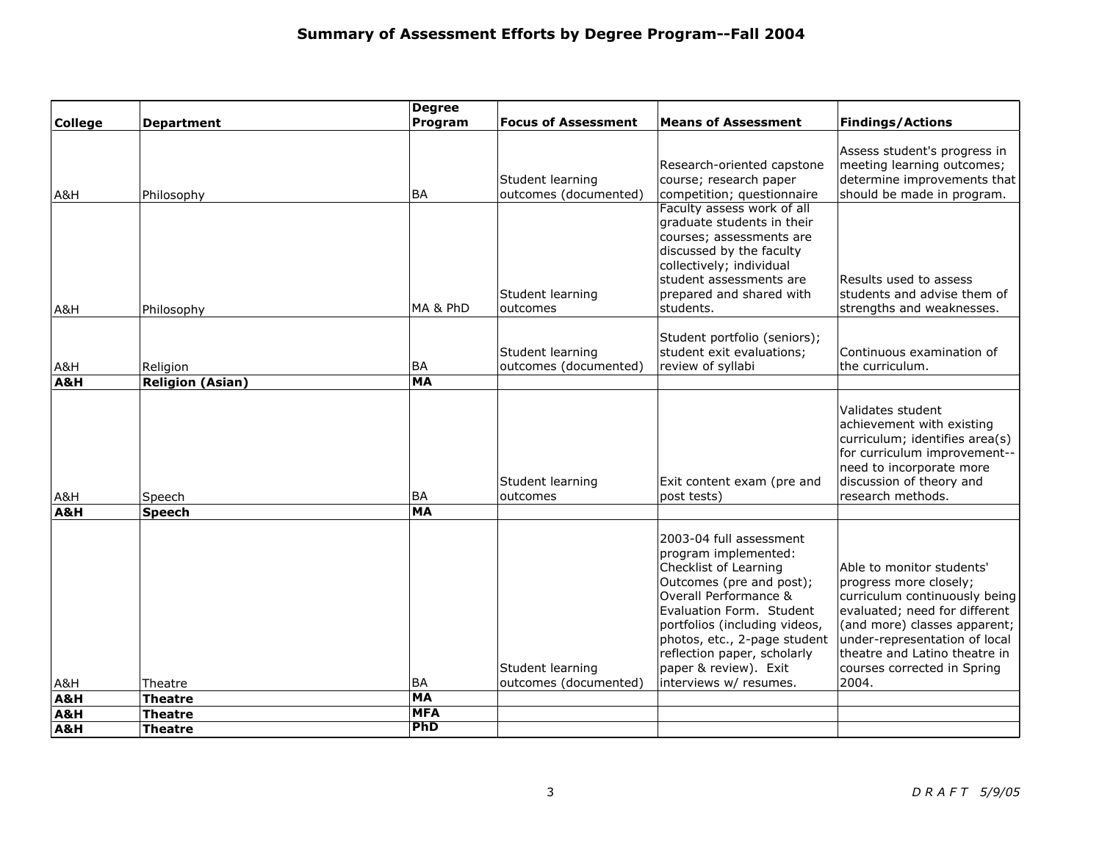|                |                           | <b>Degree</b>          |                                           |                                                                                                                                                                                                                                                                                                              |                                                                                                                                                                                                                                                                 |
|----------------|---------------------------|------------------------|-------------------------------------------|--------------------------------------------------------------------------------------------------------------------------------------------------------------------------------------------------------------------------------------------------------------------------------------------------------------|-----------------------------------------------------------------------------------------------------------------------------------------------------------------------------------------------------------------------------------------------------------------|
| <b>College</b> | <b>Department</b>         | Program                | <b>Focus of Assessment</b>                | <b>Means of Assessment</b>                                                                                                                                                                                                                                                                                   | <b>Findings/Actions</b>                                                                                                                                                                                                                                         |
| A&H            | Philosophy                | <b>BA</b>              | Student learning<br>outcomes (documented) | Research-oriented capstone<br>course; research paper<br>competition; questionnaire                                                                                                                                                                                                                           | Assess student's progress in<br>meeting learning outcomes;<br>determine improvements that<br>should be made in program.                                                                                                                                         |
| A&H            | Philosophy                | MA & PhD               | Student learning<br>outcomes              | Faculty assess work of all<br>graduate students in their<br>courses; assessments are<br>discussed by the faculty<br>collectively; individual<br>student assessments are<br>prepared and shared with<br>students.                                                                                             | Results used to assess<br>students and advise them of<br>strengths and weaknesses.                                                                                                                                                                              |
| A&H            | Religion                  | <b>BA</b>              | Student learning<br>outcomes (documented) | Student portfolio (seniors);<br>student exit evaluations;<br>review of syllabi                                                                                                                                                                                                                               | Continuous examination of<br>the curriculum.                                                                                                                                                                                                                    |
| A&H            | <b>Religion (Asian)</b>   | <b>MA</b>              |                                           |                                                                                                                                                                                                                                                                                                              |                                                                                                                                                                                                                                                                 |
| A&H            | Speech                    | <b>BA</b>              | Student learning<br>outcomes              | Exit content exam (pre and<br>post tests)                                                                                                                                                                                                                                                                    | Validates student<br>achievement with existing<br>curriculum; identifies area(s)<br>for curriculum improvement--<br>need to incorporate more<br>discussion of theory and<br>research methods.                                                                   |
| A&H            | <b>Speech</b>             | <b>MA</b>              |                                           |                                                                                                                                                                                                                                                                                                              |                                                                                                                                                                                                                                                                 |
| A&H<br>A&H     | Theatre<br><b>Theatre</b> | <b>BA</b><br><b>MA</b> | Student learning<br>outcomes (documented) | 2003-04 full assessment<br>program implemented:<br>Checklist of Learning<br>Outcomes (pre and post);<br>Overall Performance &<br>Evaluation Form. Student<br>portfolios (including videos,<br>photos, etc., 2-page student<br>reflection paper, scholarly<br>paper & review). Exit<br>interviews w/ resumes. | Able to monitor students'<br>progress more closely;<br>curriculum continuously being<br>evaluated; need for different<br>(and more) classes apparent;<br>under-representation of local<br>theatre and Latino theatre in<br>courses corrected in Spring<br>2004. |
| A&H            | Theatre                   | <b>MFA</b>             |                                           |                                                                                                                                                                                                                                                                                                              |                                                                                                                                                                                                                                                                 |
| A&H            | Theatre                   | PhD                    |                                           |                                                                                                                                                                                                                                                                                                              |                                                                                                                                                                                                                                                                 |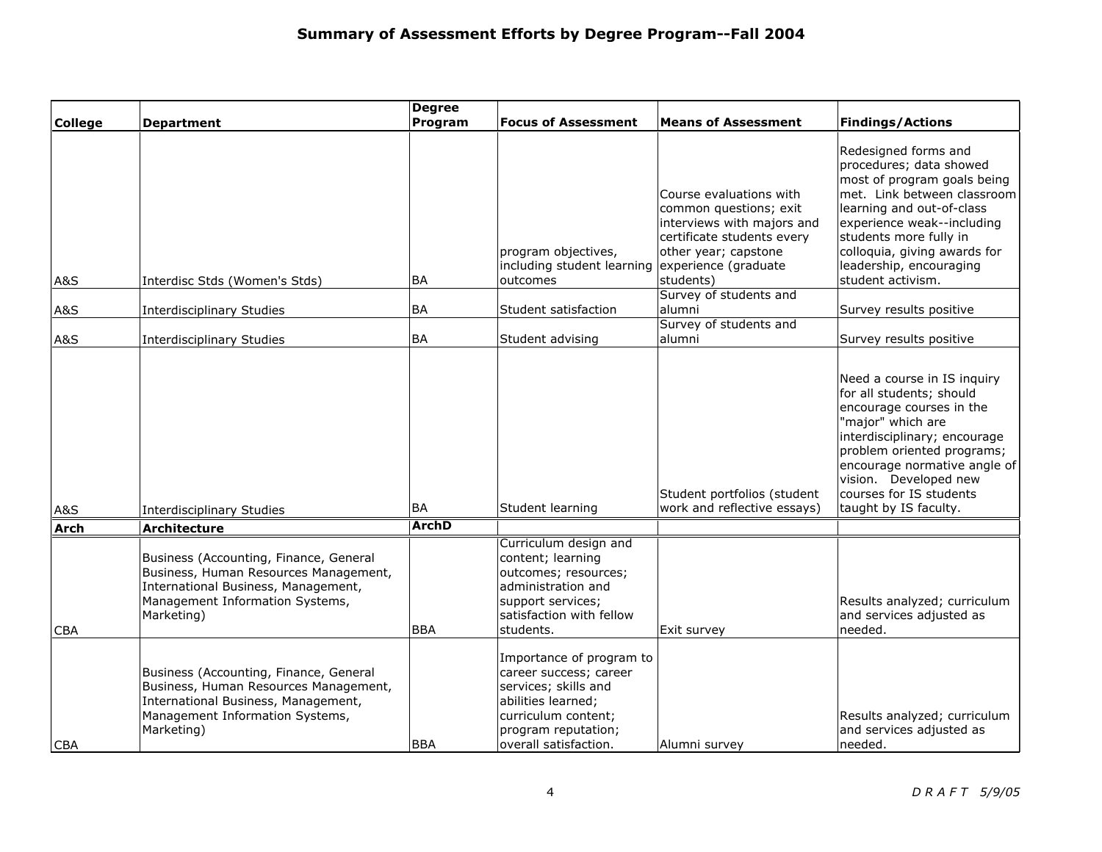| <b>College</b> | <b>Department</b>                                                                                                                                                       | <b>Degree</b><br>Program | <b>Focus of Assessment</b>                                                                                                                                              | <b>Means of Assessment</b>                                                                                                                                                 | <b>Findings/Actions</b>                                                                                                                                                                                                                                                             |
|----------------|-------------------------------------------------------------------------------------------------------------------------------------------------------------------------|--------------------------|-------------------------------------------------------------------------------------------------------------------------------------------------------------------------|----------------------------------------------------------------------------------------------------------------------------------------------------------------------------|-------------------------------------------------------------------------------------------------------------------------------------------------------------------------------------------------------------------------------------------------------------------------------------|
| A&S            | Interdisc Stds (Women's Stds)                                                                                                                                           | <b>BA</b>                | program objectives,<br>including student learning<br>outcomes                                                                                                           | Course evaluations with<br>common questions; exit<br>interviews with majors and<br>certificate students every<br>other year; capstone<br>experience (graduate<br>students) | Redesigned forms and<br>procedures; data showed<br>most of program goals being<br>met. Link between classroom<br>learning and out-of-class<br>experience weak--including<br>students more fully in<br>colloquia, giving awards for<br>leadership, encouraging<br>student activism.  |
|                |                                                                                                                                                                         |                          |                                                                                                                                                                         | Survey of students and                                                                                                                                                     |                                                                                                                                                                                                                                                                                     |
| A&S<br>A&S     | <b>Interdisciplinary Studies</b><br><b>Interdisciplinary Studies</b>                                                                                                    | <b>BA</b><br><b>BA</b>   | Student satisfaction<br>Student advising                                                                                                                                | alumni<br>Survey of students and<br>alumni                                                                                                                                 | Survey results positive<br>Survey results positive                                                                                                                                                                                                                                  |
| A&S            | <b>Interdisciplinary Studies</b>                                                                                                                                        | <b>BA</b>                | Student learning                                                                                                                                                        | Student portfolios (student<br>work and reflective essays)                                                                                                                 | Need a course in IS inquiry<br>for all students; should<br>encourage courses in the<br>"major" which are<br>interdisciplinary; encourage<br>problem oriented programs;<br>encourage normative angle of<br>vision. Developed new<br>courses for IS students<br>taught by IS faculty. |
| <b>Arch</b>    | <b>Architecture</b>                                                                                                                                                     | <b>ArchD</b>             |                                                                                                                                                                         |                                                                                                                                                                            |                                                                                                                                                                                                                                                                                     |
| <b>CBA</b>     | Business (Accounting, Finance, General<br>Business, Human Resources Management,<br>International Business, Management,<br>Management Information Systems,<br>Marketing) | <b>BBA</b>               | Curriculum design and<br>content; learning<br>outcomes; resources;<br>administration and<br>support services;<br>satisfaction with fellow<br>students.                  | Exit survey                                                                                                                                                                | Results analyzed; curriculum<br>and services adjusted as<br>needed.                                                                                                                                                                                                                 |
| <b>CBA</b>     | Business (Accounting, Finance, General<br>Business, Human Resources Management,<br>International Business, Management,<br>Management Information Systems,<br>Marketing) | <b>BBA</b>               | Importance of program to<br>career success; career<br>services; skills and<br>abilities learned;<br>curriculum content;<br>program reputation;<br>overall satisfaction. | Alumni survey                                                                                                                                                              | Results analyzed; curriculum<br>and services adjusted as<br>needed.                                                                                                                                                                                                                 |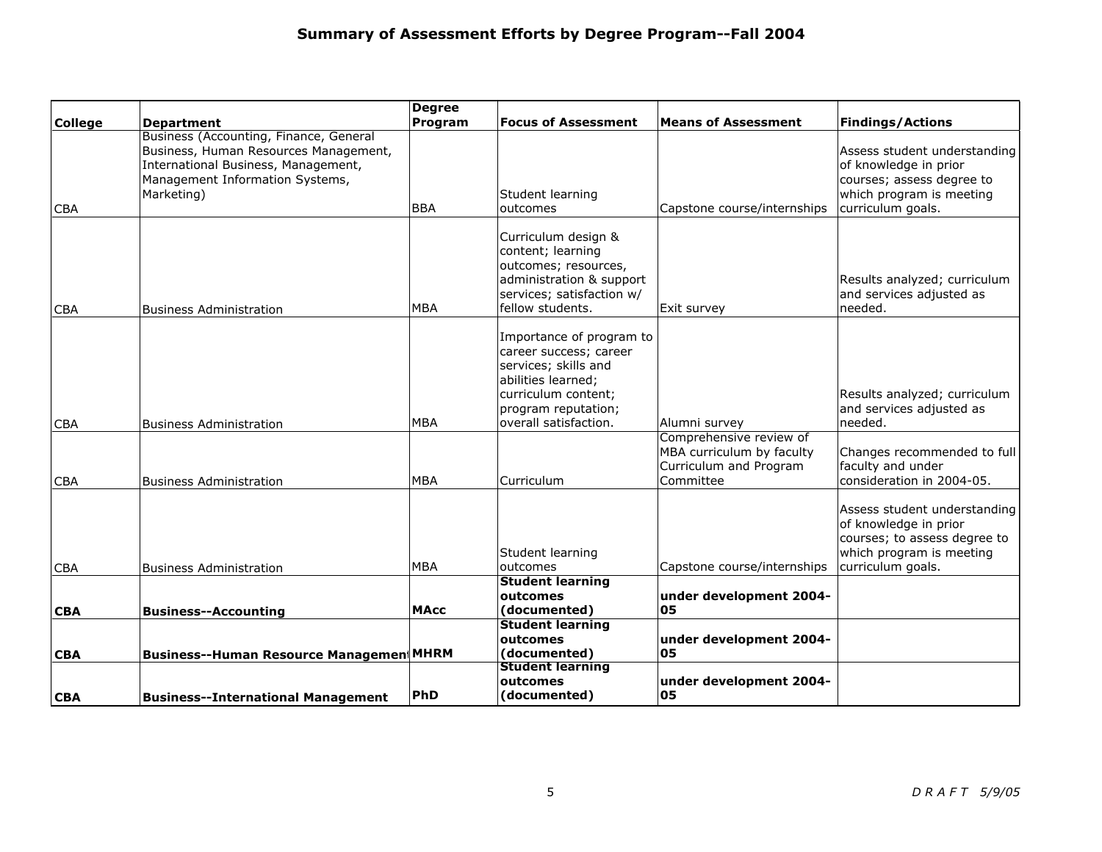| <b>College</b> | <b>Department</b>                                                                                                                                                       | <b>Degree</b><br>Program | <b>Focus of Assessment</b>                                                                                                                                              | <b>Means of Assessment</b>                                                                  | <b>Findings/Actions</b>                                                                                                                |
|----------------|-------------------------------------------------------------------------------------------------------------------------------------------------------------------------|--------------------------|-------------------------------------------------------------------------------------------------------------------------------------------------------------------------|---------------------------------------------------------------------------------------------|----------------------------------------------------------------------------------------------------------------------------------------|
| CBA            | Business (Accounting, Finance, General<br>Business, Human Resources Management,<br>International Business, Management,<br>Management Information Systems,<br>Marketing) | <b>BBA</b>               | Student learning<br>outcomes                                                                                                                                            | Capstone course/internships                                                                 | Assess student understanding<br>of knowledge in prior<br>courses; assess degree to<br>which program is meeting<br>curriculum goals.    |
| <b>CBA</b>     | <b>Business Administration</b>                                                                                                                                          | <b>MBA</b>               | Curriculum design &<br>content; learning<br>outcomes; resources,<br>administration & support<br>services; satisfaction w/<br>fellow students.                           | Exit survey                                                                                 | Results analyzed; curriculum<br>and services adjusted as<br>needed.                                                                    |
| <b>CBA</b>     | <b>Business Administration</b>                                                                                                                                          | <b>MBA</b>               | Importance of program to<br>career success; career<br>services; skills and<br>abilities learned;<br>curriculum content;<br>program reputation;<br>overall satisfaction. | Alumni survey                                                                               | Results analyzed; curriculum<br>and services adjusted as<br>needed.                                                                    |
| <b>CBA</b>     | <b>Business Administration</b>                                                                                                                                          | <b>MBA</b>               | Curriculum                                                                                                                                                              | Comprehensive review of<br>MBA curriculum by faculty<br>Curriculum and Program<br>Committee | Changes recommended to full<br>faculty and under<br>consideration in 2004-05.                                                          |
| <b>CBA</b>     | <b>Business Administration</b>                                                                                                                                          | <b>MBA</b>               | Student learning<br>outcomes                                                                                                                                            | Capstone course/internships                                                                 | Assess student understanding<br>of knowledge in prior<br>courses; to assess degree to<br>which program is meeting<br>curriculum goals. |
| <b>CBA</b>     | <b>Business--Accounting</b>                                                                                                                                             | <b>MAcc</b>              | <b>Student learning</b><br>outcomes<br>(documented)                                                                                                                     | under development 2004-<br>05                                                               |                                                                                                                                        |
| <b>CBA</b>     | <b>Business--Human Resource Managemen MHRM</b>                                                                                                                          |                          | <b>Student learning</b><br>outcomes<br>(documented)                                                                                                                     | under development 2004-<br>05                                                               |                                                                                                                                        |
| <b>CBA</b>     | <b>Business--International Management</b>                                                                                                                               | PhD                      | <b>Student learning</b><br>outcomes<br>(documented)                                                                                                                     | under development 2004-<br>05                                                               |                                                                                                                                        |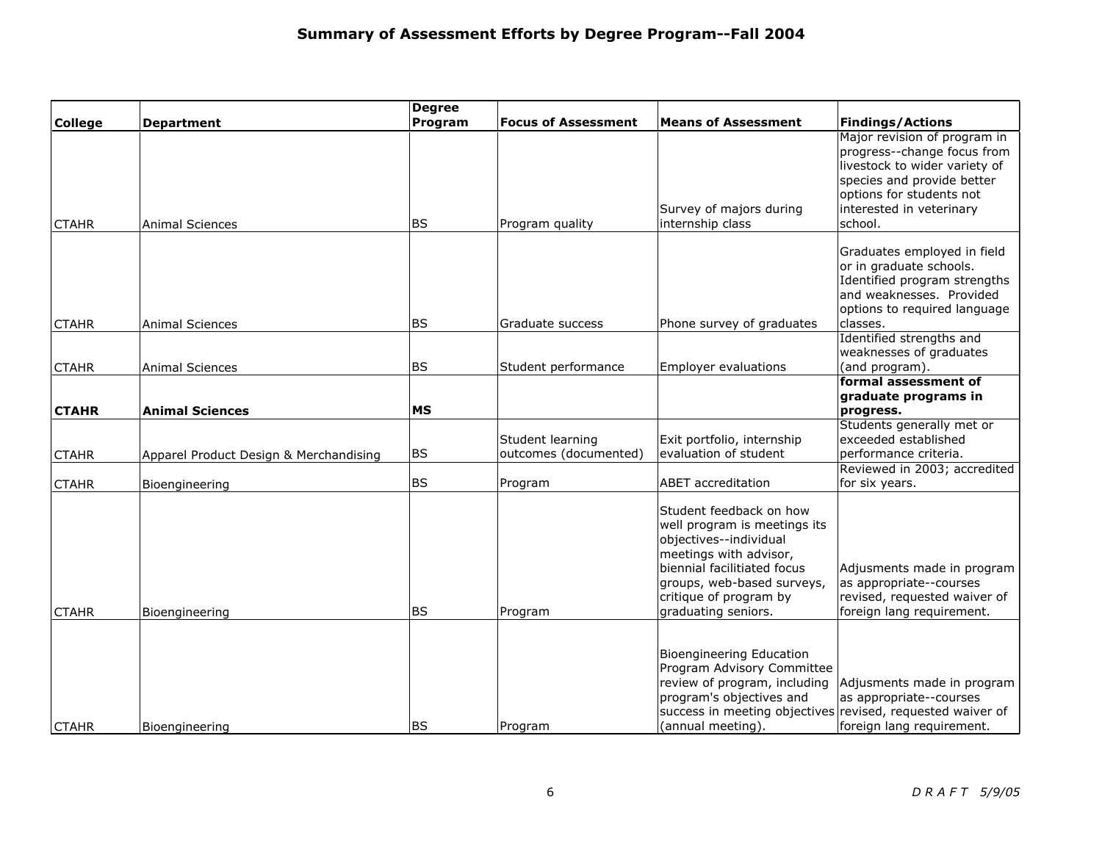|                |                                        | <b>Degree</b> |                                           |                                                                                                                                                                                                                           |                                                                                                                                                                                               |
|----------------|----------------------------------------|---------------|-------------------------------------------|---------------------------------------------------------------------------------------------------------------------------------------------------------------------------------------------------------------------------|-----------------------------------------------------------------------------------------------------------------------------------------------------------------------------------------------|
| <b>College</b> | <b>Department</b>                      | Program       | <b>Focus of Assessment</b>                | <b>Means of Assessment</b>                                                                                                                                                                                                | <b>Findings/Actions</b>                                                                                                                                                                       |
| <b>CTAHR</b>   | <b>Animal Sciences</b>                 | <b>BS</b>     | Program quality                           | Survey of majors during<br>internship class                                                                                                                                                                               | Major revision of program in<br>progress--change focus from<br>livestock to wider variety of<br>species and provide better<br>options for students not<br>interested in veterinary<br>school. |
| <b>CTAHR</b>   | <b>Animal Sciences</b>                 | <b>BS</b>     | Graduate success                          | Phone survey of graduates                                                                                                                                                                                                 | Graduates employed in field<br>or in graduate schools.<br>Identified program strengths<br>and weaknesses. Provided<br>options to required language<br>classes.                                |
|                |                                        |               |                                           |                                                                                                                                                                                                                           | Identified strengths and                                                                                                                                                                      |
|                |                                        | <b>BS</b>     | Student performance                       | <b>Employer evaluations</b>                                                                                                                                                                                               | weaknesses of graduates<br>(and program).                                                                                                                                                     |
| <b>CTAHR</b>   | <b>Animal Sciences</b>                 |               |                                           |                                                                                                                                                                                                                           | formal assessment of                                                                                                                                                                          |
|                |                                        |               |                                           |                                                                                                                                                                                                                           | graduate programs in                                                                                                                                                                          |
| <b>CTAHR</b>   | <b>Animal Sciences</b>                 | <b>MS</b>     |                                           |                                                                                                                                                                                                                           | progress.                                                                                                                                                                                     |
| <b>CTAHR</b>   | Apparel Product Design & Merchandising | <b>BS</b>     | Student learning<br>outcomes (documented) | Exit portfolio, internship<br>evaluation of student                                                                                                                                                                       | Students generally met or<br>exceeded established<br>performance criteria.                                                                                                                    |
| <b>CTAHR</b>   | Bioengineering                         | <b>BS</b>     | Program                                   | <b>ABET</b> accreditation                                                                                                                                                                                                 | Reviewed in 2003; accredited<br>for six years.                                                                                                                                                |
| <b>CTAHR</b>   | Bioengineering                         | <b>BS</b>     | Program                                   | Student feedback on how<br>well program is meetings its<br>objectives--individual<br>meetings with advisor,<br>biennial facilitiated focus<br>groups, web-based surveys,<br>critique of program by<br>graduating seniors. | Adjusments made in program<br>as appropriate--courses<br>revised, requested waiver of<br>foreign lang requirement.                                                                            |
| <b>CTAHR</b>   | Bioengineering                         | <b>BS</b>     | Program                                   | Bioengineering Education<br>Program Advisory Committee<br>review of program, including<br>program's objectives and<br>(annual meeting).                                                                                   | Adjusments made in program<br>as appropriate--courses<br>success in meeting objectives revised, requested waiver of<br>foreign lang requirement.                                              |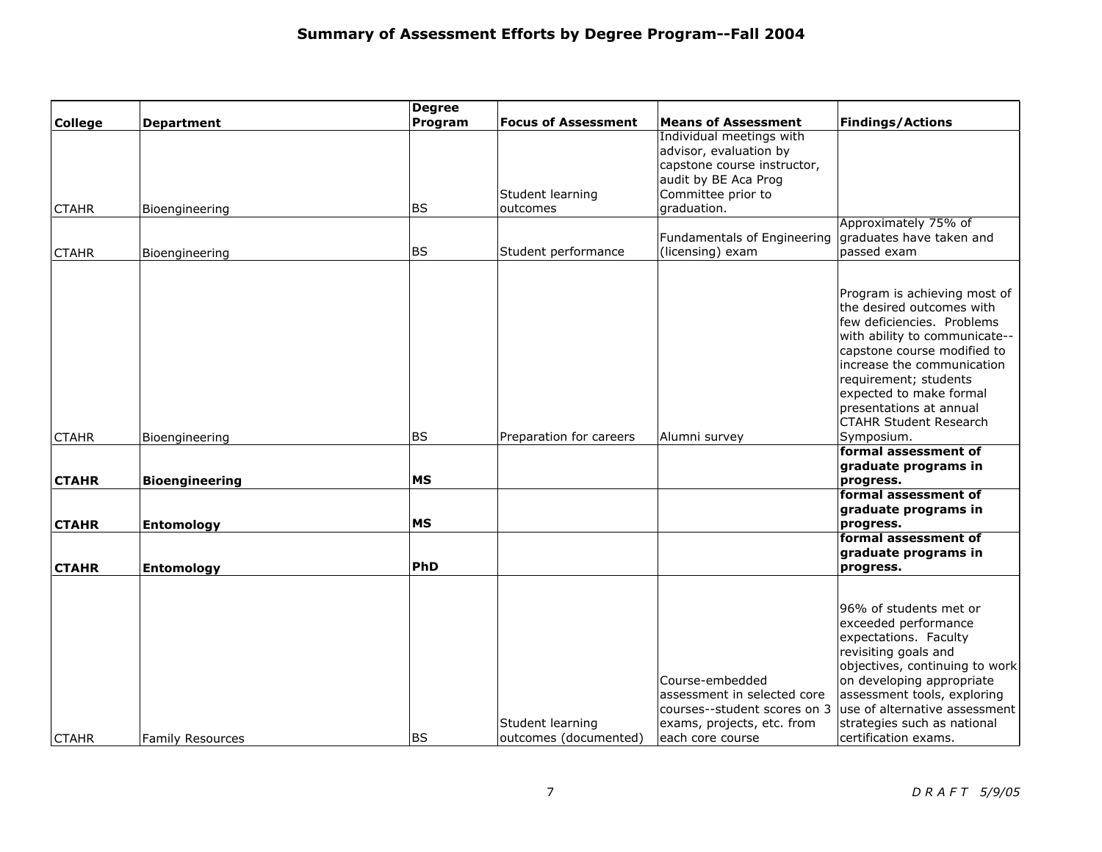|                |                         | <b>Degree</b> |                            |                              |                                |
|----------------|-------------------------|---------------|----------------------------|------------------------------|--------------------------------|
| <b>College</b> | <b>Department</b>       | Program       | <b>Focus of Assessment</b> | <b>Means of Assessment</b>   | <b>Findings/Actions</b>        |
|                |                         |               |                            | Individual meetings with     |                                |
|                |                         |               |                            | advisor, evaluation by       |                                |
|                |                         |               |                            | capstone course instructor,  |                                |
|                |                         |               |                            | audit by BE Aca Prog         |                                |
|                |                         |               | Student learning           | Committee prior to           |                                |
| <b>CTAHR</b>   | Bioengineering          | <b>BS</b>     | outcomes                   | graduation.                  |                                |
|                |                         |               |                            |                              | Approximately 75% of           |
|                |                         |               |                            | Fundamentals of Engineering  | graduates have taken and       |
| <b>CTAHR</b>   | Bioengineering          | <b>BS</b>     | Student performance        | (licensing) exam             | passed exam                    |
|                |                         |               |                            |                              |                                |
|                |                         |               |                            |                              |                                |
|                |                         |               |                            |                              | Program is achieving most of   |
|                |                         |               |                            |                              | the desired outcomes with      |
|                |                         |               |                            |                              | few deficiencies. Problems     |
|                |                         |               |                            |                              | with ability to communicate--  |
|                |                         |               |                            |                              | capstone course modified to    |
|                |                         |               |                            |                              | increase the communication     |
|                |                         |               |                            |                              | requirement; students          |
|                |                         |               |                            |                              | expected to make formal        |
|                |                         |               |                            |                              | presentations at annual        |
|                |                         |               |                            |                              | <b>CTAHR Student Research</b>  |
| <b>CTAHR</b>   | Bioengineering          | <b>BS</b>     | Preparation for careers    | Alumni survey                | Symposium.                     |
|                |                         |               |                            |                              | formal assessment of           |
|                |                         |               |                            |                              | graduate programs in           |
| <b>CTAHR</b>   | <b>Bioengineering</b>   | <b>MS</b>     |                            |                              | progress.                      |
|                |                         |               |                            |                              | formal assessment of           |
|                |                         |               |                            |                              | graduate programs in           |
| <b>CTAHR</b>   | <b>Entomology</b>       | <b>MS</b>     |                            |                              | progress.                      |
|                |                         |               |                            |                              | formal assessment of           |
|                |                         |               |                            |                              | graduate programs in           |
| <b>CTAHR</b>   | <b>Entomology</b>       | PhD           |                            |                              | progress.                      |
|                |                         |               |                            |                              |                                |
|                |                         |               |                            |                              |                                |
|                |                         |               |                            |                              | 96% of students met or         |
|                |                         |               |                            |                              | exceeded performance           |
|                |                         |               |                            |                              | expectations. Faculty          |
|                |                         |               |                            |                              | revisiting goals and           |
|                |                         |               |                            |                              | objectives, continuing to work |
|                |                         |               |                            | Course-embedded              | on developing appropriate      |
|                |                         |               |                            | assessment in selected core  | assessment tools, exploring    |
|                |                         |               |                            | courses--student scores on 3 | use of alternative assessment  |
|                |                         |               | Student learning           | exams, projects, etc. from   | strategies such as national    |
| <b>CTAHR</b>   | <b>Family Resources</b> | <b>BS</b>     | outcomes (documented)      | each core course             | certification exams.           |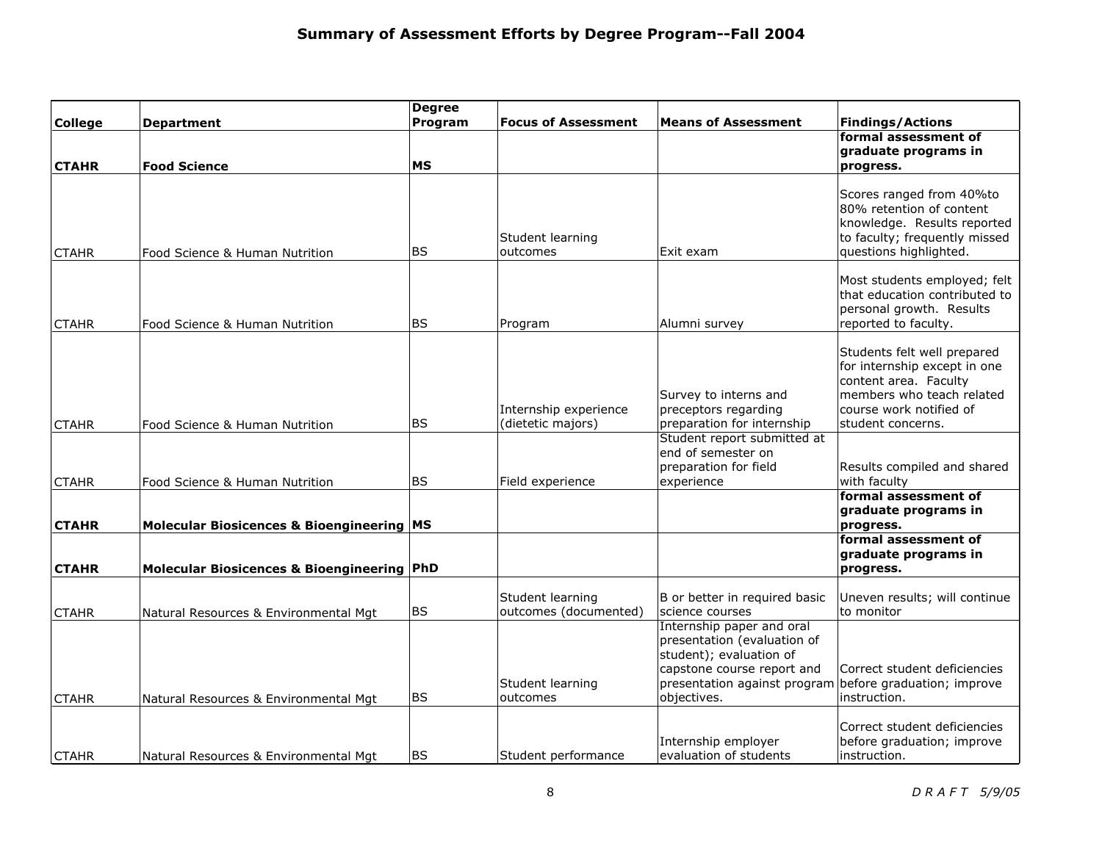|                |                                             | <b>Degree</b> |                                           |                                                         |                                                              |
|----------------|---------------------------------------------|---------------|-------------------------------------------|---------------------------------------------------------|--------------------------------------------------------------|
| <b>College</b> | <b>Department</b>                           | Program       | <b>Focus of Assessment</b>                | <b>Means of Assessment</b>                              | <b>Findings/Actions</b>                                      |
|                |                                             |               |                                           |                                                         | formal assessment of<br>graduate programs in                 |
| <b>CTAHR</b>   | <b>Food Science</b>                         | <b>MS</b>     |                                           |                                                         | progress.                                                    |
|                |                                             |               |                                           |                                                         |                                                              |
|                |                                             |               |                                           |                                                         | Scores ranged from 40%to                                     |
|                |                                             |               |                                           |                                                         | 80% retention of content                                     |
|                |                                             |               |                                           |                                                         | knowledge. Results reported<br>to faculty; frequently missed |
| <b>CTAHR</b>   | Food Science & Human Nutrition              | <b>BS</b>     | Student learning<br>outcomes              | Exit exam                                               | questions highlighted.                                       |
|                |                                             |               |                                           |                                                         |                                                              |
|                |                                             |               |                                           |                                                         | Most students employed; felt                                 |
|                |                                             |               |                                           |                                                         | that education contributed to                                |
|                |                                             |               |                                           |                                                         | personal growth. Results                                     |
| <b>CTAHR</b>   | Food Science & Human Nutrition              | <b>BS</b>     | Program                                   | Alumni survey                                           | reported to faculty.                                         |
|                |                                             |               |                                           |                                                         |                                                              |
|                |                                             |               |                                           |                                                         | Students felt well prepared<br>for internship except in one  |
|                |                                             |               |                                           |                                                         | content area. Faculty                                        |
|                |                                             |               |                                           | Survey to interns and                                   | members who teach related                                    |
|                |                                             |               | Internship experience                     | preceptors regarding                                    | course work notified of                                      |
| <b>CTAHR</b>   | Food Science & Human Nutrition              | <b>BS</b>     | (dietetic majors)                         | preparation for internship                              | student concerns.                                            |
|                |                                             |               |                                           | Student report submitted at                             |                                                              |
|                |                                             |               |                                           | end of semester on                                      |                                                              |
|                |                                             |               |                                           | preparation for field                                   | Results compiled and shared                                  |
| <b>CTAHR</b>   | Food Science & Human Nutrition              | <b>BS</b>     | Field experience                          | experience                                              | with faculty<br>formal assessment of                         |
|                |                                             |               |                                           |                                                         | graduate programs in                                         |
| <b>CTAHR</b>   | Molecular Biosicences & Bioengineering   MS |               |                                           |                                                         | progress.                                                    |
|                |                                             |               |                                           |                                                         | formal assessment of                                         |
|                |                                             |               |                                           |                                                         | graduate programs in                                         |
| <b>CTAHR</b>   | Molecular Biosicences & Bioengineering PhD  |               |                                           |                                                         | progress.                                                    |
|                |                                             |               |                                           |                                                         |                                                              |
|                |                                             | <b>BS</b>     | Student learning<br>outcomes (documented) | B or better in required basic                           | Uneven results; will continue<br>to monitor                  |
| <b>CTAHR</b>   | Natural Resources & Environmental Mgt       |               |                                           | science courses<br>Internship paper and oral            |                                                              |
|                |                                             |               |                                           | presentation (evaluation of                             |                                                              |
|                |                                             |               |                                           | student); evaluation of                                 |                                                              |
|                |                                             |               |                                           | capstone course report and                              | Correct student deficiencies                                 |
|                |                                             |               | Student learning                          | presentation against program before graduation; improve |                                                              |
| <b>CTAHR</b>   | Natural Resources & Environmental Mgt       | <b>BS</b>     | outcomes                                  | objectives.                                             | instruction.                                                 |
|                |                                             |               |                                           |                                                         |                                                              |
|                |                                             |               |                                           |                                                         | Correct student deficiencies                                 |
|                |                                             | <b>BS</b>     | Student performance                       | Internship employer<br>evaluation of students           | before graduation; improve<br>instruction.                   |
| <b>CTAHR</b>   | Natural Resources & Environmental Mgt       |               |                                           |                                                         |                                                              |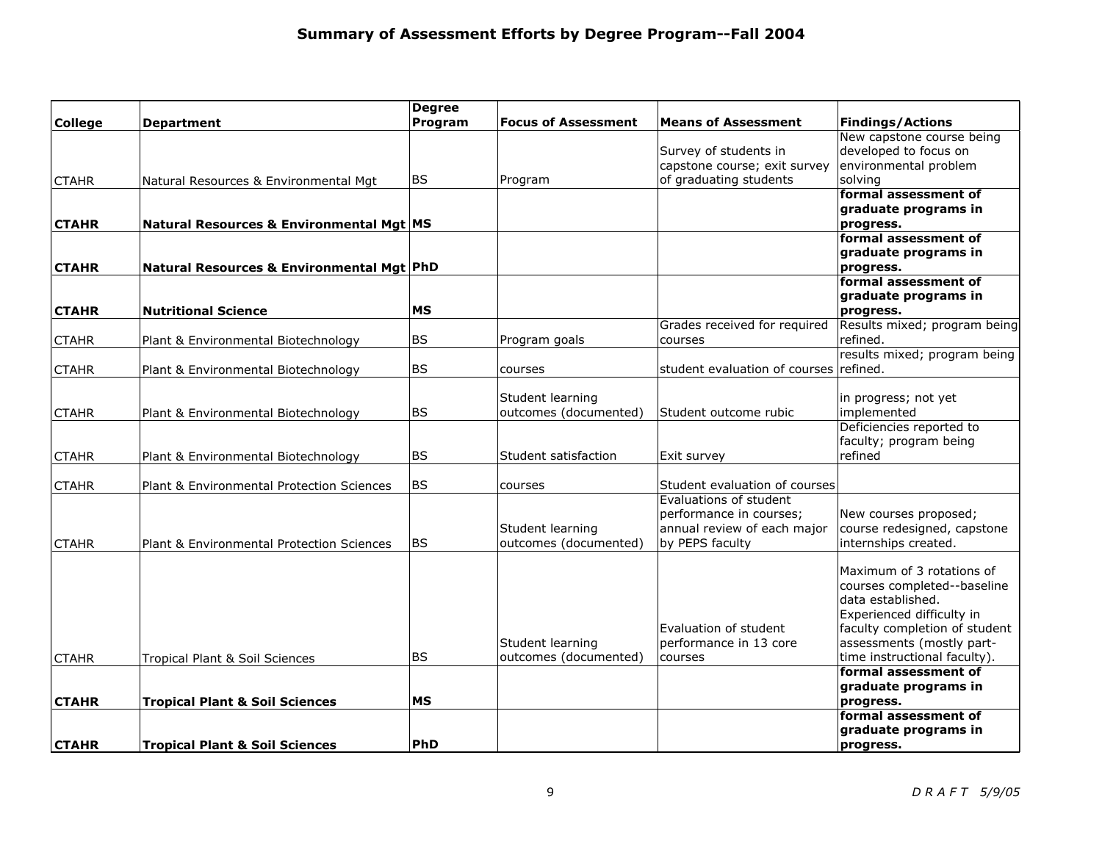|                |                                           | <b>Degree</b> |                            |                                                         |                               |
|----------------|-------------------------------------------|---------------|----------------------------|---------------------------------------------------------|-------------------------------|
| <b>College</b> | <b>Department</b>                         | Program       | <b>Focus of Assessment</b> | <b>Means of Assessment</b>                              | <b>Findings/Actions</b>       |
|                |                                           |               |                            |                                                         | New capstone course being     |
|                |                                           |               |                            | Survey of students in                                   | developed to focus on         |
|                |                                           |               |                            | capstone course; exit survey                            | environmental problem         |
| <b>CTAHR</b>   | Natural Resources & Environmental Mgt     | <b>BS</b>     | Program                    | of graduating students                                  | solving                       |
|                |                                           |               |                            |                                                         | formal assessment of          |
|                |                                           |               |                            |                                                         | graduate programs in          |
| <b>CTAHR</b>   | Natural Resources & Environmental Mgt MS  |               |                            |                                                         | progress.                     |
|                |                                           |               |                            |                                                         | formal assessment of          |
|                |                                           |               |                            |                                                         | graduate programs in          |
| <b>CTAHR</b>   | Natural Resources & Environmental Mgt PhD |               |                            |                                                         | progress.                     |
|                |                                           |               |                            |                                                         | formal assessment of          |
|                |                                           |               |                            |                                                         | graduate programs in          |
| <b>CTAHR</b>   | <b>Nutritional Science</b>                | МS            |                            |                                                         | progress.                     |
|                |                                           |               |                            | Grades received for required                            | Results mixed; program being  |
| <b>CTAHR</b>   | Plant & Environmental Biotechnology       | <b>BS</b>     | Program goals              | courses                                                 | refined.                      |
|                |                                           |               |                            |                                                         | results mixed; program being  |
| <b>CTAHR</b>   | Plant & Environmental Biotechnology       | <b>BS</b>     | courses                    | student evaluation of courses refined.                  |                               |
|                |                                           |               |                            |                                                         |                               |
|                |                                           |               | Student learning           |                                                         | in progress; not yet          |
| <b>CTAHR</b>   | Plant & Environmental Biotechnology       | <b>BS</b>     | outcomes (documented)      | Student outcome rubic                                   | implemented                   |
|                |                                           |               |                            |                                                         | Deficiencies reported to      |
|                |                                           |               |                            |                                                         | faculty; program being        |
| <b>CTAHR</b>   | Plant & Environmental Biotechnology       | <b>BS</b>     | Student satisfaction       | Exit survey                                             | refined                       |
|                |                                           | <b>BS</b>     |                            |                                                         |                               |
| <b>CTAHR</b>   | Plant & Environmental Protection Sciences |               | courses                    | Student evaluation of courses<br>Evaluations of student |                               |
|                |                                           |               |                            | performance in courses;                                 | New courses proposed;         |
|                |                                           |               | Student learning           | annual review of each major                             | course redesigned, capstone   |
| <b>CTAHR</b>   | Plant & Environmental Protection Sciences | <b>BS</b>     | outcomes (documented)      | by PEPS faculty                                         | internships created.          |
|                |                                           |               |                            |                                                         |                               |
|                |                                           |               |                            |                                                         | Maximum of 3 rotations of     |
|                |                                           |               |                            |                                                         | courses completed--baseline   |
|                |                                           |               |                            |                                                         | data established.             |
|                |                                           |               |                            |                                                         | Experienced difficulty in     |
|                |                                           |               |                            | Evaluation of student                                   | faculty completion of student |
|                |                                           |               | Student learning           | performance in 13 core                                  | assessments (mostly part-     |
| <b>CTAHR</b>   | Tropical Plant & Soil Sciences            | <b>BS</b>     | outcomes (documented)      | courses                                                 | time instructional faculty).  |
|                |                                           |               |                            |                                                         | formal assessment of          |
|                |                                           |               |                            |                                                         | graduate programs in          |
| <b>CTAHR</b>   | <b>Tropical Plant &amp; Soil Sciences</b> | <b>MS</b>     |                            |                                                         | progress.                     |
|                |                                           |               |                            |                                                         | formal assessment of          |
|                |                                           |               |                            |                                                         | graduate programs in          |
| <b>CTAHR</b>   | <b>Tropical Plant &amp; Soil Sciences</b> | PhD           |                            |                                                         | progress.                     |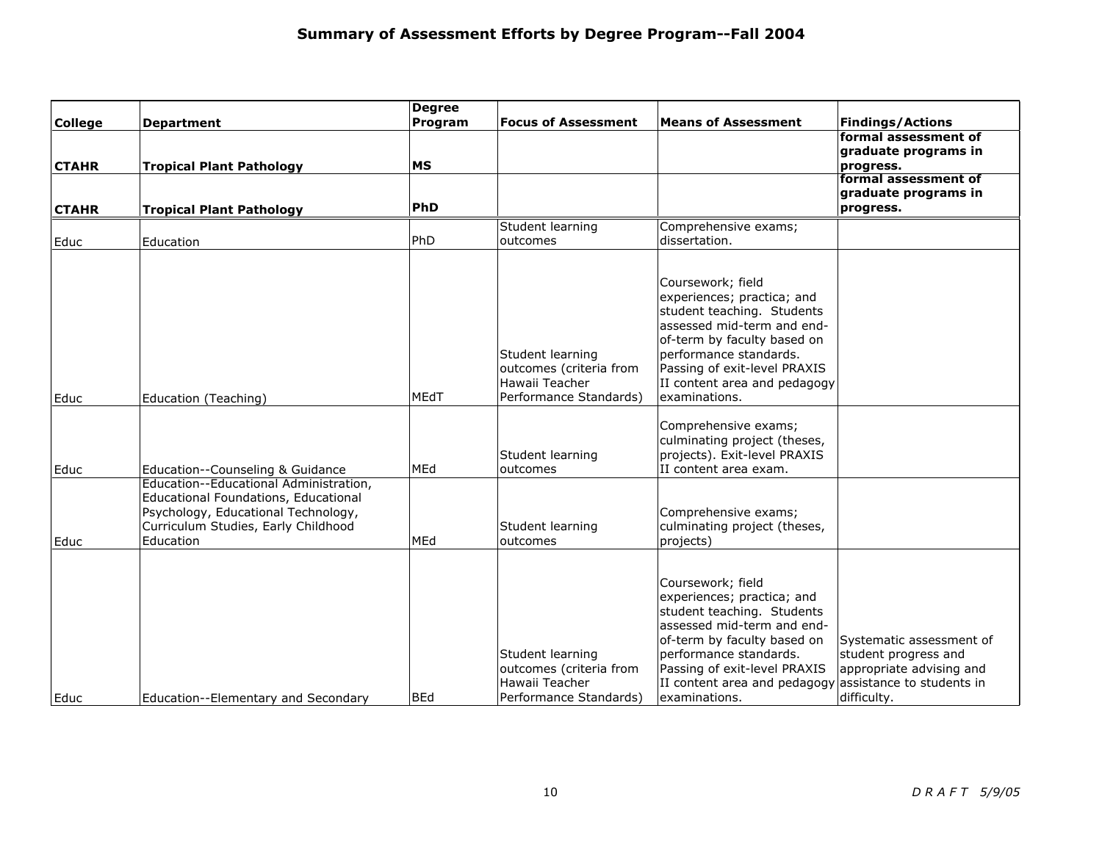|                |                                        | <b>Degree</b> |                                           |                                                          |                          |
|----------------|----------------------------------------|---------------|-------------------------------------------|----------------------------------------------------------|--------------------------|
| <b>College</b> | <b>Department</b>                      | Program       | <b>Focus of Assessment</b>                | <b>Means of Assessment</b>                               | <b>Findings/Actions</b>  |
|                |                                        |               |                                           |                                                          | formal assessment of     |
|                |                                        |               |                                           |                                                          | graduate programs in     |
| <b>CTAHR</b>   | <b>Tropical Plant Pathology</b>        | <b>MS</b>     |                                           |                                                          | progress.                |
|                |                                        |               |                                           |                                                          | formal assessment of     |
|                |                                        |               |                                           |                                                          | graduate programs in     |
| <b>CTAHR</b>   | <b>Tropical Plant Pathology</b>        | PhD           |                                           |                                                          | progress.                |
|                |                                        |               | Student learning                          | Comprehensive exams;                                     |                          |
| Educ           | Education                              | PhD           | outcomes                                  | dissertation.                                            |                          |
|                |                                        |               |                                           |                                                          |                          |
|                |                                        |               |                                           |                                                          |                          |
|                |                                        |               |                                           | Coursework; field                                        |                          |
|                |                                        |               |                                           | experiences; practica; and                               |                          |
|                |                                        |               |                                           | student teaching. Students<br>assessed mid-term and end- |                          |
|                |                                        |               |                                           |                                                          |                          |
|                |                                        |               |                                           | of-term by faculty based on                              |                          |
|                |                                        |               | Student learning                          | performance standards.                                   |                          |
|                |                                        |               | outcomes (criteria from<br>Hawaii Teacher | Passing of exit-level PRAXIS                             |                          |
|                |                                        | MEdT          |                                           | II content area and pedagogy<br>examinations.            |                          |
| Educ           | Education (Teaching)                   |               | Performance Standards)                    |                                                          |                          |
|                |                                        |               |                                           | Comprehensive exams;                                     |                          |
|                |                                        |               |                                           | culminating project (theses,                             |                          |
|                |                                        |               | Student learning                          | projects). Exit-level PRAXIS                             |                          |
| Educ           | Education--Counseling & Guidance       | MEd           | outcomes                                  | II content area exam.                                    |                          |
|                | Education--Educational Administration, |               |                                           |                                                          |                          |
|                | Educational Foundations, Educational   |               |                                           |                                                          |                          |
|                | Psychology, Educational Technology,    |               |                                           | Comprehensive exams;                                     |                          |
|                | Curriculum Studies, Early Childhood    |               | Student learning                          | culminating project (theses,                             |                          |
| Educ           | Education                              | MEd           | outcomes                                  | projects)                                                |                          |
|                |                                        |               |                                           |                                                          |                          |
|                |                                        |               |                                           |                                                          |                          |
|                |                                        |               |                                           | Coursework; field                                        |                          |
|                |                                        |               |                                           | experiences; practica; and                               |                          |
|                |                                        |               |                                           | student teaching. Students                               |                          |
|                |                                        |               |                                           | assessed mid-term and end-                               |                          |
|                |                                        |               |                                           | of-term by faculty based on                              | Systematic assessment of |
|                |                                        |               | Student learning                          | performance standards.                                   | student progress and     |
|                |                                        |               | outcomes (criteria from                   | Passing of exit-level PRAXIS                             | appropriate advising and |
|                |                                        |               | Hawaii Teacher                            | II content area and pedagogy assistance to students in   |                          |
| Educ           | Education--Elementary and Secondary    | BEd           | Performance Standards)                    | examinations.                                            | difficulty.              |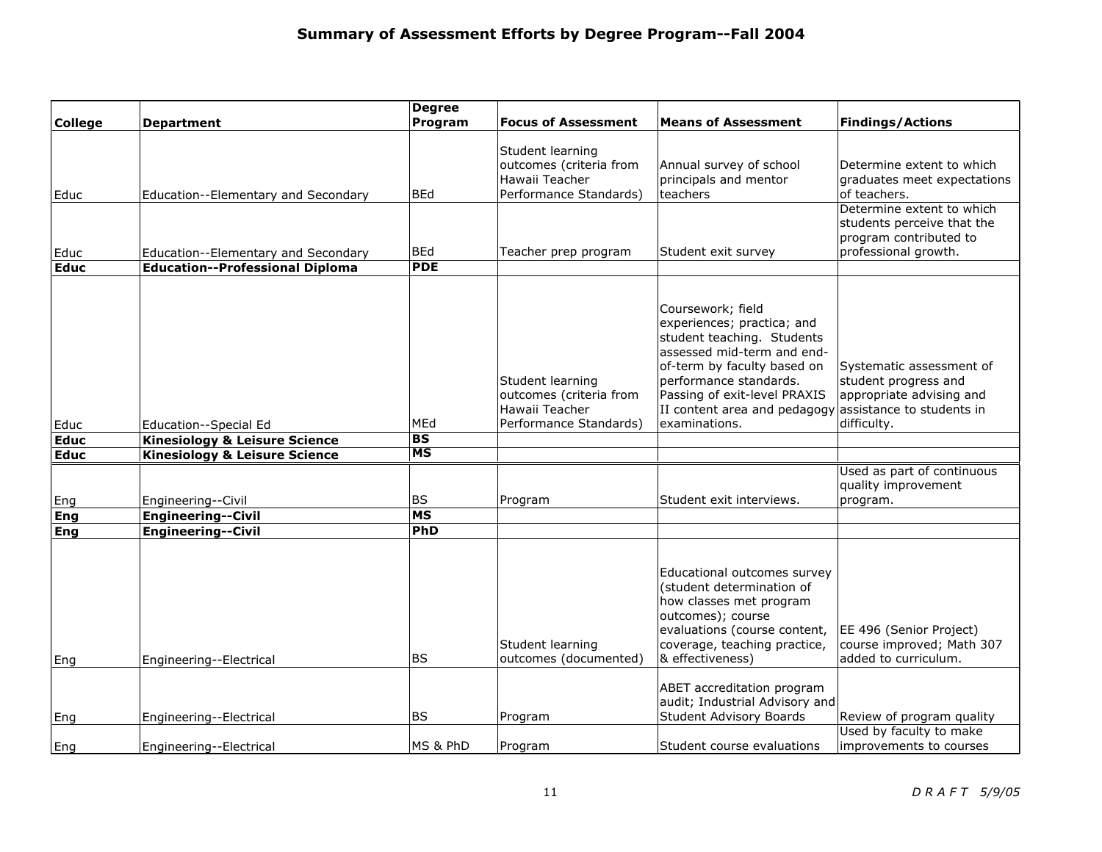|                     |                                                                   | <b>Degree</b>          |                                                                                         |                                                                                                                                                                                                                                                       |                                                                                                                          |
|---------------------|-------------------------------------------------------------------|------------------------|-----------------------------------------------------------------------------------------|-------------------------------------------------------------------------------------------------------------------------------------------------------------------------------------------------------------------------------------------------------|--------------------------------------------------------------------------------------------------------------------------|
| <b>College</b>      | <b>Department</b>                                                 | Program                | <b>Focus of Assessment</b>                                                              | <b>Means of Assessment</b>                                                                                                                                                                                                                            | <b>Findings/Actions</b>                                                                                                  |
|                     |                                                                   |                        | Student learning<br>outcomes (criteria from                                             | Annual survey of school                                                                                                                                                                                                                               | Determine extent to which                                                                                                |
|                     |                                                                   |                        | Hawaii Teacher                                                                          | principals and mentor                                                                                                                                                                                                                                 | graduates meet expectations                                                                                              |
| Educ                | Education--Elementary and Secondary                               | <b>BEd</b>             | Performance Standards)                                                                  | teachers                                                                                                                                                                                                                                              | of teachers.                                                                                                             |
|                     |                                                                   |                        |                                                                                         |                                                                                                                                                                                                                                                       | Determine extent to which<br>students perceive that the<br>program contributed to                                        |
| Educ                | Education--Elementary and Secondary                               | <b>BEd</b>             | Teacher prep program                                                                    | Student exit survey                                                                                                                                                                                                                                   | professional growth.                                                                                                     |
| <b>Educ</b>         | <b>Education--Professional Diploma</b>                            | <b>PDE</b>             |                                                                                         |                                                                                                                                                                                                                                                       |                                                                                                                          |
| Educ<br><b>Educ</b> | Education--Special Ed<br><b>Kinesiology &amp; Leisure Science</b> | MEd<br><b>BS</b>       | Student learning<br>outcomes (criteria from<br>Hawaii Teacher<br>Performance Standards) | Coursework; field<br>experiences; practica; and<br>student teaching. Students<br>assessed mid-term and end-<br>of-term by faculty based on<br>performance standards.<br>Passing of exit-level PRAXIS<br>II content area and pedagogy<br>examinations. | Systematic assessment of<br>student progress and<br>appropriate advising and<br>assistance to students in<br>difficulty. |
| <b>Educ</b>         | <b>Kinesiology &amp; Leisure Science</b>                          | $\overline{\text{MS}}$ |                                                                                         |                                                                                                                                                                                                                                                       |                                                                                                                          |
|                     |                                                                   |                        |                                                                                         |                                                                                                                                                                                                                                                       | Used as part of continuous<br>quality improvement                                                                        |
| Eng                 | Engineering--Civil                                                | <b>BS</b>              | Program                                                                                 | Student exit interviews.                                                                                                                                                                                                                              | program.                                                                                                                 |
| Eng                 | <b>Engineering--Civil</b>                                         | <b>MS</b>              |                                                                                         |                                                                                                                                                                                                                                                       |                                                                                                                          |
| Eng                 | <b>Engineering--Civil</b>                                         | PhD                    | Student learning                                                                        | Educational outcomes survey<br>(student determination of<br>how classes met program<br>outcomes); course<br>evaluations (course content,<br>coverage, teaching practice,                                                                              | EE 496 (Senior Project)<br>course improved; Math 307                                                                     |
| Eng                 | Engineering--Electrical                                           | <b>BS</b>              | outcomes (documented)                                                                   | & effectiveness)                                                                                                                                                                                                                                      | added to curriculum.                                                                                                     |
| Eng                 | Engineering--Electrical                                           | <b>BS</b>              | Program                                                                                 | ABET accreditation program<br>audit; Industrial Advisory and<br><b>Student Advisory Boards</b>                                                                                                                                                        | Review of program quality                                                                                                |
|                     |                                                                   |                        |                                                                                         |                                                                                                                                                                                                                                                       | Used by faculty to make                                                                                                  |
| Eng                 | Engineering--Electrical                                           | MS & PhD               | Program                                                                                 | Student course evaluations                                                                                                                                                                                                                            | improvements to courses                                                                                                  |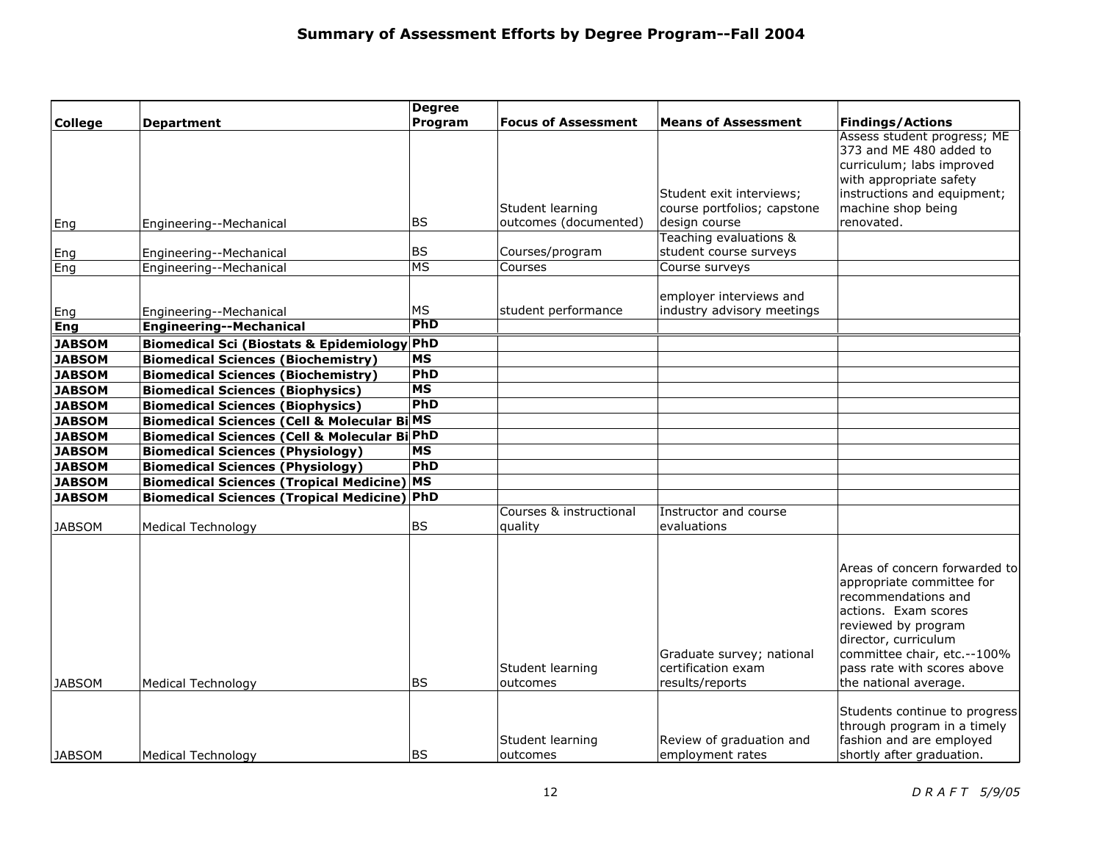|                |                                                         | <b>Degree</b> |                            |                                         |                                                              |
|----------------|---------------------------------------------------------|---------------|----------------------------|-----------------------------------------|--------------------------------------------------------------|
| <b>College</b> | <b>Department</b>                                       | Program       | <b>Focus of Assessment</b> | <b>Means of Assessment</b>              | <b>Findings/Actions</b>                                      |
|                |                                                         |               |                            |                                         | Assess student progress; ME                                  |
|                |                                                         |               |                            |                                         | 373 and ME 480 added to                                      |
|                |                                                         |               |                            |                                         | curriculum; labs improved                                    |
|                |                                                         |               |                            |                                         | with appropriate safety                                      |
|                |                                                         |               |                            | Student exit interviews;                | instructions and equipment;                                  |
|                |                                                         |               | Student learning           | course portfolios; capstone             | machine shop being                                           |
| Eng            | Engineering--Mechanical                                 | <b>BS</b>     | outcomes (documented)      | design course<br>Teaching evaluations & | renovated.                                                   |
|                |                                                         | BS            |                            | student course surveys                  |                                                              |
| Eng            | Engineering--Mechanical                                 | MS            | Courses/program<br>Courses | Course surveys                          |                                                              |
| Eng            | Engineering--Mechanical                                 |               |                            |                                         |                                                              |
|                |                                                         |               |                            | employer interviews and                 |                                                              |
| Eng            | Engineering--Mechanical                                 | MS            | student performance        | industry advisory meetings              |                                                              |
| Eng            | <b>Engineering--Mechanical</b>                          | PhD           |                            |                                         |                                                              |
| <b>JABSOM</b>  | <b>Biomedical Sci (Biostats &amp; Epidemiology PhD</b>  |               |                            |                                         |                                                              |
| <b>JABSOM</b>  | <b>Biomedical Sciences (Biochemistry)</b>               | <b>MS</b>     |                            |                                         |                                                              |
| <b>JABSOM</b>  | <b>Biomedical Sciences (Biochemistry)</b>               | PhD           |                            |                                         |                                                              |
| <b>JABSOM</b>  | <b>Biomedical Sciences (Biophysics)</b>                 | <b>MS</b>     |                            |                                         |                                                              |
| <b>JABSOM</b>  | <b>Biomedical Sciences (Biophysics)</b>                 | PhD           |                            |                                         |                                                              |
| <b>JABSOM</b>  | <b>Biomedical Sciences (Cell &amp; Molecular Bi MS</b>  |               |                            |                                         |                                                              |
| <b>JABSOM</b>  | <b>Biomedical Sciences (Cell &amp; Molecular Bi PhD</b> |               |                            |                                         |                                                              |
| <b>JABSOM</b>  | <b>Biomedical Sciences (Physiology)</b>                 | <b>MS</b>     |                            |                                         |                                                              |
| <b>JABSOM</b>  | <b>Biomedical Sciences (Physiology)</b>                 | PhD           |                            |                                         |                                                              |
| <b>JABSOM</b>  | <b>Biomedical Sciences (Tropical Medicine) MS</b>       |               |                            |                                         |                                                              |
| <b>JABSOM</b>  | <b>Biomedical Sciences (Tropical Medicine) PhD</b>      |               |                            |                                         |                                                              |
|                |                                                         |               | Courses & instructional    | Instructor and course                   |                                                              |
| <b>JABSOM</b>  | <b>Medical Technology</b>                               | BS            | quality                    | evaluations                             |                                                              |
|                |                                                         |               |                            |                                         |                                                              |
|                |                                                         |               |                            |                                         |                                                              |
|                |                                                         |               |                            |                                         | Areas of concern forwarded to                                |
|                |                                                         |               |                            |                                         | appropriate committee for                                    |
|                |                                                         |               |                            |                                         | recommendations and                                          |
|                |                                                         |               |                            |                                         | actions. Exam scores                                         |
|                |                                                         |               |                            |                                         | reviewed by program                                          |
|                |                                                         |               |                            |                                         | director, curriculum                                         |
|                |                                                         |               |                            | Graduate survey; national               | committee chair, etc.--100%                                  |
|                |                                                         |               | Student learning           | certification exam                      | pass rate with scores above                                  |
| <b>JABSOM</b>  | <b>Medical Technology</b>                               | BS.           | outcomes                   | results/reports                         | the national average.                                        |
|                |                                                         |               |                            |                                         |                                                              |
|                |                                                         |               |                            |                                         | Students continue to progress<br>through program in a timely |
|                |                                                         |               | Student learning           | Review of graduation and                | fashion and are employed                                     |
| JABSOM         | Medical Technology                                      | <b>BS</b>     | outcomes                   | employment rates                        | shortly after graduation.                                    |
|                |                                                         |               |                            |                                         |                                                              |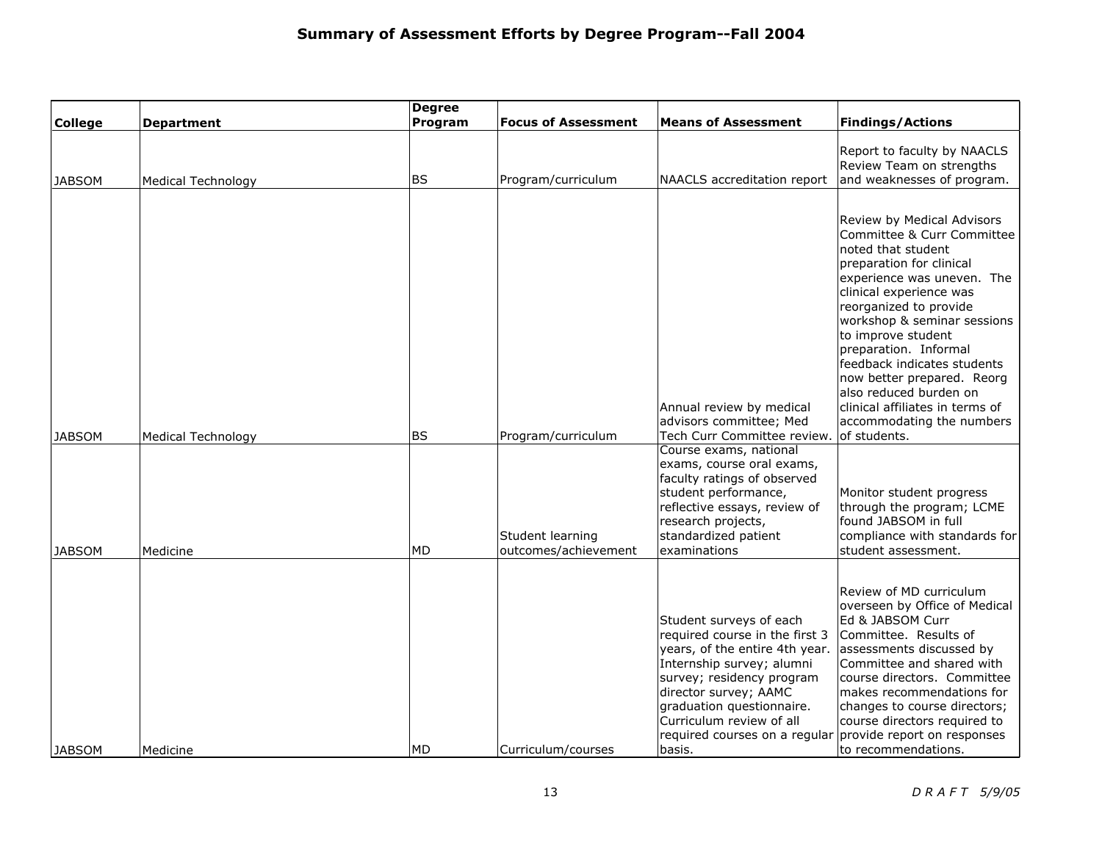|                |                           | <b>Degree</b> |                                          |                                                                                                                                                                                                                                                                                    |                                                                                                                                                                                                                                                                                                                                                                                                                                                    |
|----------------|---------------------------|---------------|------------------------------------------|------------------------------------------------------------------------------------------------------------------------------------------------------------------------------------------------------------------------------------------------------------------------------------|----------------------------------------------------------------------------------------------------------------------------------------------------------------------------------------------------------------------------------------------------------------------------------------------------------------------------------------------------------------------------------------------------------------------------------------------------|
| <b>College</b> | <b>Department</b>         | Program       | <b>Focus of Assessment</b>               | <b>Means of Assessment</b>                                                                                                                                                                                                                                                         | <b>Findings/Actions</b>                                                                                                                                                                                                                                                                                                                                                                                                                            |
| <b>JABSOM</b>  | <b>Medical Technology</b> | <b>BS</b>     | Program/curriculum                       | NAACLS accreditation report                                                                                                                                                                                                                                                        | Report to faculty by NAACLS<br>Review Team on strengths<br>and weaknesses of program.                                                                                                                                                                                                                                                                                                                                                              |
| <b>JABSOM</b>  | <b>Medical Technology</b> | <b>BS</b>     | Program/curriculum                       | Annual review by medical<br>advisors committee; Med<br>Tech Curr Committee review.                                                                                                                                                                                                 | Review by Medical Advisors<br>Committee & Curr Committee<br>noted that student<br>preparation for clinical<br>experience was uneven. The<br>clinical experience was<br>reorganized to provide<br>workshop & seminar sessions<br>to improve student<br>preparation. Informal<br>feedback indicates students<br>now better prepared. Reorg<br>also reduced burden on<br>clinical affiliates in terms of<br>accommodating the numbers<br>of students. |
| JABSOM         | Medicine                  | <b>MD</b>     | Student learning<br>outcomes/achievement | Course exams, national<br>exams, course oral exams,<br>faculty ratings of observed<br>student performance,<br>reflective essays, review of<br>research projects,<br>standardized patient<br>examinations                                                                           | Monitor student progress<br>through the program; LCME<br>found JABSOM in full<br>compliance with standards for<br>student assessment.                                                                                                                                                                                                                                                                                                              |
| JABSOM         | Medicine                  | <b>MD</b>     | Curriculum/courses                       | Student surveys of each<br>required course in the first 3<br>years, of the entire 4th year.<br>Internship survey; alumni<br>survey; residency program<br>director survey; AAMC<br>graduation questionnaire.<br>Curriculum review of all<br>required courses on a regular<br>basis. | Review of MD curriculum<br>overseen by Office of Medical<br>Ed & JABSOM Curr<br>Committee. Results of<br>assessments discussed by<br>Committee and shared with<br>course directors. Committee<br>makes recommendations for<br>changes to course directors;<br>course directors required to<br>provide report on responses<br>to recommendations.                                                                                                   |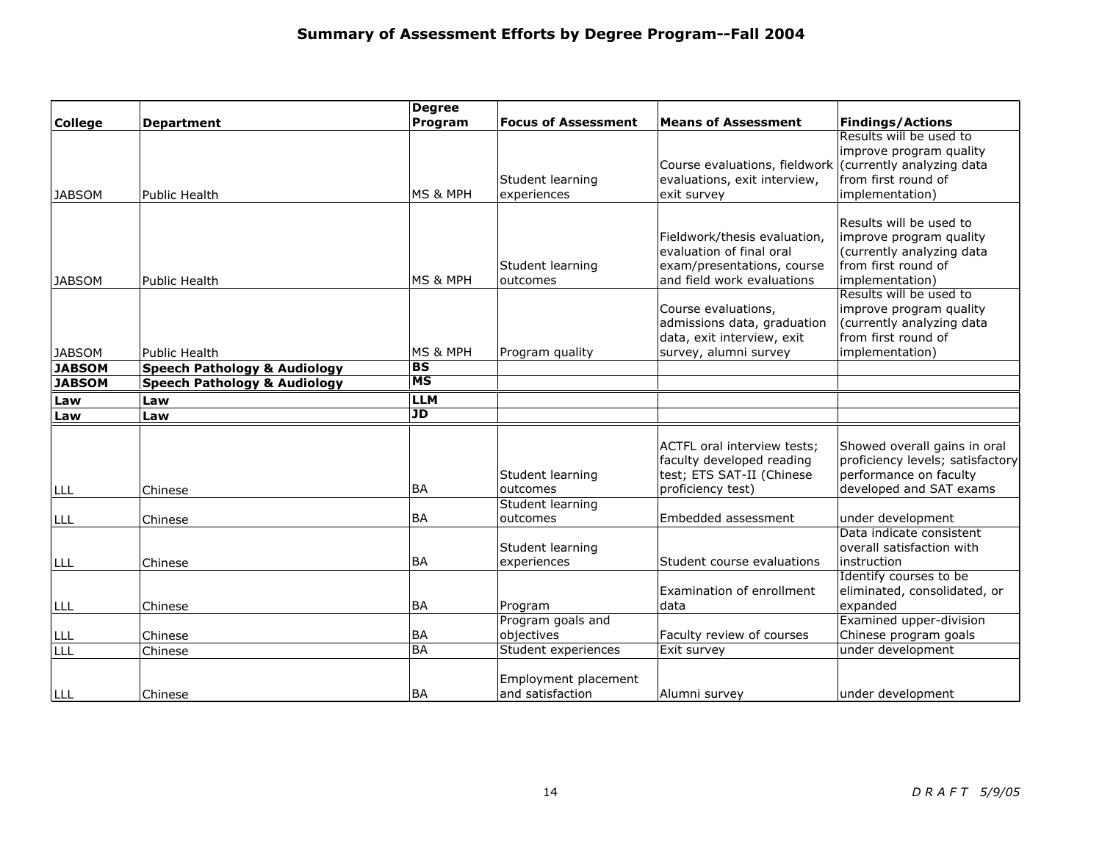|                |                                         | <b>Degree</b> |                                          |                                                                                                                      |                                                                                                                           |
|----------------|-----------------------------------------|---------------|------------------------------------------|----------------------------------------------------------------------------------------------------------------------|---------------------------------------------------------------------------------------------------------------------------|
| <b>College</b> | <b>Department</b>                       | Program       | <b>Focus of Assessment</b>               | <b>Means of Assessment</b>                                                                                           | <b>Findings/Actions</b>                                                                                                   |
| <b>JABSOM</b>  | Public Health                           | MS & MPH      | Student learning<br>experiences          | Course evaluations, fieldwork (currently analyzing data<br>evaluations, exit interview,<br>exit survey               | Results will be used to<br>improve program quality<br>from first round of<br>implementation)                              |
| <b>JABSOM</b>  | <b>Public Health</b>                    | MS & MPH      | Student learning<br>outcomes             | Fieldwork/thesis evaluation,<br>evaluation of final oral<br>exam/presentations, course<br>and field work evaluations | Results will be used to<br>improve program quality<br>(currently analyzing data<br>from first round of<br>implementation) |
| <b>JABSOM</b>  | <b>Public Health</b>                    | MS & MPH      | Program quality                          | Course evaluations,<br>admissions data, graduation<br>data, exit interview, exit<br>survey, alumni survey            | Results will be used to<br>improve program quality<br>(currently analyzing data<br>from first round of<br>implementation) |
| <b>JABSOM</b>  | <b>Speech Pathology &amp; Audiology</b> | <b>BS</b>     |                                          |                                                                                                                      |                                                                                                                           |
| <b>JABSOM</b>  | <b>Speech Pathology &amp; Audiology</b> | MS            |                                          |                                                                                                                      |                                                                                                                           |
| Law            | Law                                     | <b>LLM</b>    |                                          |                                                                                                                      |                                                                                                                           |
| Law            | Law                                     | JD            |                                          |                                                                                                                      |                                                                                                                           |
| LLL            | Chinese                                 | BA            | Student learning<br>outcomes             | ACTFL oral interview tests;<br>faculty developed reading<br>test; ETS SAT-II (Chinese<br>proficiency test)           | Showed overall gains in oral<br>proficiency levels; satisfactory<br>performance on faculty<br>developed and SAT exams     |
|                |                                         |               | Student learning                         |                                                                                                                      |                                                                                                                           |
| LLL            | Chinese                                 | <b>BA</b>     | outcomes                                 | Embedded assessment                                                                                                  | under development                                                                                                         |
| LLL            | Chinese                                 | <b>BA</b>     | Student learning<br>experiences          | Student course evaluations                                                                                           | Data indicate consistent<br>overall satisfaction with<br>instruction                                                      |
| LLL            | Chinese                                 | <b>BA</b>     | Program                                  | Examination of enrollment<br>data                                                                                    | Identify courses to be<br>eliminated, consolidated, or<br>expanded                                                        |
|                |                                         |               | Program goals and                        |                                                                                                                      | Examined upper-division                                                                                                   |
| LLL            | Chinese                                 | <b>BA</b>     | objectives                               | Faculty review of courses                                                                                            | Chinese program goals                                                                                                     |
| LLL            | Chinese                                 | <b>BA</b>     | Student experiences                      | Exit survey                                                                                                          | under development                                                                                                         |
| llll           | Chinese                                 | <b>BA</b>     | Employment placement<br>and satisfaction | Alumni survey                                                                                                        | under development                                                                                                         |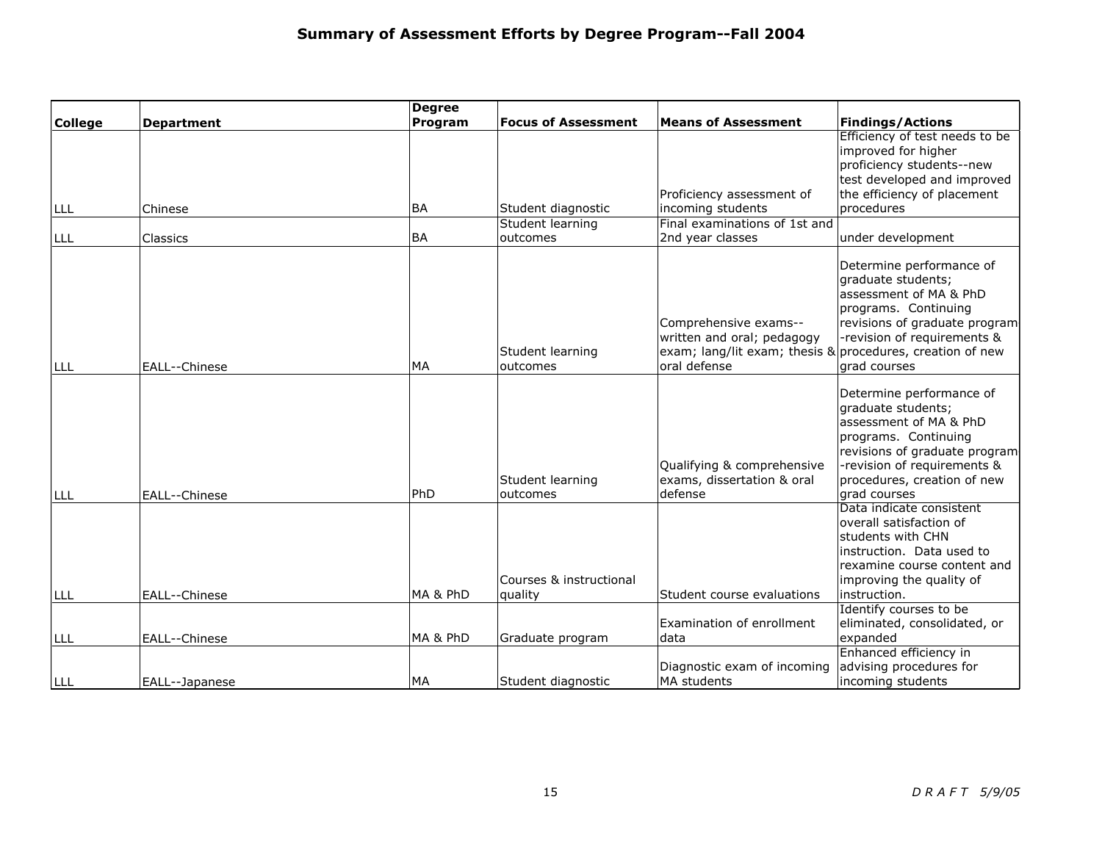|                |                   | <b>Degree</b> |                                    |                                                                                                                                  |                                                                                                                                                                                                                 |
|----------------|-------------------|---------------|------------------------------------|----------------------------------------------------------------------------------------------------------------------------------|-----------------------------------------------------------------------------------------------------------------------------------------------------------------------------------------------------------------|
| <b>College</b> | <b>Department</b> | Program       | <b>Focus of Assessment</b>         | <b>Means of Assessment</b>                                                                                                       | <b>Findings/Actions</b>                                                                                                                                                                                         |
| <b>LLL</b>     | Chinese           | <b>BA</b>     | Student diagnostic                 | Proficiency assessment of<br>incoming students                                                                                   | Efficiency of test needs to be<br>improved for higher<br>proficiency students--new<br>test developed and improved<br>the efficiency of placement<br>procedures                                                  |
|                |                   |               | Student learning                   | Final examinations of 1st and                                                                                                    |                                                                                                                                                                                                                 |
| LLL            | Classics          | <b>BA</b>     | loutcomes                          | 2nd year classes                                                                                                                 | under development                                                                                                                                                                                               |
| LLL            | EALL--Chinese     | <b>MA</b>     | Student learning<br>outcomes       | Comprehensive exams--<br>written and oral; pedagogy<br>exam; lang/lit exam; thesis & procedures, creation of new<br>oral defense | Determine performance of<br>graduate students;<br>assessment of MA & PhD<br>programs. Continuing<br>revisions of graduate program<br>-revision of requirements &<br>grad courses                                |
| LLL            | EALL--Chinese     | PhD           | Student learning<br>outcomes       | Qualifying & comprehensive<br>exams, dissertation & oral<br>defense                                                              | Determine performance of<br>graduate students;<br>assessment of MA & PhD<br>programs. Continuing<br>revisions of graduate program<br>-revision of requirements &<br>procedures, creation of new<br>grad courses |
| LLL            | EALL--Chinese     | MA & PhD      | Courses & instructional<br>quality | Student course evaluations                                                                                                       | Data indicate consistent<br>overall satisfaction of<br>students with CHN<br>instruction. Data used to<br>rexamine course content and<br>improving the quality of<br>instruction.                                |
|                |                   |               |                                    |                                                                                                                                  | Identify courses to be                                                                                                                                                                                          |
| LLL            | EALL--Chinese     | MA & PhD      | Graduate program                   | Examination of enrollment<br>data                                                                                                | eliminated, consolidated, or<br>expanded                                                                                                                                                                        |
|                |                   |               |                                    |                                                                                                                                  | Enhanced efficiency in                                                                                                                                                                                          |
|                |                   |               |                                    | Diagnostic exam of incoming                                                                                                      | advising procedures for                                                                                                                                                                                         |
| lll            | EALL--Japanese    | <b>MA</b>     | Student diagnostic                 | <b>MA</b> students                                                                                                               | incoming students                                                                                                                                                                                               |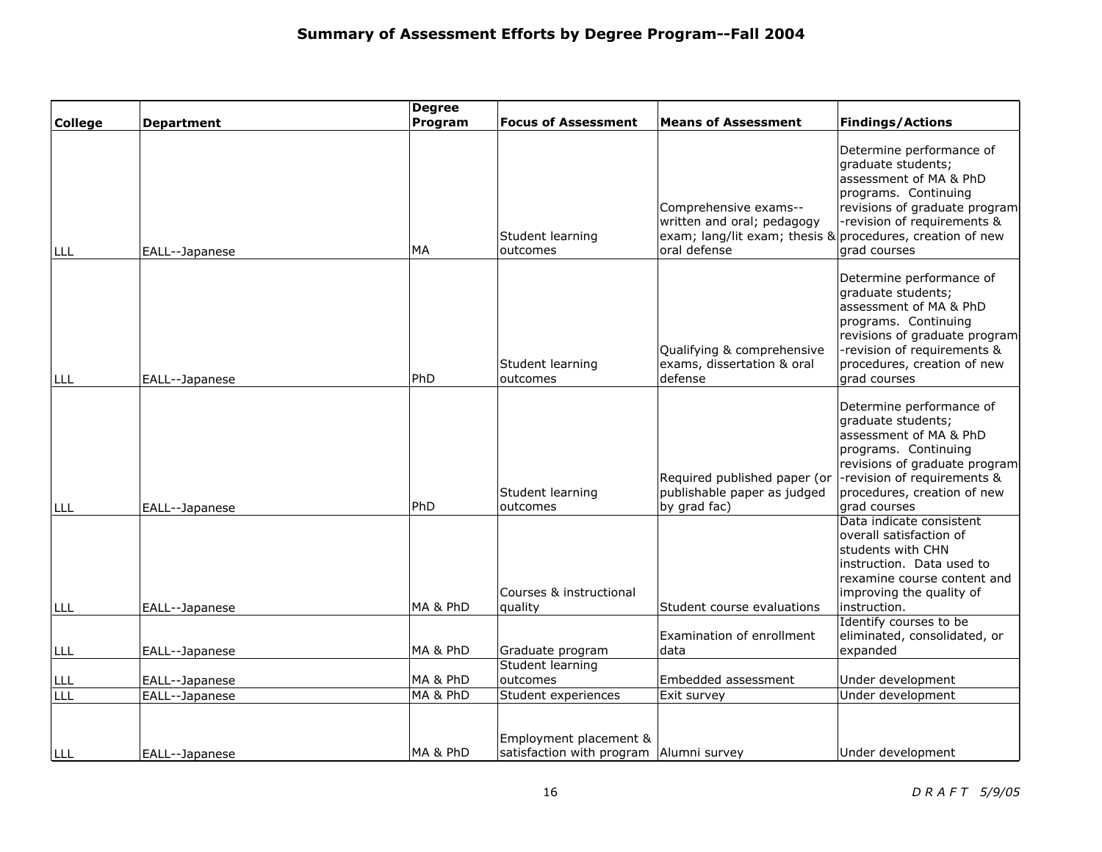|                |                   | <b>Degree</b> |                                                                   |                                                                                                      |                                                                                                                                                                                                                 |
|----------------|-------------------|---------------|-------------------------------------------------------------------|------------------------------------------------------------------------------------------------------|-----------------------------------------------------------------------------------------------------------------------------------------------------------------------------------------------------------------|
| <b>College</b> | <b>Department</b> | Program       | <b>Focus of Assessment</b>                                        | <b>Means of Assessment</b>                                                                           | <b>Findings/Actions</b>                                                                                                                                                                                         |
| LLL            | EALL--Japanese    | MA            | Student learning<br>outcomes                                      | Comprehensive exams--<br>written and oral; pedagogy<br>exam; lang/lit exam; thesis &<br>oral defense | Determine performance of<br>graduate students;<br>assessment of MA & PhD<br>programs. Continuing<br>revisions of graduate program<br>-revision of requirements &<br>procedures, creation of new<br>grad courses |
| LLL            | EALL--Japanese    | PhD           | Student learning<br>outcomes                                      | Qualifying & comprehensive<br>exams, dissertation & oral<br>defense                                  | Determine performance of<br>graduate students;<br>assessment of MA & PhD<br>programs. Continuing<br>revisions of graduate program<br>-revision of requirements &<br>procedures, creation of new<br>grad courses |
| <b>LLL</b>     | EALL--Japanese    | PhD           | Student learning<br>outcomes                                      | Required published paper (or<br>publishable paper as judged<br>by grad fac)                          | Determine performance of<br>graduate students;<br>assessment of MA & PhD<br>programs. Continuing<br>revisions of graduate program<br>-revision of requirements &<br>procedures, creation of new<br>grad courses |
| LLL            | EALL--Japanese    | MA & PhD      | Courses & instructional<br>quality                                | Student course evaluations                                                                           | Data indicate consistent<br>overall satisfaction of<br>students with CHN<br>instruction. Data used to<br>rexamine course content and<br>improving the quality of<br>instruction.                                |
| LLL            | EALL--Japanese    | MA & PhD      | Graduate program                                                  | Examination of enrollment<br>data                                                                    | Identify courses to be<br>eliminated, consolidated, or<br>expanded                                                                                                                                              |
|                |                   |               | Student learning                                                  |                                                                                                      |                                                                                                                                                                                                                 |
| LLL            | EALL--Japanese    | MA & PhD      | outcomes                                                          | Embedded assessment                                                                                  | Under development                                                                                                                                                                                               |
| LLL            | EALL--Japanese    | MA & PhD      | Student experiences                                               | Exit survey                                                                                          | Under development                                                                                                                                                                                               |
| llll           | EALL--Japanese    | MA & PhD      | Employment placement &<br>satisfaction with program Alumni survey |                                                                                                      | Under development                                                                                                                                                                                               |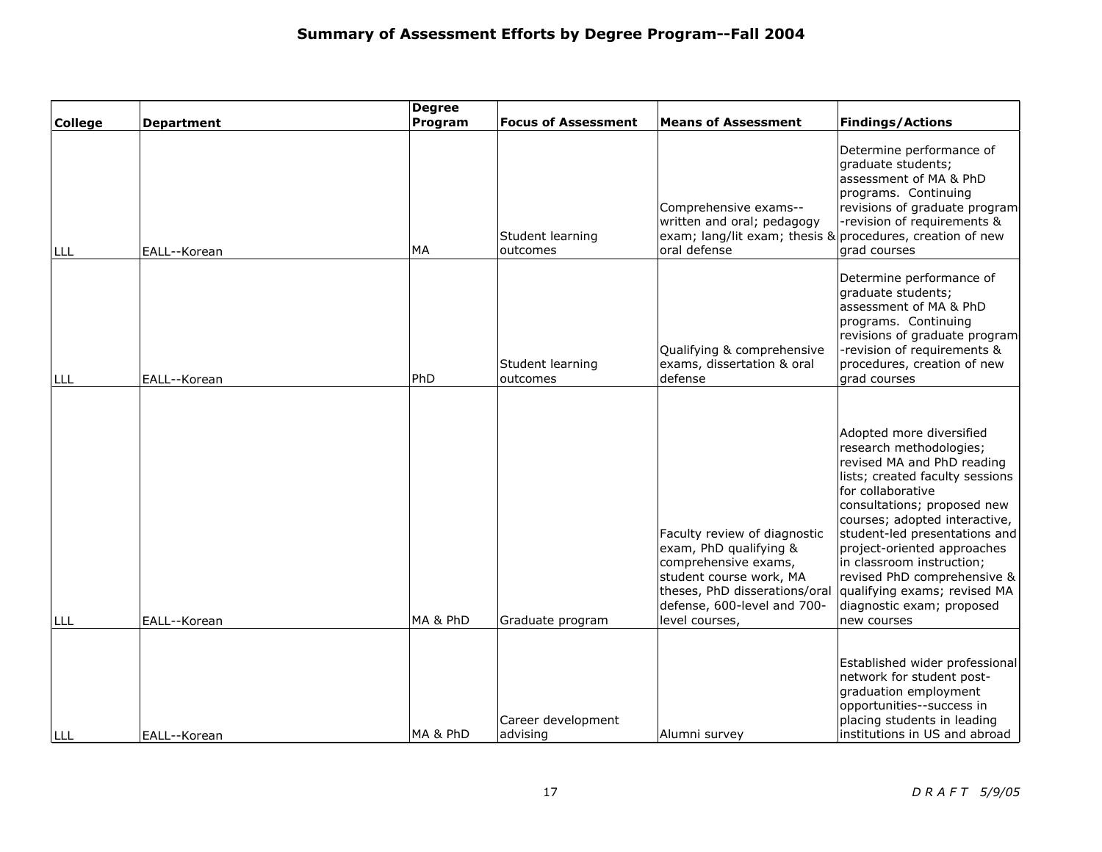|                |                   | <b>Degree</b> |                                |                                                                                                                                                                                             |                                                                                                                                                                                                                                                                                                                                                                                                                   |
|----------------|-------------------|---------------|--------------------------------|---------------------------------------------------------------------------------------------------------------------------------------------------------------------------------------------|-------------------------------------------------------------------------------------------------------------------------------------------------------------------------------------------------------------------------------------------------------------------------------------------------------------------------------------------------------------------------------------------------------------------|
| <b>College</b> | <b>Department</b> | Program       | <b>Focus of Assessment</b>     | <b>Means of Assessment</b>                                                                                                                                                                  | <b>Findings/Actions</b>                                                                                                                                                                                                                                                                                                                                                                                           |
| LLL            | EALL--Korean      | МA            | Student learning<br>outcomes   | Comprehensive exams--<br>written and oral; pedagogy<br>exam; lang/lit exam; thesis & procedures, creation of new<br>oral defense                                                            | Determine performance of<br>graduate students;<br>assessment of MA & PhD<br>programs. Continuing<br>revisions of graduate program<br>-revision of requirements &<br>grad courses                                                                                                                                                                                                                                  |
| LLL            | EALL--Korean      | PhD           | Student learning<br>outcomes   | Qualifying & comprehensive<br>exams, dissertation & oral<br>defense                                                                                                                         | Determine performance of<br>graduate students;<br>assessment of MA & PhD<br>programs. Continuing<br>revisions of graduate program<br>-revision of requirements &<br>procedures, creation of new<br>grad courses                                                                                                                                                                                                   |
| LLL            | EALL--Korean      | MA & PhD      | Graduate program               | Faculty review of diagnostic<br>exam, PhD qualifying &<br>comprehensive exams,<br>student course work, MA<br>theses, PhD disserations/oral<br>defense, 600-level and 700-<br>level courses, | Adopted more diversified<br>research methodologies;<br>revised MA and PhD reading<br>lists; created faculty sessions<br>for collaborative<br>consultations; proposed new<br>courses; adopted interactive,<br>student-led presentations and<br>project-oriented approaches<br>in classroom instruction;<br>revised PhD comprehensive &<br>qualifying exams; revised MA<br>diagnostic exam; proposed<br>new courses |
| LLL            | EALL--Korean      | MA & PhD      | Career development<br>advising | Alumni survey                                                                                                                                                                               | Established wider professional<br>network for student post-<br>graduation employment<br>opportunities--success in<br>placing students in leading<br>institutions in US and abroad                                                                                                                                                                                                                                 |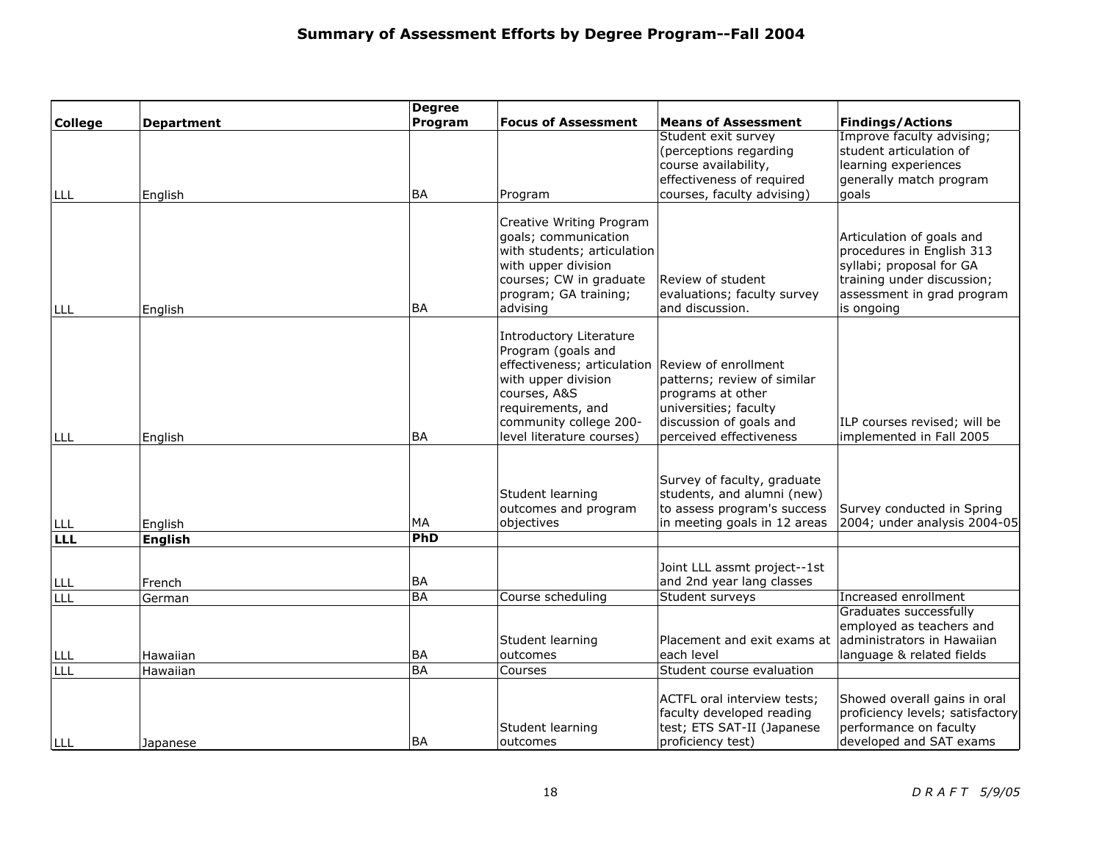|                |                   | <b>Degree</b> |                             |                                                          |                                                                  |
|----------------|-------------------|---------------|-----------------------------|----------------------------------------------------------|------------------------------------------------------------------|
| <b>College</b> | <b>Department</b> | Program       | <b>Focus of Assessment</b>  | <b>Means of Assessment</b>                               | <b>Findings/Actions</b>                                          |
|                |                   |               |                             | Student exit survey                                      | Improve faculty advising;                                        |
|                |                   |               |                             | (perceptions regarding                                   | student articulation of                                          |
|                |                   |               |                             | course availability,                                     | learning experiences                                             |
|                |                   |               |                             | effectiveness of required                                | generally match program                                          |
| I LLL          | English           | <b>BA</b>     | Program                     | courses, faculty advising)                               | goals                                                            |
|                |                   |               | Creative Writing Program    |                                                          |                                                                  |
|                |                   |               | goals; communication        |                                                          | Articulation of goals and                                        |
|                |                   |               | with students; articulation |                                                          | procedures in English 313                                        |
|                |                   |               | with upper division         |                                                          | syllabi; proposal for GA                                         |
|                |                   |               | courses; CW in graduate     | Review of student                                        | training under discussion;                                       |
|                |                   |               | program; GA training;       | evaluations; faculty survey                              | assessment in grad program                                       |
| LLL            | English           | <b>BA</b>     | advising                    | and discussion.                                          | is ongoing                                                       |
|                |                   |               | Introductory Literature     |                                                          |                                                                  |
|                |                   |               | Program (goals and          |                                                          |                                                                  |
|                |                   |               | effectiveness; articulation | Review of enrollment                                     |                                                                  |
|                |                   |               | with upper division         | patterns; review of similar                              |                                                                  |
|                |                   |               | courses, A&S                | programs at other                                        |                                                                  |
|                |                   |               | requirements, and           | universities; faculty                                    |                                                                  |
|                |                   |               | community college 200-      | discussion of goals and                                  | ILP courses revised; will be                                     |
| <b>LLL</b>     | English           | <b>BA</b>     | level literature courses)   | perceived effectiveness                                  | implemented in Fall 2005                                         |
|                |                   |               |                             |                                                          |                                                                  |
|                |                   |               |                             | Survey of faculty, graduate                              |                                                                  |
|                |                   |               | Student learning            | students, and alumni (new)                               |                                                                  |
|                |                   |               | outcomes and program        | to assess program's success                              | Survey conducted in Spring                                       |
| LLL            | English           | <b>MA</b>     | objectives                  | in meeting goals in 12 areas                             | 2004; under analysis 2004-05                                     |
| LLL            | <b>English</b>    | PhD           |                             |                                                          |                                                                  |
|                |                   |               |                             | Joint LLL assmt project--1st                             |                                                                  |
| LLL            | French            | <b>BA</b>     |                             | and 2nd year lang classes                                |                                                                  |
| LLL            | German            | <b>BA</b>     | Course scheduling           | Student surveys                                          | Increased enrollment                                             |
|                |                   |               |                             |                                                          | Graduates successfully                                           |
|                |                   |               |                             |                                                          | employed as teachers and                                         |
|                |                   |               | Student learning            | Placement and exit exams at                              | administrators in Hawaiian                                       |
| LLL            | Hawaiian          | <b>BA</b>     | outcomes                    | each level                                               | language & related fields                                        |
| LLL            | Hawaiian          | <b>BA</b>     | Courses                     | Student course evaluation                                |                                                                  |
|                |                   |               |                             |                                                          |                                                                  |
|                |                   |               |                             | ACTFL oral interview tests;<br>faculty developed reading | Showed overall gains in oral<br>proficiency levels; satisfactory |
|                |                   |               | Student learning            | test; ETS SAT-II (Japanese                               | performance on faculty                                           |
| ILLL           | Japanese          | <b>BA</b>     | outcomes                    | proficiency test)                                        | developed and SAT exams                                          |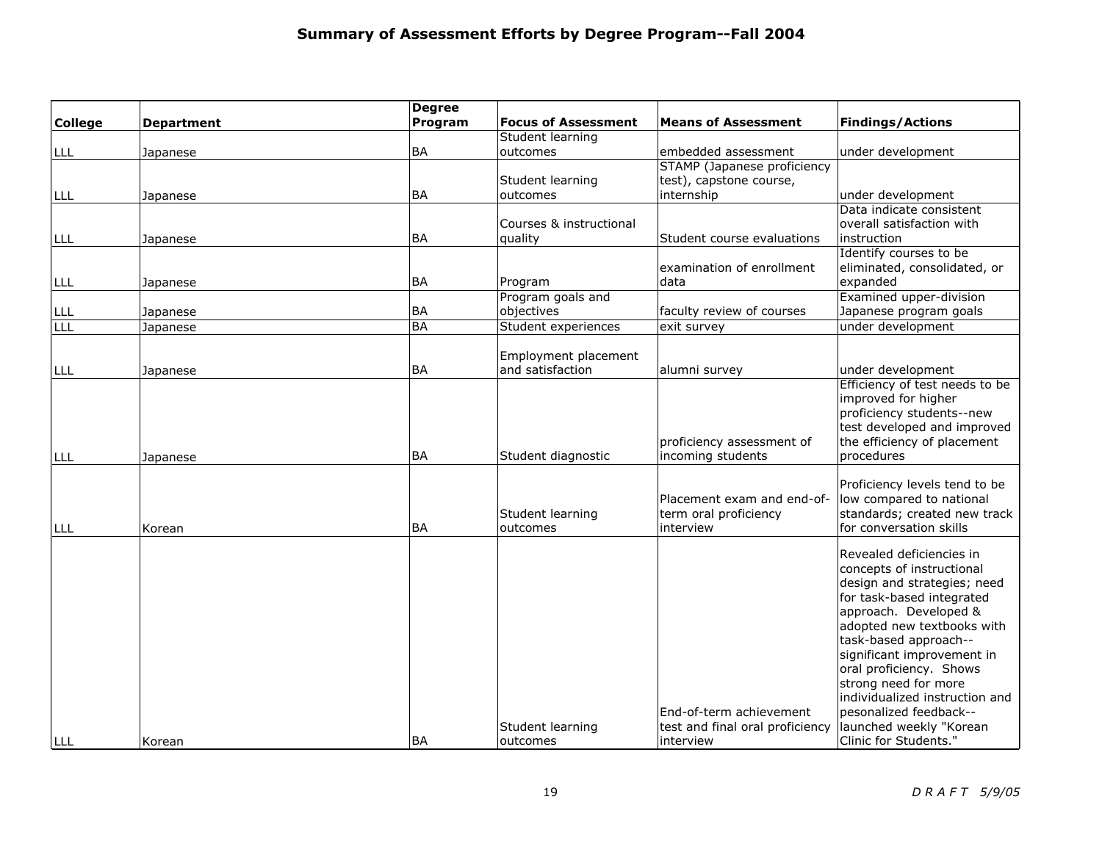|                |                   | <b>Degree</b> |                            |                                 |                                                          |
|----------------|-------------------|---------------|----------------------------|---------------------------------|----------------------------------------------------------|
| <b>College</b> | <b>Department</b> | Program       | <b>Focus of Assessment</b> | <b>Means of Assessment</b>      | <b>Findings/Actions</b>                                  |
|                |                   |               | Student learning           |                                 |                                                          |
| LLL            | Japanese          | <b>BA</b>     | outcomes                   | embedded assessment             | under development                                        |
|                |                   |               |                            | STAMP (Japanese proficiency     |                                                          |
|                |                   |               | Student learning           | test), capstone course,         |                                                          |
| LLL            | Japanese          | <b>BA</b>     | outcomes                   | internship                      | under development                                        |
|                |                   |               |                            |                                 | Data indicate consistent                                 |
|                |                   |               | Courses & instructional    |                                 | overall satisfaction with                                |
| LLL            | Japanese          | <b>BA</b>     | quality                    | Student course evaluations      | instruction                                              |
|                |                   |               |                            |                                 | Identify courses to be                                   |
|                |                   |               |                            | examination of enrollment       | eliminated, consolidated, or                             |
| LLL            | Japanese          | <b>BA</b>     | Program                    | data                            | expanded                                                 |
|                |                   |               | Program goals and          |                                 | Examined upper-division                                  |
| LLL            | Japanese          | <b>BA</b>     | objectives                 | faculty review of courses       | Japanese program goals                                   |
| LLL            | Japanese          | <b>BA</b>     | Student experiences        | exit survey                     | under development                                        |
|                |                   |               | Employment placement       |                                 |                                                          |
| LLL            | Japanese          | <b>BA</b>     | and satisfaction           | alumni survey                   | under development                                        |
|                |                   |               |                            |                                 | Efficiency of test needs to be<br>improved for higher    |
|                |                   |               |                            |                                 | proficiency students--new                                |
|                |                   |               |                            |                                 | test developed and improved                              |
|                |                   |               |                            | proficiency assessment of       | the efficiency of placement                              |
| LLL            | Japanese          | <b>BA</b>     | Student diagnostic         | incoming students               | procedures                                               |
|                |                   |               |                            |                                 |                                                          |
|                |                   |               |                            |                                 | Proficiency levels tend to be                            |
|                |                   |               |                            | Placement exam and end-of-      | low compared to national                                 |
|                |                   |               | Student learning           | term oral proficiency           | standards; created new track                             |
| LLL            | Korean            | <b>BA</b>     | outcomes                   | interview                       | for conversation skills                                  |
|                |                   |               |                            |                                 |                                                          |
|                |                   |               |                            |                                 | Revealed deficiencies in                                 |
|                |                   |               |                            |                                 | concepts of instructional                                |
|                |                   |               |                            |                                 | design and strategies; need<br>for task-based integrated |
|                |                   |               |                            |                                 | approach. Developed &                                    |
|                |                   |               |                            |                                 | adopted new textbooks with                               |
|                |                   |               |                            |                                 | task-based approach--                                    |
|                |                   |               |                            |                                 | significant improvement in                               |
|                |                   |               |                            |                                 | oral proficiency. Shows                                  |
|                |                   |               |                            |                                 | strong need for more                                     |
|                |                   |               |                            |                                 | individualized instruction and                           |
|                |                   |               |                            | End-of-term achievement         | pesonalized feedback--                                   |
|                |                   |               | Student learning           | test and final oral proficiency | launched weekly "Korean                                  |
| LLL            | Korean            | <b>BA</b>     | outcomes                   | linterview                      | Clinic for Students."                                    |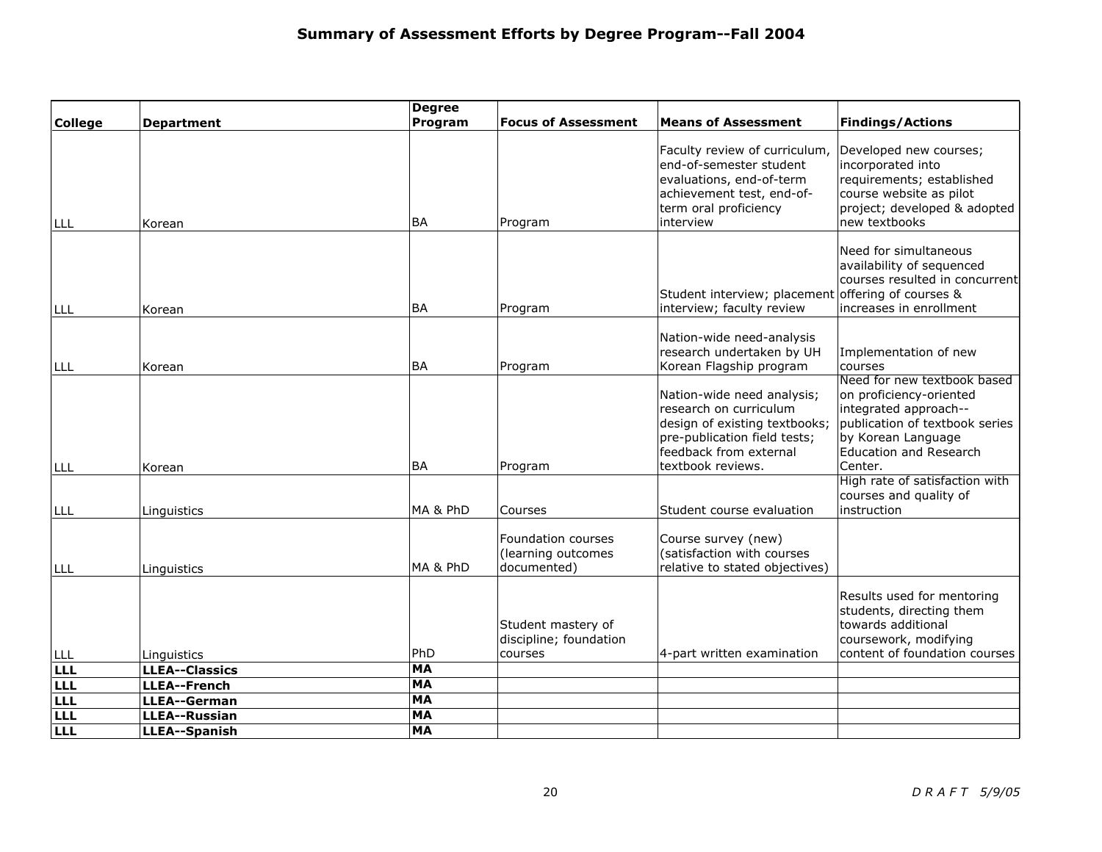|                |                                      | <b>Degree</b> |                                                         |                                                                                                                                                                      |                                                                                                                                                                                     |
|----------------|--------------------------------------|---------------|---------------------------------------------------------|----------------------------------------------------------------------------------------------------------------------------------------------------------------------|-------------------------------------------------------------------------------------------------------------------------------------------------------------------------------------|
| <b>College</b> | <b>Department</b>                    | Program       | <b>Focus of Assessment</b>                              | <b>Means of Assessment</b>                                                                                                                                           | <b>Findings/Actions</b>                                                                                                                                                             |
| LLL            | Korean                               | <b>BA</b>     | Program                                                 | Faculty review of curriculum,<br>end-of-semester student<br>evaluations, end-of-term<br>achievement test, end-of-<br>term oral proficiency<br>interview              | Developed new courses;<br>incorporated into<br>requirements; established<br>course website as pilot<br>project; developed & adopted<br>new textbooks                                |
| LLL            | Korean                               | <b>BA</b>     | Program                                                 | Student interview; placement offering of courses &<br>interview; faculty review                                                                                      | Need for simultaneous<br>availability of sequenced<br>courses resulted in concurrent<br>increases in enrollment                                                                     |
| LLL            | Korean                               | <b>BA</b>     | Program                                                 | Nation-wide need-analysis<br>research undertaken by UH<br>Korean Flagship program                                                                                    | Implementation of new<br>courses                                                                                                                                                    |
| LLL            | Korean                               | <b>BA</b>     | Program                                                 | Nation-wide need analysis;<br>research on curriculum<br>design of existing textbooks;<br>pre-publication field tests;<br>feedback from external<br>textbook reviews. | Need for new textbook based<br>on proficiency-oriented<br>integrated approach--<br>publication of textbook series<br>by Korean Language<br><b>Education and Research</b><br>Center. |
| LLL            | Linguistics                          | MA & PhD      | Courses                                                 | Student course evaluation                                                                                                                                            | High rate of satisfaction with<br>courses and quality of<br>instruction                                                                                                             |
| LLL            | Linguistics                          | MA & PhD      | Foundation courses<br>(learning outcomes<br>documented) | Course survey (new)<br>(satisfaction with courses<br>relative to stated objectives)                                                                                  |                                                                                                                                                                                     |
|                |                                      | PhD           | Student mastery of<br>discipline; foundation            |                                                                                                                                                                      | Results used for mentoring<br>students, directing them<br>towards additional<br>coursework, modifying<br>content of foundation courses                                              |
| LLL<br>LLL     | Linguistics<br><b>LLEA--Classics</b> | <b>MA</b>     | courses                                                 | 4-part written examination                                                                                                                                           |                                                                                                                                                                                     |
| <b>LLL</b>     | <b>LLEA--French</b>                  | <b>MA</b>     |                                                         |                                                                                                                                                                      |                                                                                                                                                                                     |
| LLL            | <b>LLEA--German</b>                  | <b>MA</b>     |                                                         |                                                                                                                                                                      |                                                                                                                                                                                     |
| LLL            | <b>LLEA--Russian</b>                 | <b>MA</b>     |                                                         |                                                                                                                                                                      |                                                                                                                                                                                     |
| LLLL           | <b>LLEA--Spanish</b>                 | <b>MA</b>     |                                                         |                                                                                                                                                                      |                                                                                                                                                                                     |
|                |                                      |               |                                                         |                                                                                                                                                                      |                                                                                                                                                                                     |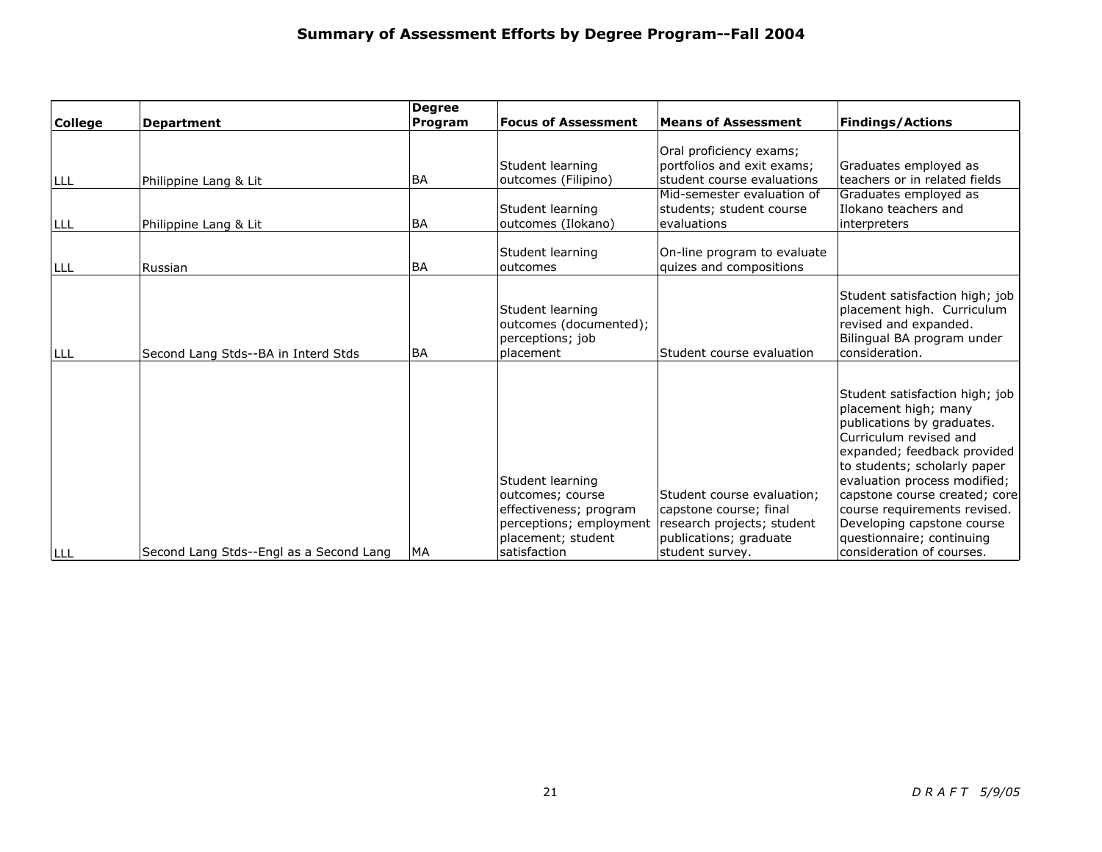|                                     | <b>Degree</b>                                                                                    |                                                                             |                                                                                                                                                                                                                      | <b>Findings/Actions</b>                                                                                                                                                                                                                                                               |
|-------------------------------------|--------------------------------------------------------------------------------------------------|-----------------------------------------------------------------------------|----------------------------------------------------------------------------------------------------------------------------------------------------------------------------------------------------------------------|---------------------------------------------------------------------------------------------------------------------------------------------------------------------------------------------------------------------------------------------------------------------------------------|
|                                     |                                                                                                  |                                                                             |                                                                                                                                                                                                                      |                                                                                                                                                                                                                                                                                       |
|                                     |                                                                                                  |                                                                             | Oral proficiency exams;                                                                                                                                                                                              |                                                                                                                                                                                                                                                                                       |
|                                     |                                                                                                  |                                                                             |                                                                                                                                                                                                                      | Graduates employed as                                                                                                                                                                                                                                                                 |
|                                     |                                                                                                  |                                                                             |                                                                                                                                                                                                                      | teachers or in related fields<br>Graduates employed as                                                                                                                                                                                                                                |
|                                     |                                                                                                  |                                                                             |                                                                                                                                                                                                                      | Ilokano teachers and                                                                                                                                                                                                                                                                  |
| Philippine Lang & Lit               | <b>BA</b>                                                                                        | outcomes (Ilokano)                                                          | evaluations                                                                                                                                                                                                          | interpreters                                                                                                                                                                                                                                                                          |
|                                     |                                                                                                  |                                                                             |                                                                                                                                                                                                                      |                                                                                                                                                                                                                                                                                       |
|                                     |                                                                                                  |                                                                             |                                                                                                                                                                                                                      |                                                                                                                                                                                                                                                                                       |
|                                     |                                                                                                  |                                                                             |                                                                                                                                                                                                                      |                                                                                                                                                                                                                                                                                       |
| Second Lang Stds--BA in Interd Stds | <b>BA</b>                                                                                        | Student learning<br>outcomes (documented);<br>perceptions; job<br>placement | Student course evaluation                                                                                                                                                                                            | Student satisfaction high; job<br>placement high. Curriculum<br>revised and expanded.<br>Bilingual BA program under<br>consideration.                                                                                                                                                 |
|                                     |                                                                                                  |                                                                             |                                                                                                                                                                                                                      |                                                                                                                                                                                                                                                                                       |
|                                     |                                                                                                  | Student learning                                                            |                                                                                                                                                                                                                      | Student satisfaction high; job<br>placement high; many<br>publications by graduates.<br>Curriculum revised and<br>expanded; feedback provided<br>to students; scholarly paper<br>evaluation process modified;                                                                         |
|                                     |                                                                                                  | outcomes; course                                                            | Student course evaluation:                                                                                                                                                                                           | capstone course created; core                                                                                                                                                                                                                                                         |
|                                     |                                                                                                  |                                                                             | capstone course; final                                                                                                                                                                                               | course requirements revised.                                                                                                                                                                                                                                                          |
|                                     |                                                                                                  |                                                                             |                                                                                                                                                                                                                      | Developing capstone course                                                                                                                                                                                                                                                            |
|                                     |                                                                                                  |                                                                             |                                                                                                                                                                                                                      | questionnaire; continuing<br>consideration of courses.                                                                                                                                                                                                                                |
|                                     | <b>Department</b><br>Philippine Lang & Lit<br>Russian<br>Second Lang Stds--Engl as a Second Lang | Program<br><b>BA</b><br><b>BA</b><br>MA                                     | <b>Focus of Assessment</b><br>Student learning<br>outcomes (Filipino)<br>Student learning<br>Student learning<br>outcomes<br>effectiveness; program<br>perceptions; employment<br>placement; student<br>satisfaction | <b>Means of Assessment</b><br>portfolios and exit exams;<br>student course evaluations<br>Mid-semester evaluation of<br>students; student course<br>On-line program to evaluate<br>quizes and compositions<br>research projects; student<br>publications; graduate<br>student survey. |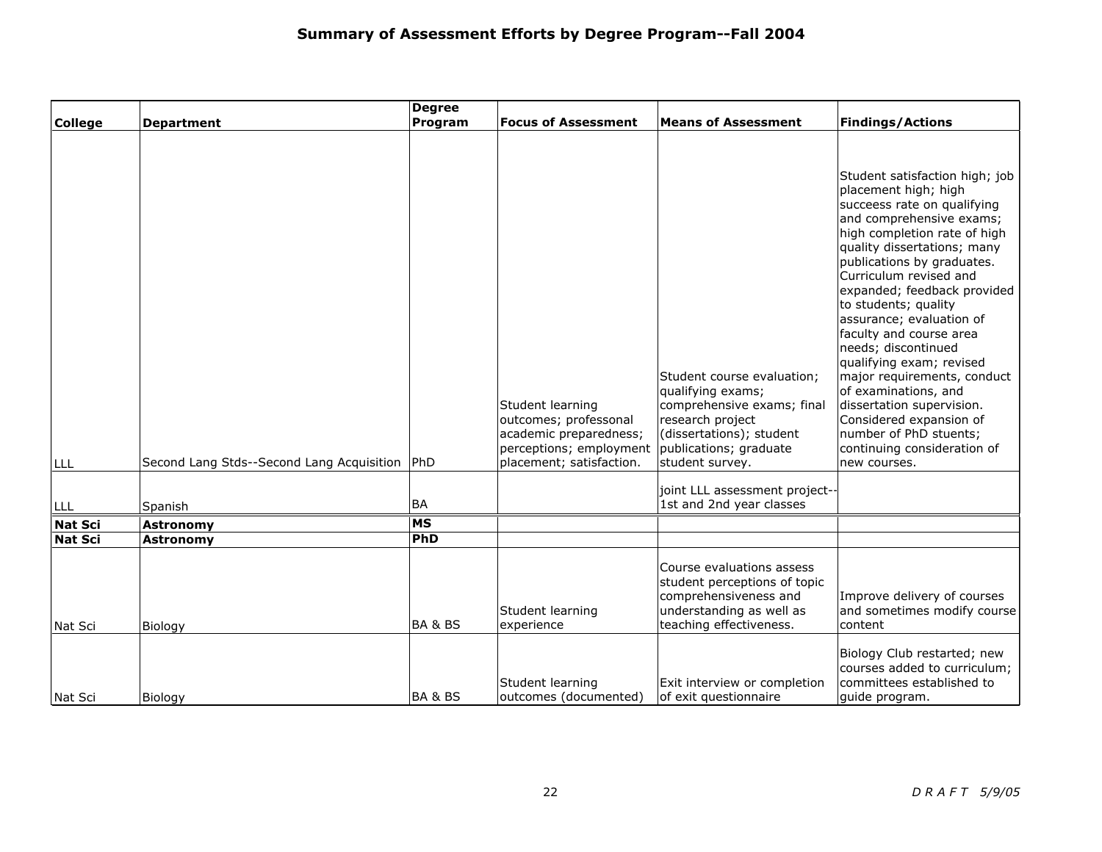|                |                                           | <b>Degree</b>      |                                                                                                                            |                                                                                                                                                                            |                                                                                                                                                                                                                                                                                                                                                                                                                                                                                                                                                                                                   |
|----------------|-------------------------------------------|--------------------|----------------------------------------------------------------------------------------------------------------------------|----------------------------------------------------------------------------------------------------------------------------------------------------------------------------|---------------------------------------------------------------------------------------------------------------------------------------------------------------------------------------------------------------------------------------------------------------------------------------------------------------------------------------------------------------------------------------------------------------------------------------------------------------------------------------------------------------------------------------------------------------------------------------------------|
| <b>College</b> | <b>Department</b>                         | Program            | <b>Focus of Assessment</b>                                                                                                 | <b>Means of Assessment</b>                                                                                                                                                 | <b>Findings/Actions</b>                                                                                                                                                                                                                                                                                                                                                                                                                                                                                                                                                                           |
| <b>LLL</b>     | Second Lang Stds--Second Lang Acquisition | PhD                | Student learning<br>outcomes; professonal<br>academic preparedness;<br>perceptions; employment<br>placement; satisfaction. | Student course evaluation;<br>qualifying exams;<br>comprehensive exams; final<br>research project<br>(dissertations); student<br>publications; graduate<br>student survey. | Student satisfaction high; job<br>placement high; high<br>succeess rate on qualifying<br>and comprehensive exams;<br>high completion rate of high<br>quality dissertations; many<br>publications by graduates.<br>Curriculum revised and<br>expanded; feedback provided<br>to students; quality<br>assurance; evaluation of<br>faculty and course area<br>needs; discontinued<br>qualifying exam; revised<br>major requirements, conduct<br>of examinations, and<br>dissertation supervision.<br>Considered expansion of<br>number of PhD stuents;<br>continuing consideration of<br>new courses. |
| I LLL          | Spanish                                   | BA                 |                                                                                                                            | joint LLL assessment project-<br>1st and 2nd year classes                                                                                                                  |                                                                                                                                                                                                                                                                                                                                                                                                                                                                                                                                                                                                   |
| <b>Nat Sci</b> | <b>Astronomy</b>                          | <b>MS</b>          |                                                                                                                            |                                                                                                                                                                            |                                                                                                                                                                                                                                                                                                                                                                                                                                                                                                                                                                                                   |
| <b>Nat Sci</b> | Astronomy                                 | <b>PhD</b>         |                                                                                                                            |                                                                                                                                                                            |                                                                                                                                                                                                                                                                                                                                                                                                                                                                                                                                                                                                   |
| Nat Sci        | Biology                                   | <b>BA &amp; BS</b> | Student learning<br>experience                                                                                             | Course evaluations assess<br>student perceptions of topic<br>comprehensiveness and<br>understanding as well as<br>teaching effectiveness.                                  | Improve delivery of courses<br>and sometimes modify course<br>content                                                                                                                                                                                                                                                                                                                                                                                                                                                                                                                             |
| Nat Sci        | Biology                                   | <b>BA &amp; BS</b> | Student learning<br>outcomes (documented)                                                                                  | Exit interview or completion<br>of exit questionnaire                                                                                                                      | Biology Club restarted; new<br>courses added to curriculum;<br>committees established to<br>guide program.                                                                                                                                                                                                                                                                                                                                                                                                                                                                                        |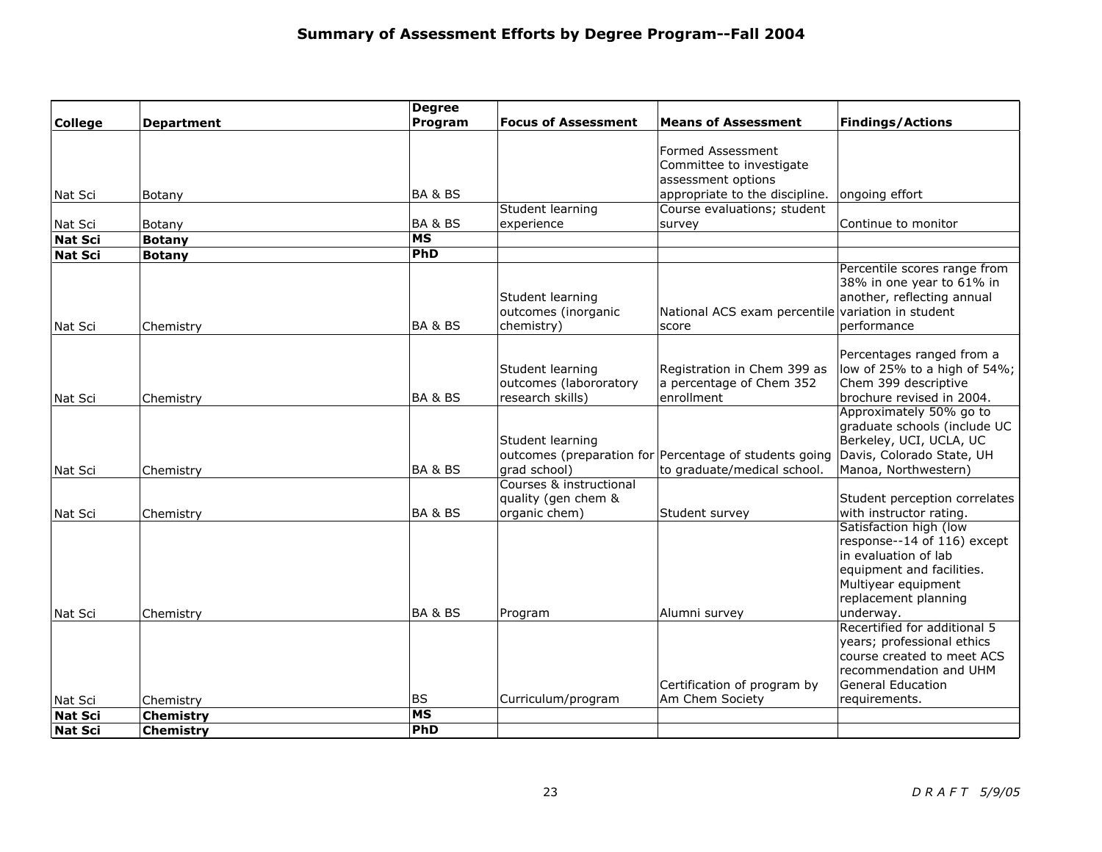|                |                   | <b>Degree</b>            |                            |                                                        |                                                      |
|----------------|-------------------|--------------------------|----------------------------|--------------------------------------------------------|------------------------------------------------------|
| <b>College</b> | <b>Department</b> | Program                  | <b>Focus of Assessment</b> | <b>Means of Assessment</b>                             | <b>Findings/Actions</b>                              |
|                |                   |                          |                            | Formed Assessment                                      |                                                      |
|                |                   |                          |                            | Committee to investigate                               |                                                      |
|                |                   |                          |                            | assessment options                                     |                                                      |
| Nat Sci        | Botany            | <b>BA &amp; BS</b>       |                            | appropriate to the discipline.                         | ongoing effort                                       |
|                |                   |                          | Student learning           | Course evaluations; student                            |                                                      |
| Nat Sci        | Botany            | <b>BA &amp; BS</b>       | experience                 | survey                                                 | Continue to monitor                                  |
| Nat Sci        | <b>Botany</b>     | MS                       |                            |                                                        |                                                      |
| Nat Sci        | <b>Botany</b>     | PhD                      |                            |                                                        |                                                      |
|                |                   |                          |                            |                                                        | Percentile scores range from                         |
|                |                   |                          |                            |                                                        | 38% in one year to 61% in                            |
|                |                   |                          | Student learning           |                                                        | another, reflecting annual                           |
|                |                   |                          | outcomes (inorganic        | National ACS exam percentile variation in student      |                                                      |
| Nat Sci        | Chemistry         | <b>BA &amp; BS</b>       | chemistry)                 | score                                                  | performance                                          |
|                |                   |                          |                            |                                                        |                                                      |
|                |                   |                          |                            |                                                        | Percentages ranged from a                            |
|                |                   |                          | Student learning           | Registration in Chem 399 as                            | low of 25% to a high of 54%;                         |
|                |                   |                          | outcomes (labororatory     | a percentage of Chem 352<br>enrollment                 | Chem 399 descriptive                                 |
| Nat Sci        | Chemistry         | <b>BA &amp; BS</b>       | research skills)           |                                                        | brochure revised in 2004.<br>Approximately 50% go to |
|                |                   |                          |                            |                                                        | graduate schools (include UC                         |
|                |                   |                          | Student learning           |                                                        | Berkeley, UCI, UCLA, UC                              |
|                |                   |                          |                            | outcomes (preparation for Percentage of students going | Davis, Colorado State, UH                            |
| Nat Sci        | Chemistry         | BA & BS                  | grad school)               | to graduate/medical school.                            | Manoa, Northwestern)                                 |
|                |                   |                          | Courses & instructional    |                                                        |                                                      |
|                |                   |                          | quality (gen chem &        |                                                        | Student perception correlates                        |
| Nat Sci        | Chemistry         | <b>BA &amp; BS</b>       | organic chem)              | Student survey                                         | with instructor rating.                              |
|                |                   |                          |                            |                                                        | Satisfaction high (low                               |
|                |                   |                          |                            |                                                        | response--14 of 116) except                          |
|                |                   |                          |                            |                                                        | in evaluation of lab                                 |
|                |                   |                          |                            |                                                        | equipment and facilities.                            |
|                |                   |                          |                            |                                                        | Multiyear equipment                                  |
|                |                   |                          |                            |                                                        | replacement planning                                 |
| Nat Sci        | Chemistry         | <b>BA &amp; BS</b>       | Program                    | Alumni survey                                          | underway.                                            |
|                |                   |                          |                            |                                                        | Recertified for additional 5                         |
|                |                   |                          |                            |                                                        | years; professional ethics                           |
|                |                   |                          |                            |                                                        | course created to meet ACS                           |
|                |                   |                          |                            |                                                        | recommendation and UHM                               |
|                |                   |                          |                            | Certification of program by                            | <b>General Education</b>                             |
| Nat Scil       | Chemistry         | <b>BS</b>                | Curriculum/program         | Am Chem Society                                        | requirements.                                        |
| Nat Sci        | <b>Chemistry</b>  | $\overline{\mathsf{MS}}$ |                            |                                                        |                                                      |
| Nat Sci        | Chemistry         | PhD                      |                            |                                                        |                                                      |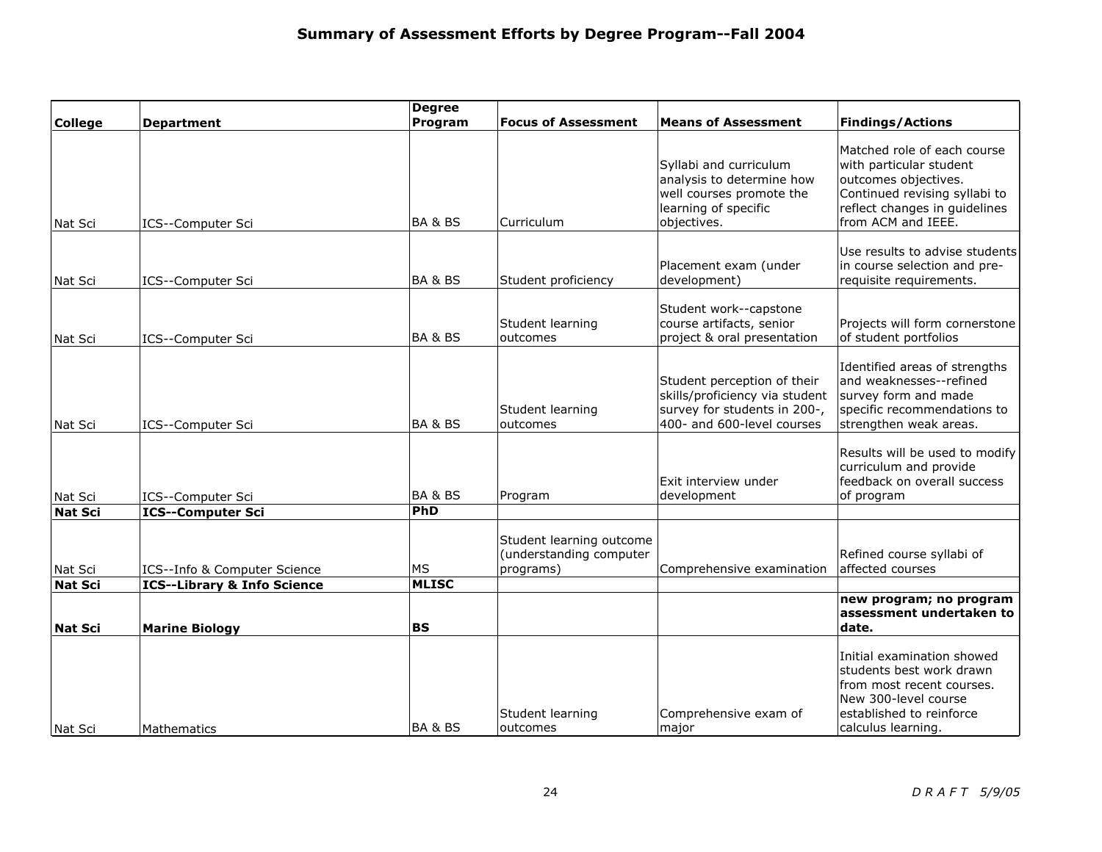|                |                                        | <b>Degree</b>      |                                                                  |                                                                                                                             |                                                                                                                                                                        |
|----------------|----------------------------------------|--------------------|------------------------------------------------------------------|-----------------------------------------------------------------------------------------------------------------------------|------------------------------------------------------------------------------------------------------------------------------------------------------------------------|
| <b>College</b> | <b>Department</b>                      | Program            | <b>Focus of Assessment</b>                                       | <b>Means of Assessment</b>                                                                                                  | <b>Findings/Actions</b>                                                                                                                                                |
| Nat Sci        | ICS--Computer Sci                      | BA & BS            | Curriculum                                                       | Syllabi and curriculum<br>analysis to determine how<br>well courses promote the<br>learning of specific<br>objectives.      | Matched role of each course<br>with particular student<br>outcomes objectives.<br>Continued revising syllabi to<br>reflect changes in guidelines<br>from ACM and IEEE. |
| Nat Sci        | ICS--Computer Sci                      | BA & BS            | Student proficiency                                              | Placement exam (under<br>development)                                                                                       | Use results to advise students<br>in course selection and pre-<br>requisite requirements.                                                                              |
| Nat Sci        | ICS--Computer Sci                      | <b>BA &amp; BS</b> | Student learning<br>outcomes                                     | Student work--capstone<br>course artifacts, senior<br>project & oral presentation                                           | Projects will form cornerstone<br>of student portfolios                                                                                                                |
| Nat Sci        | ICS--Computer Sci                      | <b>BA &amp; BS</b> | Student learning<br>outcomes                                     | Student perception of their<br>skills/proficiency via student<br>survey for students in 200-,<br>400- and 600-level courses | Identified areas of strengths<br>and weaknesses--refined<br>survey form and made<br>specific recommendations to<br>strengthen weak areas.                              |
| Nat Sci        | ICS--Computer Sci                      | <b>BA &amp; BS</b> | Program                                                          | Exit interview under<br>development                                                                                         | Results will be used to modify<br>curriculum and provide<br>feedback on overall success<br>of program                                                                  |
| <b>Nat Sci</b> | <b>ICS--Computer Sci</b>               | PhD                |                                                                  |                                                                                                                             |                                                                                                                                                                        |
| Nat Sci        | ICS--Info & Computer Science           | <b>MS</b>          | Student learning outcome<br>(understanding computer<br>programs) | Comprehensive examination                                                                                                   | Refined course syllabi of<br>affected courses                                                                                                                          |
| <b>Nat Sci</b> | <b>ICS--Library &amp; Info Science</b> | <b>MLISC</b>       |                                                                  |                                                                                                                             |                                                                                                                                                                        |
| <b>Nat Sci</b> | <b>Marine Biology</b>                  | <b>BS</b>          |                                                                  |                                                                                                                             | new program; no program<br>assessment undertaken to<br>date.                                                                                                           |
| Nat Sci        | Mathematics                            | <b>BA &amp; BS</b> | Student learning<br>outcomes                                     | Comprehensive exam of<br>major                                                                                              | Initial examination showed<br>students best work drawn<br>from most recent courses.<br>New 300-level course<br>established to reinforce<br>calculus learning.          |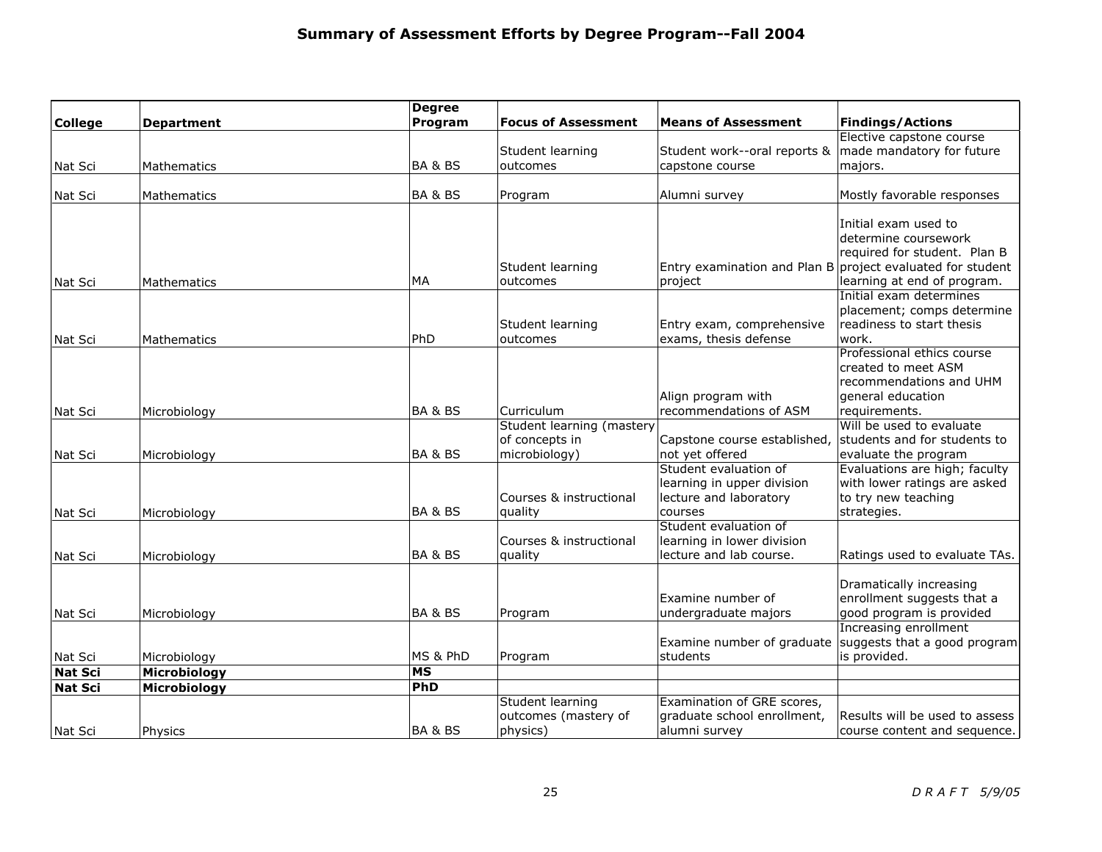|                           |                   | <b>Degree</b>            |                            |                              |                                                            |
|---------------------------|-------------------|--------------------------|----------------------------|------------------------------|------------------------------------------------------------|
| <b>College</b>            | <b>Department</b> | Program                  | <b>Focus of Assessment</b> | <b>Means of Assessment</b>   | <b>Findings/Actions</b>                                    |
|                           |                   |                          |                            |                              | Elective capstone course                                   |
|                           |                   |                          | Student learning           | Student work--oral reports & | made mandatory for future                                  |
| Nat Sci                   | Mathematics       | BA & BS                  | outcomes                   | capstone course              | majors.                                                    |
|                           |                   |                          |                            |                              |                                                            |
| Nat Sci                   | Mathematics       | <b>BA &amp; BS</b>       | Program                    | Alumni survey                | Mostly favorable responses                                 |
|                           |                   |                          |                            |                              |                                                            |
|                           |                   |                          |                            |                              | Initial exam used to<br>determine coursework               |
|                           |                   |                          |                            |                              | required for student. Plan B                               |
|                           |                   |                          | Student learning           |                              | Entry examination and Plan B project evaluated for student |
| Nat Sci                   | Mathematics       | MA                       | outcomes                   | project                      | learning at end of program.                                |
|                           |                   |                          |                            |                              | Initial exam determines                                    |
|                           |                   |                          |                            |                              | placement; comps determine                                 |
|                           |                   |                          | Student learning           | Entry exam, comprehensive    | readiness to start thesis                                  |
| Nat Sci                   | Mathematics       | PhD                      | outcomes                   | exams, thesis defense        | work.                                                      |
|                           |                   |                          |                            |                              | Professional ethics course                                 |
|                           |                   |                          |                            |                              | created to meet ASM                                        |
|                           |                   |                          |                            |                              | recommendations and UHM                                    |
|                           |                   |                          |                            | Align program with           | general education                                          |
| Nat Sci                   | Microbiology      | <b>BA &amp; BS</b>       | Curriculum                 | recommendations of ASM       | requirements.                                              |
|                           |                   |                          | Student learning (mastery  |                              | Will be used to evaluate                                   |
|                           |                   |                          | of concepts in             | Capstone course established, | students and for students to                               |
| Nat Scil                  | Microbiology      | BA & BS                  | microbiology)              | not yet offered              | evaluate the program                                       |
|                           |                   |                          |                            | Student evaluation of        | Evaluations are high; faculty                              |
|                           |                   |                          |                            | learning in upper division   | with lower ratings are asked                               |
|                           |                   |                          | Courses & instructional    | lecture and laboratory       | to try new teaching                                        |
| Nat Sci                   | Microbiology      | <b>BA &amp; BS</b>       | quality                    | courses                      | strategies.                                                |
|                           |                   |                          |                            | Student evaluation of        |                                                            |
|                           |                   |                          | Courses & instructional    | learning in lower division   |                                                            |
| lNat Sci                  | Microbiology      | BA&BS                    | quality                    | lecture and lab course.      | Ratings used to evaluate TAs.                              |
|                           |                   |                          |                            |                              |                                                            |
|                           |                   |                          |                            |                              | Dramatically increasing                                    |
|                           |                   |                          |                            | Examine number of            | enrollment suggests that a                                 |
| Nat Sci                   | Microbiology      | <b>BA &amp; BS</b>       | Program                    | undergraduate majors         | good program is provided                                   |
|                           |                   |                          |                            | Examine number of graduate   | Increasing enrollment<br>suggests that a good program      |
|                           |                   | MS & PhD                 |                            | students                     | is provided.                                               |
| Nat Sci<br><b>Nat Sci</b> | Microbiology      | $\overline{\mathsf{MS}}$ | Program                    |                              |                                                            |
|                           | Microbiology      | PhD                      |                            |                              |                                                            |
| <b>Nat Sci</b>            | Microbiology      |                          | Student learning           | Examination of GRE scores,   |                                                            |
|                           |                   |                          | outcomes (mastery of       | graduate school enrollment,  | Results will be used to assess                             |
| Nat Sci                   | Physics           | <b>BA &amp; BS</b>       | physics)                   | alumni survey                | course content and sequence.                               |
|                           |                   |                          |                            |                              |                                                            |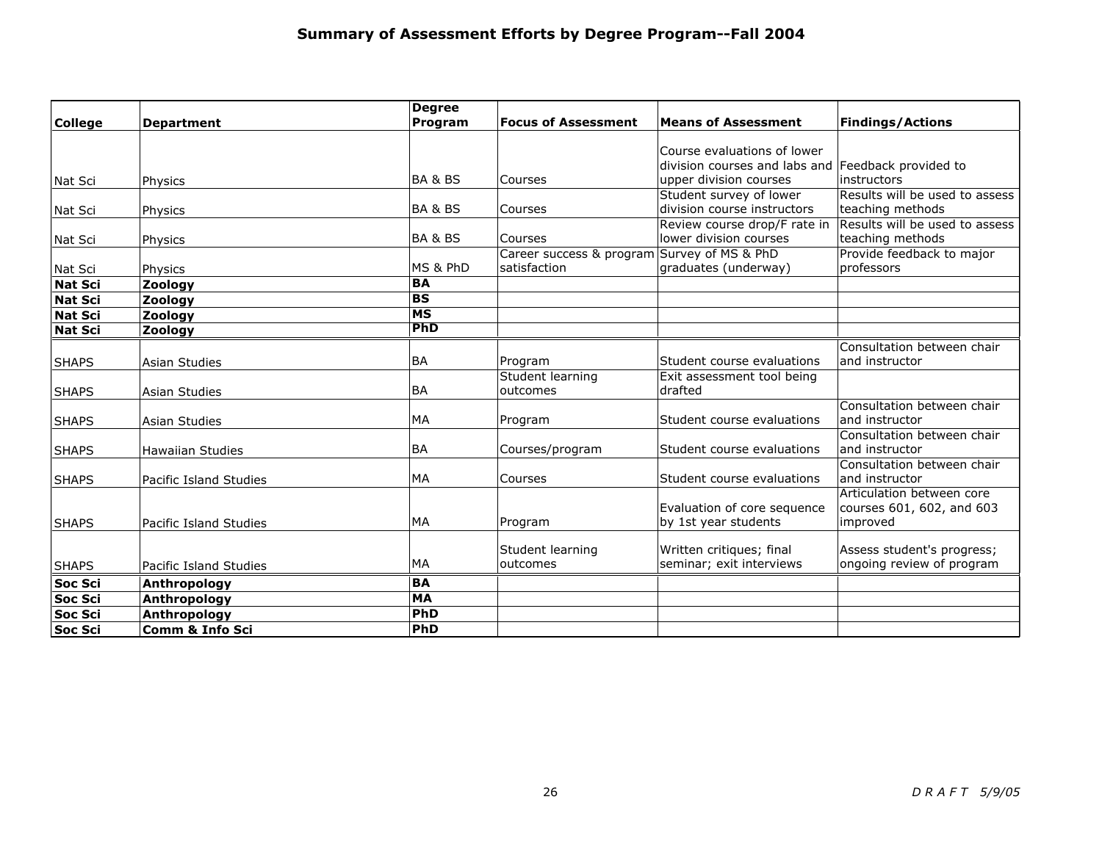|                |                               | <b>Degree</b> |                                             |                                                    |                                |
|----------------|-------------------------------|---------------|---------------------------------------------|----------------------------------------------------|--------------------------------|
| <b>College</b> | <b>Department</b>             | Program       | <b>Focus of Assessment</b>                  | <b>Means of Assessment</b>                         | <b>Findings/Actions</b>        |
|                |                               |               |                                             |                                                    |                                |
|                |                               |               |                                             | Course evaluations of lower                        |                                |
|                |                               |               |                                             | division courses and labs and Feedback provided to |                                |
| Nat Sci        | Physics                       | BA & BS       | Courses                                     | upper division courses                             | instructors                    |
|                |                               |               |                                             | Student survey of lower                            | Results will be used to assess |
| Nat Scil       | Physics                       | BA & BS       | Courses                                     | division course instructors                        | teaching methods               |
|                |                               |               |                                             | Review course drop/F rate in                       | Results will be used to assess |
| Nat Sci        | Physics                       | BA & BS       | Courses                                     | lower division courses                             | teaching methods               |
|                |                               |               | Career success & program Survey of MS & PhD |                                                    | Provide feedback to major      |
| Nat Sci        | Physics                       | MS & PhD      | satisfaction                                | graduates (underway)                               | professors                     |
| Nat Scil       | Zoology                       | <b>BA</b>     |                                             |                                                    |                                |
| Nat Sci        | Zoology                       | <b>BS</b>     |                                             |                                                    |                                |
| Nat Sci        | Zoology                       | <b>MS</b>     |                                             |                                                    |                                |
| Nat Sci        | Zoology                       | PhD           |                                             |                                                    |                                |
|                |                               |               |                                             |                                                    | Consultation between chair     |
| <b>SHAPS</b>   | Asian Studies                 | <b>BA</b>     | Program                                     | Student course evaluations                         | and instructor                 |
|                |                               |               | Student learning                            | Exit assessment tool being                         |                                |
| <b>SHAPS</b>   | <b>Asian Studies</b>          | <b>BA</b>     | outcomes                                    | drafted                                            |                                |
|                |                               |               |                                             |                                                    | Consultation between chair     |
| <b>SHAPS</b>   | <b>Asian Studies</b>          | <b>MA</b>     | Program                                     | Student course evaluations                         | and instructor                 |
|                |                               |               |                                             |                                                    | Consultation between chair     |
| <b>SHAPS</b>   | <b>Hawaiian Studies</b>       | <b>BA</b>     | Courses/program                             | Student course evaluations                         | and instructor                 |
|                |                               |               |                                             |                                                    | Consultation between chair     |
| <b>SHAPS</b>   | <b>Pacific Island Studies</b> | <b>MA</b>     | Courses                                     | Student course evaluations                         | and instructor                 |
|                |                               |               |                                             |                                                    | Articulation between core      |
|                |                               |               |                                             | Evaluation of core sequence                        | courses 601, 602, and 603      |
| <b>SHAPS</b>   | <b>Pacific Island Studies</b> | <b>MA</b>     | Program                                     | by 1st year students                               | improved                       |
|                |                               |               |                                             |                                                    |                                |
|                |                               |               | Student learning                            | Written critiques; final                           | Assess student's progress;     |
| <b>SHAPS</b>   | Pacific Island Studies        | MA            | outcomes                                    | seminar; exit interviews                           | ongoing review of program      |
| Soc Sci        | Anthropology                  | <b>BA</b>     |                                             |                                                    |                                |
| Soc Sci        | Anthropology                  | <b>MA</b>     |                                             |                                                    |                                |
| <b>Soc Sci</b> | Anthropology                  | PhD           |                                             |                                                    |                                |
| <b>Soc Sci</b> | <b>Comm &amp; Info Sci</b>    | PhD           |                                             |                                                    |                                |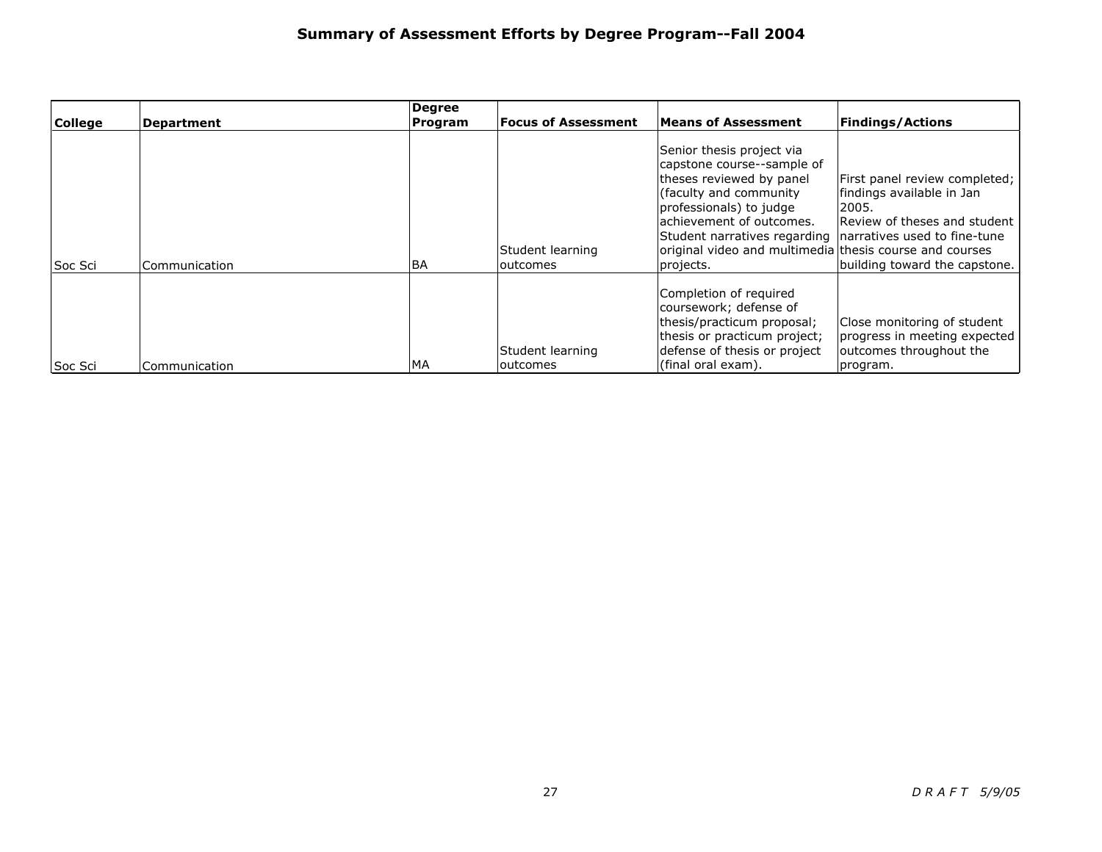|                |                   | Degree    | <b>Focus of Assessment</b>   | <b>Means of Assessment</b>                                                                                                                                                                                                                                                                                 |                                                                                                                                      |
|----------------|-------------------|-----------|------------------------------|------------------------------------------------------------------------------------------------------------------------------------------------------------------------------------------------------------------------------------------------------------------------------------------------------------|--------------------------------------------------------------------------------------------------------------------------------------|
| <b>College</b> | <b>Department</b> | Program   |                              |                                                                                                                                                                                                                                                                                                            | <b>Findings/Actions</b>                                                                                                              |
| lSoc Sci       | Communication     | <b>BA</b> | Student learning<br>outcomes | Senior thesis project via<br>capstone course--sample of<br>theses reviewed by panel<br>(faculty and community)<br>professionals) to judge<br>achievement of outcomes.<br>Student narratives regarding narratives used to fine-tune<br>original video and multimedia thesis course and courses<br>projects. | First panel review completed;<br>findings available in Jan<br>2005.<br>Review of theses and student<br>building toward the capstone. |
| Soc Sci        | Communication     | MA        | Student learning<br>outcomes | Completion of required<br>coursework; defense of<br>thesis/practicum proposal;<br>thesis or practicum project;<br>defense of thesis or project<br>(final oral exam).                                                                                                                                       | Close monitoring of student<br>progress in meeting expected<br>outcomes throughout the<br>program.                                   |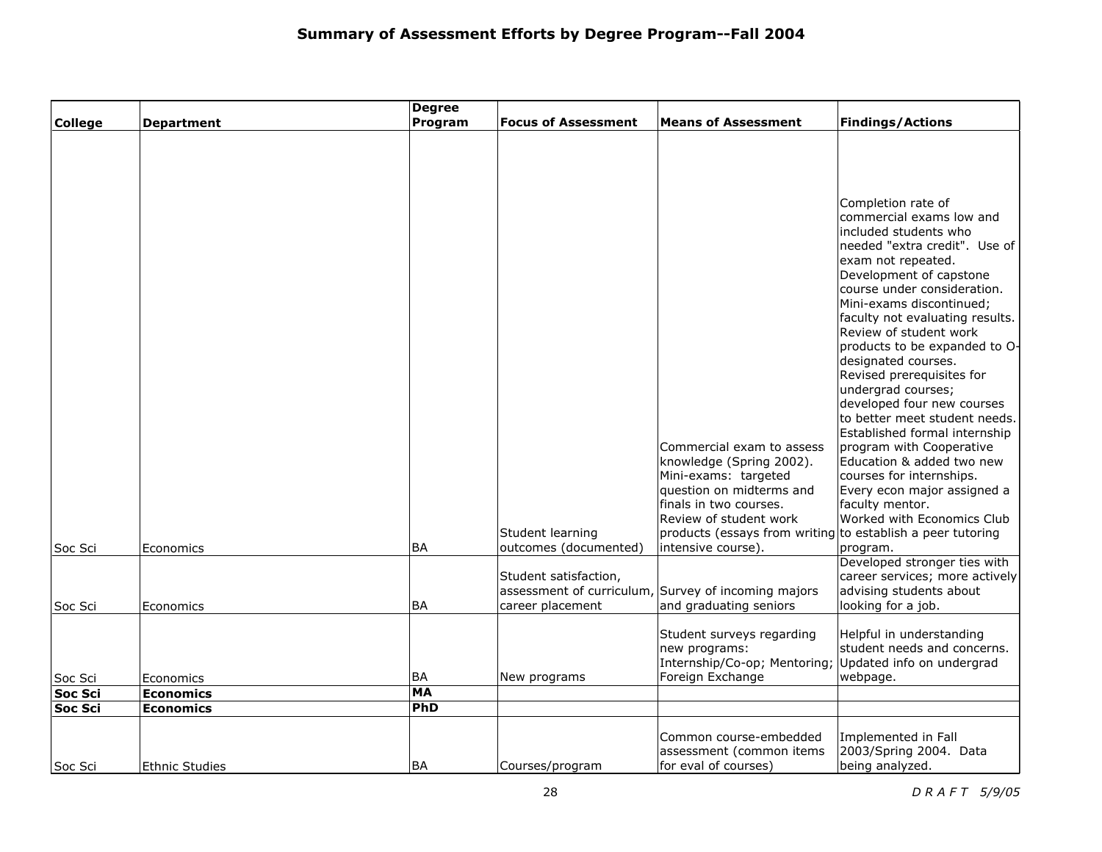|                |                       | <b>Degree</b>    |                            |                                                            |                                                             |
|----------------|-----------------------|------------------|----------------------------|------------------------------------------------------------|-------------------------------------------------------------|
| <b>College</b> | <b>Department</b>     | Program          | <b>Focus of Assessment</b> | <b>Means of Assessment</b>                                 | <b>Findings/Actions</b>                                     |
|                |                       |                  |                            |                                                            |                                                             |
|                |                       |                  |                            |                                                            |                                                             |
|                |                       |                  |                            |                                                            |                                                             |
|                |                       |                  |                            |                                                            |                                                             |
|                |                       |                  |                            |                                                            | Completion rate of<br>commercial exams low and              |
|                |                       |                  |                            |                                                            | included students who                                       |
|                |                       |                  |                            |                                                            | needed "extra credit". Use of                               |
|                |                       |                  |                            |                                                            | exam not repeated.                                          |
|                |                       |                  |                            |                                                            | Development of capstone                                     |
|                |                       |                  |                            |                                                            | course under consideration.                                 |
|                |                       |                  |                            |                                                            | Mini-exams discontinued:<br>faculty not evaluating results. |
|                |                       |                  |                            |                                                            | Review of student work                                      |
|                |                       |                  |                            |                                                            | products to be expanded to O-                               |
|                |                       |                  |                            |                                                            | designated courses.                                         |
|                |                       |                  |                            |                                                            | Revised prerequisites for                                   |
|                |                       |                  |                            |                                                            | undergrad courses;<br>developed four new courses            |
|                |                       |                  |                            |                                                            | to better meet student needs.                               |
|                |                       |                  |                            |                                                            | Established formal internship                               |
|                |                       |                  |                            | Commercial exam to assess                                  | program with Cooperative                                    |
|                |                       |                  |                            | knowledge (Spring 2002).                                   | Education & added two new                                   |
|                |                       |                  |                            | Mini-exams: targeted                                       | courses for internships.                                    |
|                |                       |                  |                            | question on midterms and<br>finals in two courses.         | Every econ major assigned a<br>faculty mentor.              |
|                |                       |                  |                            | Review of student work                                     | Worked with Economics Club                                  |
|                |                       |                  | Student learning           | products (essays from writing to establish a peer tutoring |                                                             |
| Soc Sci        | Economics             | BA               | outcomes (documented)      | intensive course).                                         | program.                                                    |
|                |                       |                  |                            |                                                            | Developed stronger ties with                                |
|                |                       |                  | Student satisfaction,      |                                                            | career services; more actively                              |
|                |                       | <b>BA</b>        |                            | assessment of curriculum, Survey of incoming majors        | advising students about                                     |
| Soc Sci        | Economics             |                  | career placement           | and graduating seniors                                     | looking for a job.                                          |
|                |                       |                  |                            | Student surveys regarding                                  | Helpful in understanding                                    |
|                |                       |                  |                            | new programs:                                              | student needs and concerns.                                 |
|                |                       |                  |                            | Internship/Co-op; Mentoring;                               | Updated info on undergrad                                   |
| Soc Sci        | Economics             | BA               | New programs               | Foreign Exchange                                           | webpage.                                                    |
| <b>Soc Sci</b> | <b>Economics</b>      | <b>MA</b><br>PhD |                            |                                                            |                                                             |
| <b>Soc Sci</b> | <b>Economics</b>      |                  |                            |                                                            |                                                             |
|                |                       |                  |                            | Common course-embedded                                     | Implemented in Fall                                         |
|                |                       |                  |                            | assessment (common items                                   | 2003/Spring 2004. Data                                      |
| Soc Sci        | <b>Ethnic Studies</b> | BA               | Courses/program            | for eval of courses)                                       | being analyzed.                                             |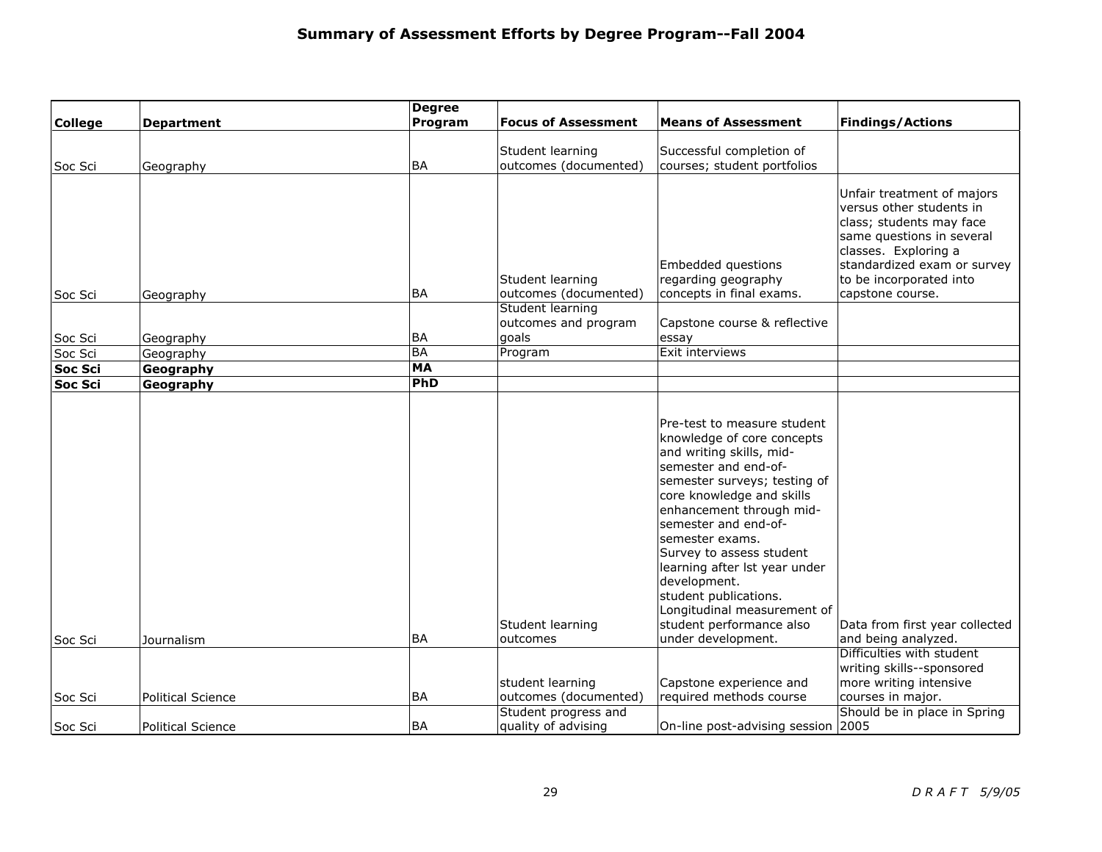|                     |                          | <b>Degree</b> |                                                  |                                                                                                                                                                                                                                                                                                                                                                                                                                                                     |                                                                                                                                                                                                                       |
|---------------------|--------------------------|---------------|--------------------------------------------------|---------------------------------------------------------------------------------------------------------------------------------------------------------------------------------------------------------------------------------------------------------------------------------------------------------------------------------------------------------------------------------------------------------------------------------------------------------------------|-----------------------------------------------------------------------------------------------------------------------------------------------------------------------------------------------------------------------|
| <b>College</b>      | <b>Department</b>        | Program       | <b>Focus of Assessment</b>                       | <b>Means of Assessment</b>                                                                                                                                                                                                                                                                                                                                                                                                                                          | <b>Findings/Actions</b>                                                                                                                                                                                               |
|                     |                          |               | Student learning                                 | Successful completion of                                                                                                                                                                                                                                                                                                                                                                                                                                            |                                                                                                                                                                                                                       |
| Soc Sci             | Geography                | <b>BA</b>     | outcomes (documented)                            | courses; student portfolios                                                                                                                                                                                                                                                                                                                                                                                                                                         |                                                                                                                                                                                                                       |
|                     |                          |               |                                                  |                                                                                                                                                                                                                                                                                                                                                                                                                                                                     |                                                                                                                                                                                                                       |
| Soc Sci             | Geography                | <b>BA</b>     | Student learning<br>outcomes (documented)        | Embedded questions<br>regarding geography<br>concepts in final exams.                                                                                                                                                                                                                                                                                                                                                                                               | Unfair treatment of majors<br>versus other students in<br>class; students may face<br>same questions in several<br>classes. Exploring a<br>standardized exam or survey<br>to be incorporated into<br>capstone course. |
|                     |                          |               | Student learning                                 |                                                                                                                                                                                                                                                                                                                                                                                                                                                                     |                                                                                                                                                                                                                       |
|                     |                          |               | outcomes and program                             | Capstone course & reflective                                                                                                                                                                                                                                                                                                                                                                                                                                        |                                                                                                                                                                                                                       |
| Soc Sci             | Geography                | <b>BA</b>     | goals                                            | essay                                                                                                                                                                                                                                                                                                                                                                                                                                                               |                                                                                                                                                                                                                       |
| Soc Sci             | Geography                | <b>BA</b>     | Program                                          | Exit interviews                                                                                                                                                                                                                                                                                                                                                                                                                                                     |                                                                                                                                                                                                                       |
| Soc Sci             | Geography                | <b>MA</b>     |                                                  |                                                                                                                                                                                                                                                                                                                                                                                                                                                                     |                                                                                                                                                                                                                       |
| $ {\tt Soc\, Sci} $ | Geography                | PhD           |                                                  |                                                                                                                                                                                                                                                                                                                                                                                                                                                                     |                                                                                                                                                                                                                       |
| Soc Sci             | Journalism               | <b>BA</b>     | Student learning<br>outcomes<br>student learning | Pre-test to measure student<br>knowledge of core concepts<br>and writing skills, mid-<br>semester and end-of-<br>semester surveys; testing of<br>core knowledge and skills<br>enhancement through mid-<br>semester and end-of-<br>semester exams.<br>Survey to assess student<br>learning after lst year under<br>development.<br>student publications.<br>Longitudinal measurement of<br>student performance also<br>under development.<br>Capstone experience and | Data from first year collected<br>and being analyzed.<br>Difficulties with student<br>writing skills--sponsored<br>more writing intensive                                                                             |
| Soc Sci             | <b>Political Science</b> | <b>BA</b>     | outcomes (documented)                            | required methods course                                                                                                                                                                                                                                                                                                                                                                                                                                             | courses in major.                                                                                                                                                                                                     |
| Soc Sci             | <b>Political Science</b> | <b>BA</b>     | Student progress and<br>quality of advising      | On-line post-advising session 2005                                                                                                                                                                                                                                                                                                                                                                                                                                  | Should be in place in Spring                                                                                                                                                                                          |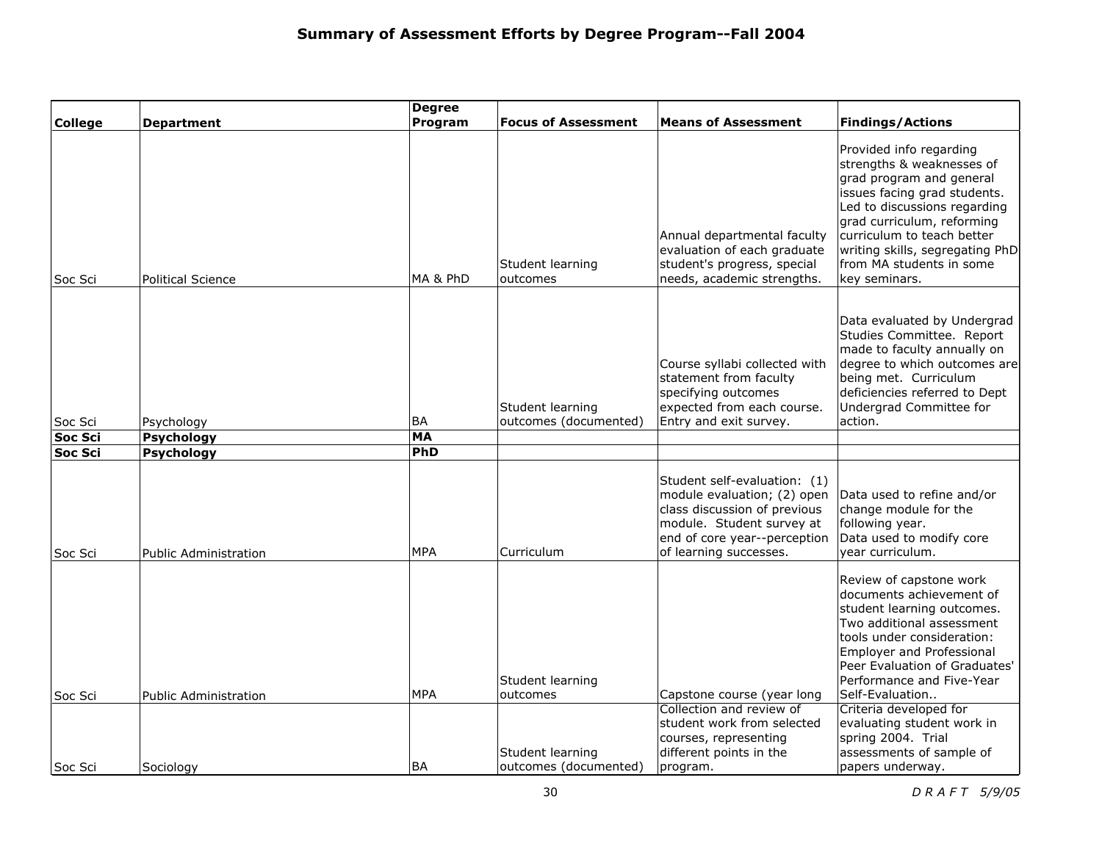| <b>College</b> | <b>Department</b>            | <b>Degree</b><br>Program | <b>Focus of Assessment</b>                | <b>Means of Assessment</b>                                                                                                                                                         | <b>Findings/Actions</b>                                                                                                                                                                                                                                                                      |
|----------------|------------------------------|--------------------------|-------------------------------------------|------------------------------------------------------------------------------------------------------------------------------------------------------------------------------------|----------------------------------------------------------------------------------------------------------------------------------------------------------------------------------------------------------------------------------------------------------------------------------------------|
| Soc Sci        | <b>Political Science</b>     | MA & PhD                 | Student learning<br>outcomes              | Annual departmental faculty<br>evaluation of each graduate<br>student's progress, special<br>needs, academic strengths.                                                            | Provided info regarding<br>strengths & weaknesses of<br>grad program and general<br>issues facing grad students.<br>Led to discussions regarding<br>grad curriculum, reforming<br>curriculum to teach better<br>writing skills, segregating PhD<br>from MA students in some<br>key seminars. |
| Soc Sci        | Psychology                   | <b>BA</b>                | Student learning<br>outcomes (documented) | Course syllabi collected with<br>statement from faculty<br>specifying outcomes<br>expected from each course.<br>Entry and exit survey.                                             | Data evaluated by Undergrad<br>Studies Committee. Report<br>made to faculty annually on<br>degree to which outcomes are<br>being met. Curriculum<br>deficiencies referred to Dept<br>Undergrad Committee for<br>action.                                                                      |
| Soc Sci        | <b>Psychology</b>            | <b>MA</b>                |                                           |                                                                                                                                                                                    |                                                                                                                                                                                                                                                                                              |
| Soc Sci        | <b>Psychology</b>            | PhD                      |                                           |                                                                                                                                                                                    |                                                                                                                                                                                                                                                                                              |
| Soc Sci        | <b>Public Administration</b> | <b>MPA</b>               | Curriculum                                | Student self-evaluation: (1)<br>module evaluation; (2) open<br>class discussion of previous<br>module. Student survey at<br>end of core year--perception<br>of learning successes. | Data used to refine and/or<br>change module for the<br>following year.<br>Data used to modify core<br>year curriculum.                                                                                                                                                                       |
| Soc Sci        | <b>Public Administration</b> | <b>MPA</b>               | Student learning<br>outcomes              | Capstone course (year long                                                                                                                                                         | Review of capstone work<br>documents achievement of<br>student learning outcomes.<br>Two additional assessment<br>tools under consideration:<br><b>Employer and Professional</b><br>Peer Evaluation of Graduates'<br>Performance and Five-Year<br>Self-Evaluation                            |
|                |                              |                          | Student learning                          | Collection and review of<br>student work from selected<br>courses, representing<br>different points in the                                                                         | Criteria developed for<br>evaluating student work in<br>spring 2004. Trial<br>assessments of sample of                                                                                                                                                                                       |
| Soc Sci        | Sociology                    | <b>BA</b>                | outcomes (documented)                     | program.                                                                                                                                                                           | papers underway.                                                                                                                                                                                                                                                                             |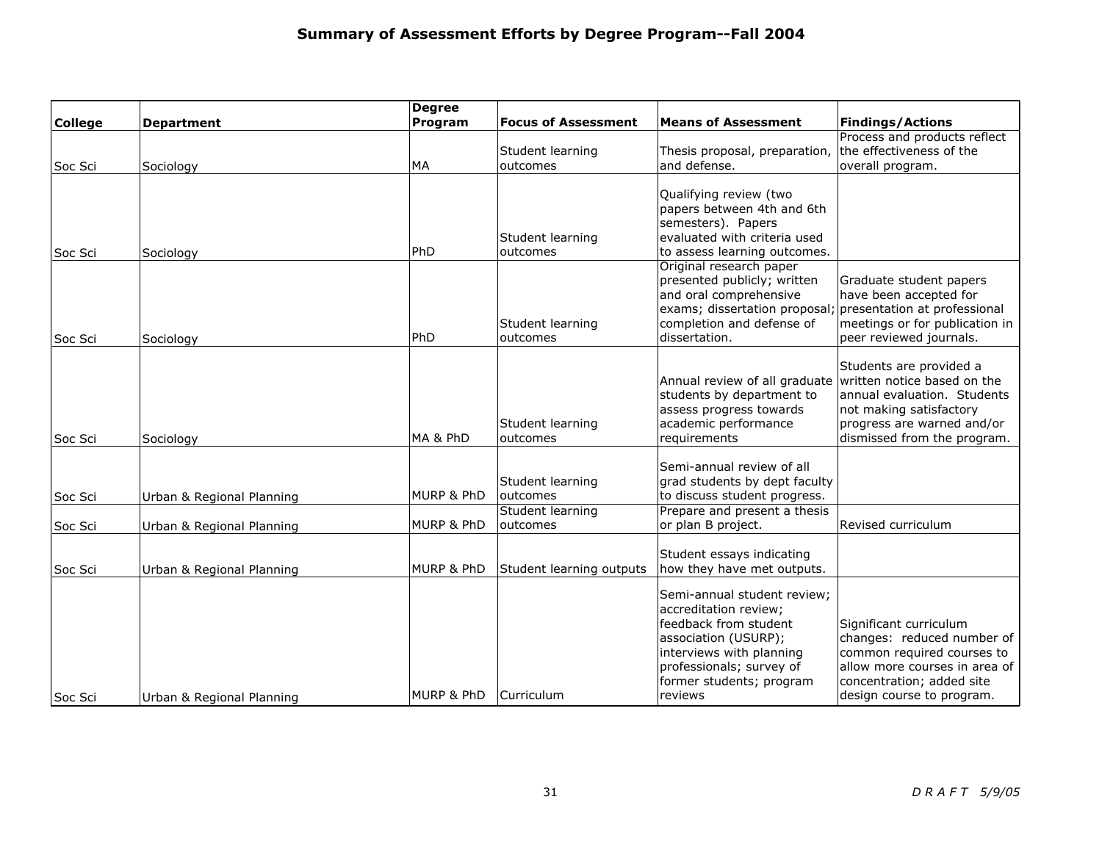|                |                           | <b>Degree</b>         |                              |                                                                                                                                                                                                      |                                                                                                                                                                               |
|----------------|---------------------------|-----------------------|------------------------------|------------------------------------------------------------------------------------------------------------------------------------------------------------------------------------------------------|-------------------------------------------------------------------------------------------------------------------------------------------------------------------------------|
| <b>College</b> | <b>Department</b>         | Program               | <b>Focus of Assessment</b>   | <b>Means of Assessment</b>                                                                                                                                                                           | <b>Findings/Actions</b>                                                                                                                                                       |
| lSoc Sci       | Sociology                 | MA                    | Student learning<br>outcomes | Thesis proposal, preparation,<br>and defense.                                                                                                                                                        | Process and products reflect<br>the effectiveness of the<br>overall program.                                                                                                  |
| Soc Sci        | Sociology                 | PhD                   | Student learning<br>outcomes | Qualifying review (two<br>papers between 4th and 6th<br>semesters). Papers<br>evaluated with criteria used<br>to assess learning outcomes.                                                           |                                                                                                                                                                               |
| Soc Sci        | Sociology                 | PhD                   | Student learning<br>outcomes | Original research paper<br>presented publicly; written<br>and oral comprehensive<br>exams; dissertation proposal;<br>completion and defense of<br>dissertation.                                      | Graduate student papers<br>have been accepted for<br>presentation at professional<br>meetings or for publication in<br>peer reviewed journals.                                |
| Soc Sci        | Sociology                 | MA & PhD              | Student learning<br>outcomes | Annual review of all graduate<br>students by department to<br>assess progress towards<br>academic performance<br>requirements                                                                        | Students are provided a<br>written notice based on the<br>annual evaluation. Students<br>not making satisfactory<br>progress are warned and/or<br>dismissed from the program. |
| Soc Sci        | Urban & Regional Planning | MURP & PhD            | Student learning<br>outcomes | Semi-annual review of all<br>grad students by dept faculty<br>to discuss student progress.                                                                                                           |                                                                                                                                                                               |
| Soc Sci        | Urban & Regional Planning | MURP & PhD            | Student learning<br>outcomes | Prepare and present a thesis<br>or plan B project.                                                                                                                                                   | Revised curriculum                                                                                                                                                            |
| Soc Sci        | Urban & Regional Planning | <b>MURP &amp; PhD</b> | Student learning outputs     | Student essays indicating<br>how they have met outputs.                                                                                                                                              |                                                                                                                                                                               |
| Soc Sci        | Urban & Regional Planning | MURP & PhD            | Curriculum                   | Semi-annual student review;<br>accreditation review;<br>feedback from student<br>association (USURP);<br>interviews with planning<br>professionals; survey of<br>former students; program<br>reviews | Significant curriculum<br>changes: reduced number of<br>common required courses to<br>allow more courses in area of<br>concentration; added site<br>design course to program. |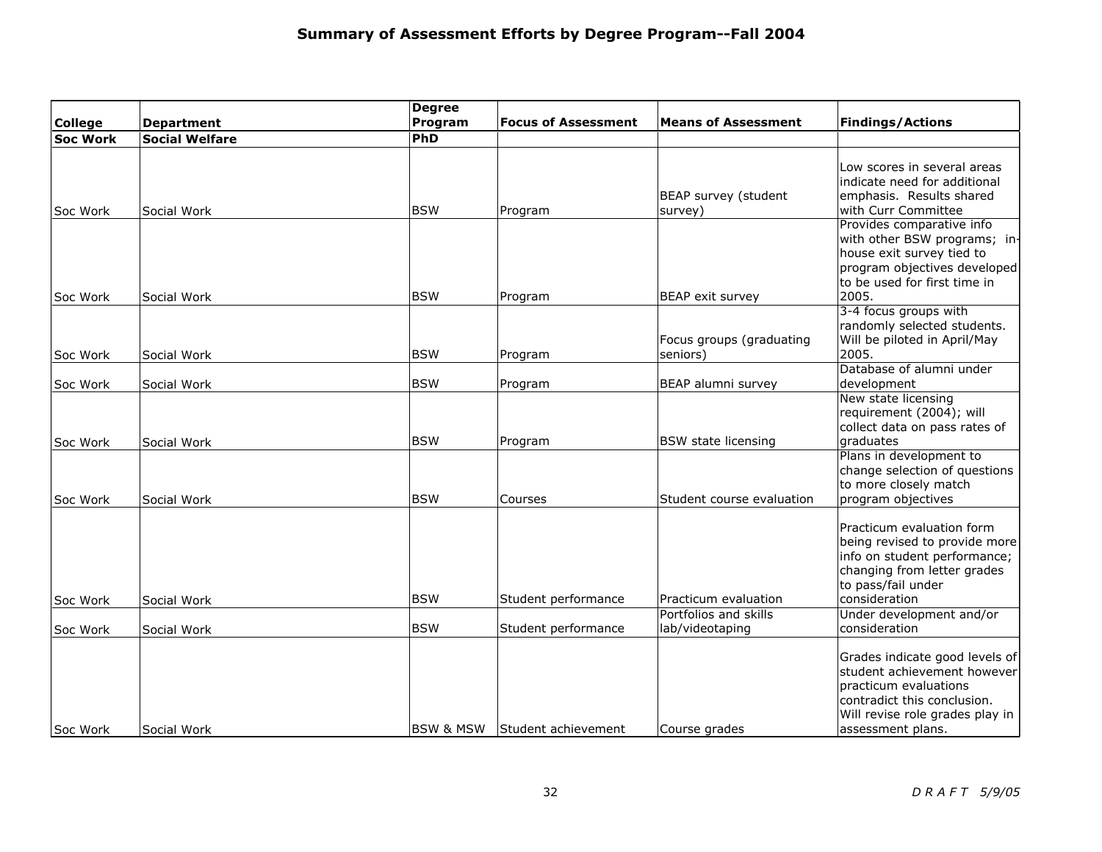| <b>College</b>  | <b>Department</b>     | <b>Degree</b><br>Program | <b>Focus of Assessment</b> | <b>Means of Assessment</b> | <b>Findings/Actions</b>         |
|-----------------|-----------------------|--------------------------|----------------------------|----------------------------|---------------------------------|
| <b>Soc Work</b> | <b>Social Welfare</b> | PhD                      |                            |                            |                                 |
|                 |                       |                          |                            |                            |                                 |
|                 |                       |                          |                            |                            | Low scores in several areas     |
|                 |                       |                          |                            |                            | indicate need for additional    |
|                 |                       |                          |                            | BEAP survey (student       | emphasis. Results shared        |
| Soc Work        | Social Work           | <b>BSW</b>               | Program                    | survey)                    | with Curr Committee             |
|                 |                       |                          |                            |                            | Provides comparative info       |
|                 |                       |                          |                            |                            | with other BSW programs; in-    |
|                 |                       |                          |                            |                            | house exit survey tied to       |
|                 |                       |                          |                            |                            | program objectives developed    |
|                 |                       |                          |                            |                            | to be used for first time in    |
| Soc Work        | Social Work           | <b>BSW</b>               | Program                    | BEAP exit survey           | 2005.                           |
|                 |                       |                          |                            |                            | 3-4 focus groups with           |
|                 |                       |                          |                            |                            | randomly selected students.     |
|                 |                       |                          |                            | Focus groups (graduating   | Will be piloted in April/May    |
| Soc Work        | Social Work           | <b>BSW</b>               | Program                    | seniors)                   | 2005.                           |
|                 |                       |                          |                            |                            | Database of alumni under        |
| Soc Work        | Social Work           | <b>BSW</b>               | Program                    | BEAP alumni survey         | development                     |
|                 |                       |                          |                            |                            | New state licensing             |
|                 |                       |                          |                            |                            | requirement (2004); will        |
|                 |                       |                          |                            |                            | collect data on pass rates of   |
| Soc Work        | Social Work           | <b>BSW</b>               | Program                    | <b>BSW</b> state licensing | graduates                       |
|                 |                       |                          |                            |                            | Plans in development to         |
|                 |                       |                          |                            |                            | change selection of questions   |
|                 |                       |                          |                            |                            | to more closely match           |
| Soc Work        | Social Work           | <b>BSW</b>               | Courses                    | Student course evaluation  | program objectives              |
|                 |                       |                          |                            |                            | Practicum evaluation form       |
|                 |                       |                          |                            |                            | being revised to provide more   |
|                 |                       |                          |                            |                            | info on student performance;    |
|                 |                       |                          |                            |                            | changing from letter grades     |
|                 |                       |                          |                            |                            | to pass/fail under              |
| Soc Work        | Social Work           | <b>BSW</b>               | Student performance        | Practicum evaluation       | consideration                   |
|                 |                       |                          |                            | Portfolios and skills      | Under development and/or        |
| Soc Work        | Social Work           | <b>BSW</b>               | Student performance        | lab/videotaping            | consideration                   |
|                 |                       |                          |                            |                            |                                 |
|                 |                       |                          |                            |                            | Grades indicate good levels of  |
|                 |                       |                          |                            |                            | student achievement however     |
|                 |                       |                          |                            |                            | practicum evaluations           |
|                 |                       |                          |                            |                            | contradict this conclusion.     |
|                 |                       |                          |                            |                            | Will revise role grades play in |
| <b>Soc Work</b> | Social Work           | <b>BSW &amp; MSW</b>     | Student achievement        | Course grades              | assessment plans.               |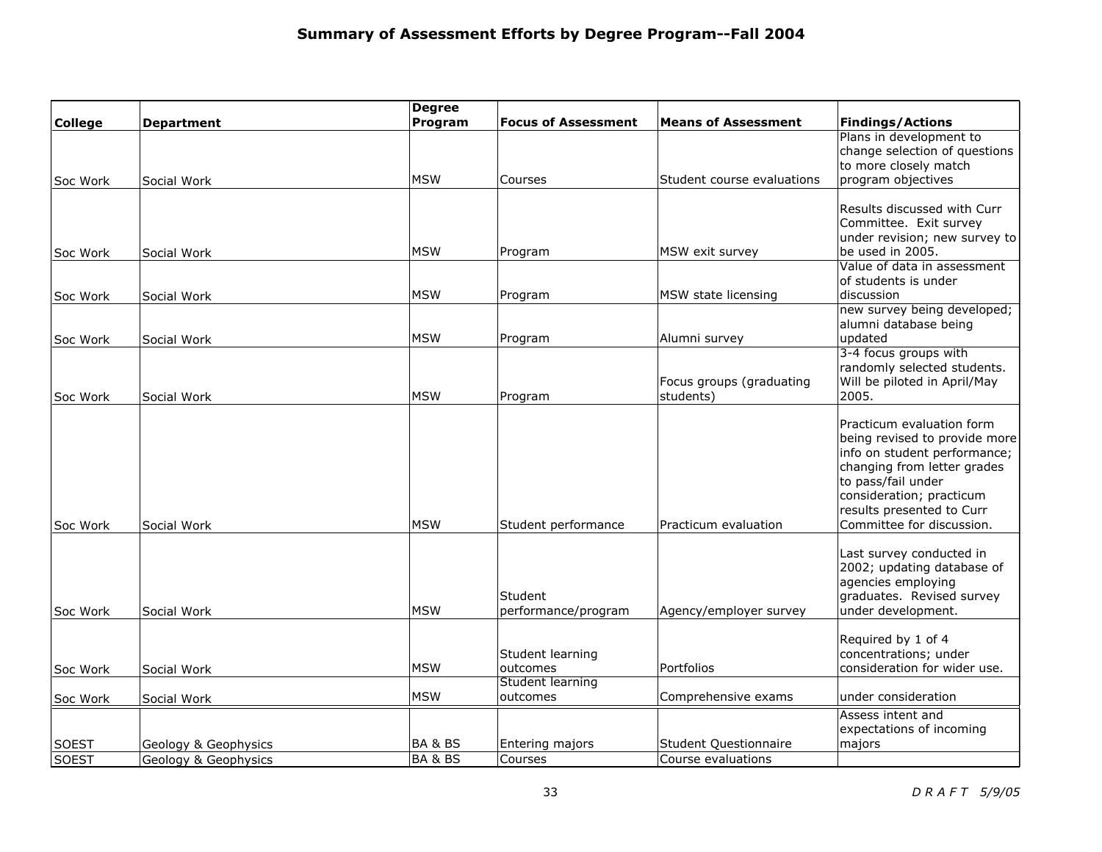|                |                      | <b>Degree</b>      |                              |                            |                                                          |
|----------------|----------------------|--------------------|------------------------------|----------------------------|----------------------------------------------------------|
| <b>College</b> | <b>Department</b>    | Program            | <b>Focus of Assessment</b>   | <b>Means of Assessment</b> | <b>Findings/Actions</b>                                  |
|                |                      |                    |                              |                            | Plans in development to<br>change selection of questions |
|                |                      |                    |                              |                            | to more closely match                                    |
| Soc Work       | Social Work          | <b>MSW</b>         | Courses                      | Student course evaluations | program objectives                                       |
|                |                      |                    |                              |                            |                                                          |
|                |                      |                    |                              |                            | Results discussed with Curr                              |
|                |                      |                    |                              |                            | Committee. Exit survey                                   |
| Soc Work       | Social Work          | <b>MSW</b>         | Program                      | MSW exit survey            | under revision; new survey to<br>be used in 2005.        |
|                |                      |                    |                              |                            | Value of data in assessment                              |
|                |                      |                    |                              |                            | of students is under                                     |
| Soc Work       | Social Work          | <b>MSW</b>         | Program                      | MSW state licensing        | discussion                                               |
|                |                      |                    |                              |                            | new survey being developed;                              |
| Soc Work       | Social Work          | <b>MSW</b>         | Program                      | Alumni survey              | alumni database being<br>updated                         |
|                |                      |                    |                              |                            | 3-4 focus groups with                                    |
|                |                      |                    |                              |                            | randomly selected students.                              |
|                |                      |                    |                              | Focus groups (graduating   | Will be piloted in April/May                             |
| Soc Work       | Social Work          | <b>MSW</b>         | Program                      | students)                  | 2005.                                                    |
|                |                      |                    |                              |                            | Practicum evaluation form                                |
|                |                      |                    |                              |                            | being revised to provide more                            |
|                |                      |                    |                              |                            | info on student performance;                             |
|                |                      |                    |                              |                            | changing from letter grades                              |
|                |                      |                    |                              |                            | to pass/fail under                                       |
|                |                      |                    |                              |                            | consideration; practicum<br>results presented to Curr    |
| Soc Work       | Social Work          | <b>MSW</b>         | Student performance          | Practicum evaluation       | Committee for discussion.                                |
|                |                      |                    |                              |                            |                                                          |
|                |                      |                    |                              |                            | Last survey conducted in                                 |
|                |                      |                    |                              |                            | 2002; updating database of<br>agencies employing         |
|                |                      |                    | Student                      |                            | graduates. Revised survey                                |
| Soc Work       | Social Work          | <b>MSW</b>         | performance/program          | Agency/employer survey     | under development.                                       |
|                |                      |                    |                              |                            |                                                          |
|                |                      |                    |                              |                            | Required by 1 of 4                                       |
| Soc Work       | Social Work          | <b>MSW</b>         | Student learning<br>outcomes | Portfolios                 | concentrations; under<br>consideration for wider use.    |
|                |                      |                    | <b>Student learning</b>      |                            |                                                          |
| Soc Work       | Social Work          | <b>MSW</b>         | outcomes                     | Comprehensive exams        | under consideration                                      |
|                |                      |                    |                              |                            | Assess intent and                                        |
|                |                      |                    |                              |                            | expectations of incoming                                 |
| <b>SOEST</b>   | Geology & Geophysics | BA & BS            | Entering majors              | Student Questionnaire      | majors                                                   |
| <b>SOEST</b>   | Geology & Geophysics | <b>BA &amp; BS</b> | Courses                      | Course evaluations         |                                                          |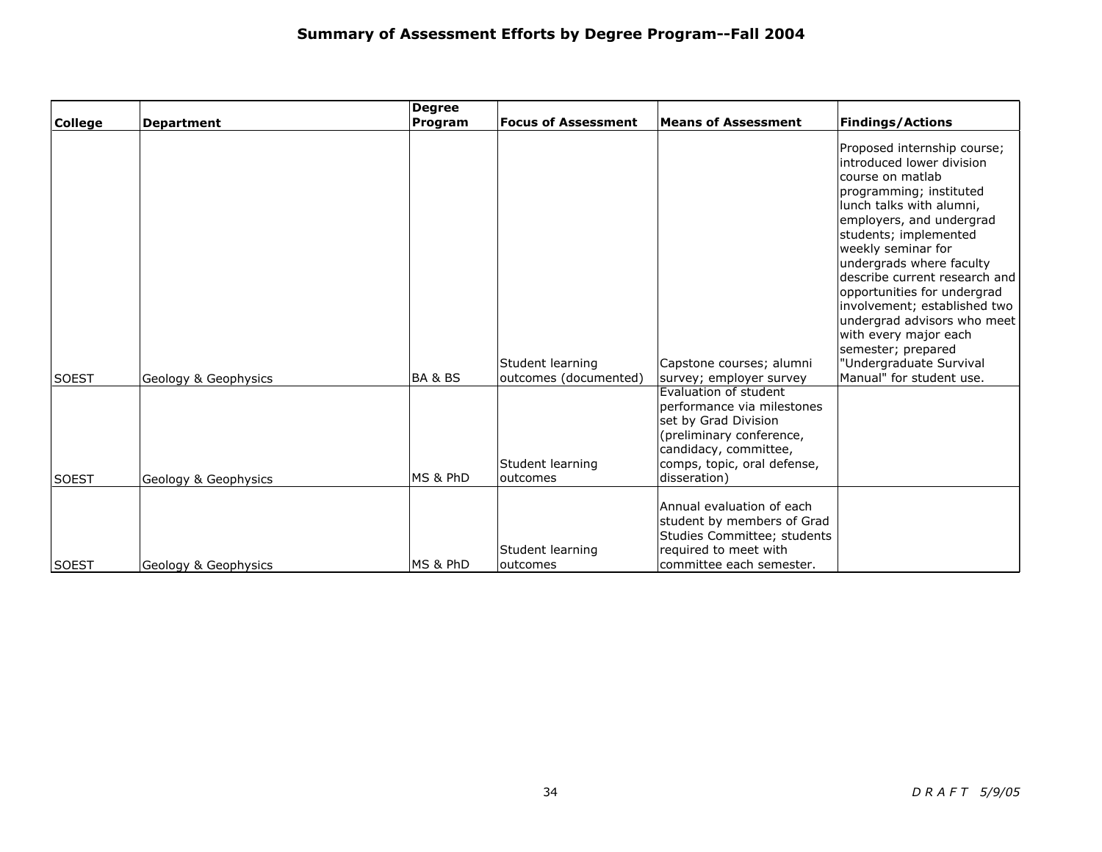|                |                      | <b>Degree</b>      |                                           |                                                                                                                                                                                 |                                                                                                                                                                                                                                                                                                                                                                                                                                                                                 |
|----------------|----------------------|--------------------|-------------------------------------------|---------------------------------------------------------------------------------------------------------------------------------------------------------------------------------|---------------------------------------------------------------------------------------------------------------------------------------------------------------------------------------------------------------------------------------------------------------------------------------------------------------------------------------------------------------------------------------------------------------------------------------------------------------------------------|
| <b>College</b> | <b>Department</b>    | Program            | <b>Focus of Assessment</b>                | <b>Means of Assessment</b>                                                                                                                                                      | <b>Findings/Actions</b>                                                                                                                                                                                                                                                                                                                                                                                                                                                         |
| <b>SOEST</b>   | Geology & Geophysics | <b>BA &amp; BS</b> | Student learning<br>outcomes (documented) | Capstone courses; alumni<br>survey; employer survey                                                                                                                             | Proposed internship course;<br>introduced lower division<br>course on matlab<br>programming; instituted<br>lunch talks with alumni,<br>employers, and undergrad<br>students; implemented<br>weekly seminar for<br>undergrads where faculty<br>describe current research and<br>opportunities for undergrad<br>involvement; established two<br>undergrad advisors who meet<br>with every major each<br>semester; prepared<br>"Undergraduate Survival<br>Manual" for student use. |
| <b>SOEST</b>   | Geology & Geophysics | MS & PhD           | Student learning<br>outcomes              | Evaluation of student<br>performance via milestones<br>set by Grad Division<br>(preliminary conference,<br>candidacy, committee,<br>comps, topic, oral defense,<br>disseration) |                                                                                                                                                                                                                                                                                                                                                                                                                                                                                 |
| lsoest         | Geology & Geophysics | MS & PhD           | Student learning<br>outcomes              | Annual evaluation of each<br>student by members of Grad<br>Studies Committee; students<br>required to meet with<br>committee each semester.                                     |                                                                                                                                                                                                                                                                                                                                                                                                                                                                                 |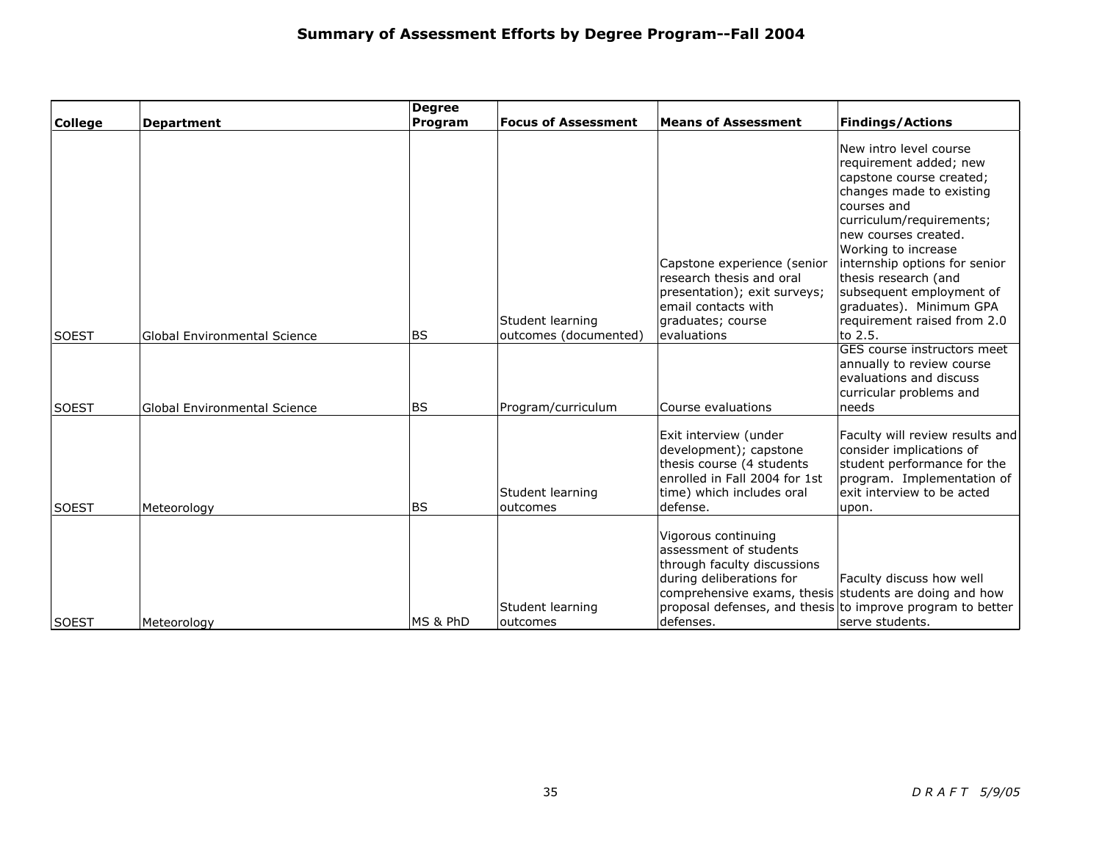|                |                                     | <b>Degree</b>  |                                           |                                                                                                                                                                                 |                                                                                                                                                                                                                                                                                                                                                              |
|----------------|-------------------------------------|----------------|-------------------------------------------|---------------------------------------------------------------------------------------------------------------------------------------------------------------------------------|--------------------------------------------------------------------------------------------------------------------------------------------------------------------------------------------------------------------------------------------------------------------------------------------------------------------------------------------------------------|
| <b>College</b> | <b>Department</b>                   | <b>Program</b> | <b>Focus of Assessment</b>                | <b>Means of Assessment</b>                                                                                                                                                      | <b>Findings/Actions</b>                                                                                                                                                                                                                                                                                                                                      |
| <b>SOEST</b>   | <b>Global Environmental Science</b> | <b>BS</b>      | Student learning<br>outcomes (documented) | Capstone experience (senior<br>research thesis and oral<br>presentation); exit surveys;<br>email contacts with<br>graduates; course<br>evaluations                              | New intro level course<br>requirement added; new<br>capstone course created;<br>changes made to existing<br>courses and<br>curriculum/requirements;<br>new courses created.<br>Working to increase<br>internship options for senior<br>thesis research (and<br>subsequent employment of<br>graduates). Minimum GPA<br>requirement raised from 2.0<br>to 2.5. |
| <b>SOEST</b>   | <b>Global Environmental Science</b> | l BS           | Program/curriculum                        | Course evaluations                                                                                                                                                              | GES course instructors meet<br>annually to review course<br>evaluations and discuss<br>curricular problems and<br>needs                                                                                                                                                                                                                                      |
| <b>SOEST</b>   | Meteorology                         | <b>BS</b>      | Student learning<br>outcomes              | Exit interview (under<br>development); capstone<br>thesis course (4 students<br>enrolled in Fall 2004 for 1st<br>time) which includes oral<br>defense.                          | Faculty will review results and<br>consider implications of<br>student performance for the<br>program. Implementation of<br>exit interview to be acted<br>upon.                                                                                                                                                                                              |
| lsoest         | Meteorology                         | MS & PhD       | Student learning<br>outcomes              | Vigorous continuing<br>assessment of students<br>through faculty discussions<br>during deliberations for<br>comprehensive exams, thesis students are doing and how<br>defenses. | Faculty discuss how well<br>proposal defenses, and thesis to improve program to better<br>serve students.                                                                                                                                                                                                                                                    |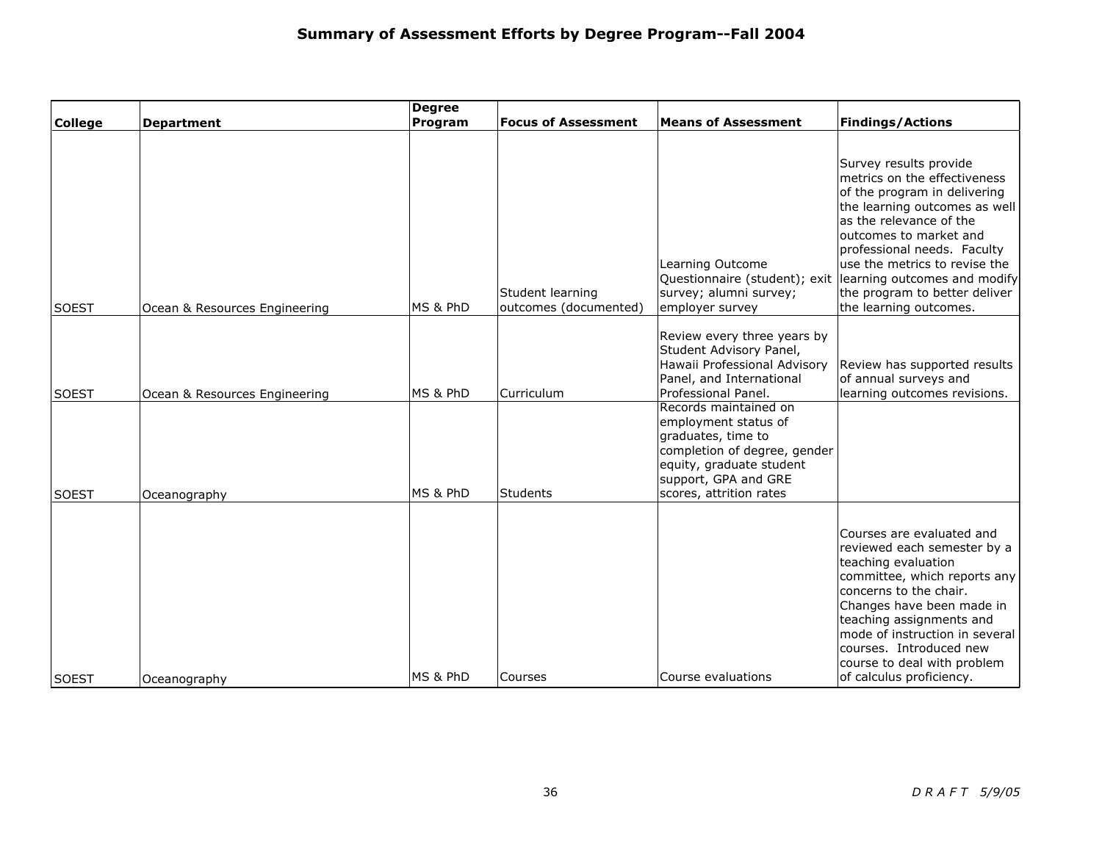|                              |                                               | <b>Degree</b>        |                            |                                                                                                                                                                                                                                                                                                                                 |                                                                                                                                                                                                                                                                                                                            |
|------------------------------|-----------------------------------------------|----------------------|----------------------------|---------------------------------------------------------------------------------------------------------------------------------------------------------------------------------------------------------------------------------------------------------------------------------------------------------------------------------|----------------------------------------------------------------------------------------------------------------------------------------------------------------------------------------------------------------------------------------------------------------------------------------------------------------------------|
| <b>College</b>               | <b>Department</b>                             | Program              | <b>Focus of Assessment</b> | <b>Means of Assessment</b>                                                                                                                                                                                                                                                                                                      | <b>Findings/Actions</b>                                                                                                                                                                                                                                                                                                    |
|                              |                                               |                      |                            | Learning Outcome                                                                                                                                                                                                                                                                                                                | Survey results provide<br>metrics on the effectiveness<br>of the program in delivering<br>the learning outcomes as well<br>as the relevance of the<br>outcomes to market and<br>professional needs. Faculty<br>use the metrics to revise the                                                                               |
|                              |                                               |                      | Student learning           | Questionnaire (student); exit<br>survey; alumni survey;                                                                                                                                                                                                                                                                         | learning outcomes and modify<br>the program to better deliver                                                                                                                                                                                                                                                              |
| <b>SOEST</b>                 | Ocean & Resources Engineering                 | MS & PhD             | outcomes (documented)      | employer survey                                                                                                                                                                                                                                                                                                                 | the learning outcomes.                                                                                                                                                                                                                                                                                                     |
| <b>SOEST</b><br><b>SOEST</b> | Ocean & Resources Engineering<br>Oceanography | MS & PhD<br>MS & PhD | Curriculum<br>Students     | Review every three years by<br>Student Advisory Panel,<br>Hawaii Professional Advisory<br>Panel, and International<br>Professional Panel.<br>Records maintained on<br>employment status of<br>graduates, time to<br>completion of degree, gender<br>equity, graduate student<br>support, GPA and GRE<br>scores, attrition rates | Review has supported results<br>of annual surveys and<br>learning outcomes revisions.                                                                                                                                                                                                                                      |
| SOEST                        | Oceanography                                  | MS & PhD             | Courses                    | Course evaluations                                                                                                                                                                                                                                                                                                              | Courses are evaluated and<br>reviewed each semester by a<br>teaching evaluation<br>committee, which reports any<br>concerns to the chair.<br>Changes have been made in<br>teaching assignments and<br>mode of instruction in several<br>courses. Introduced new<br>course to deal with problem<br>of calculus proficiency. |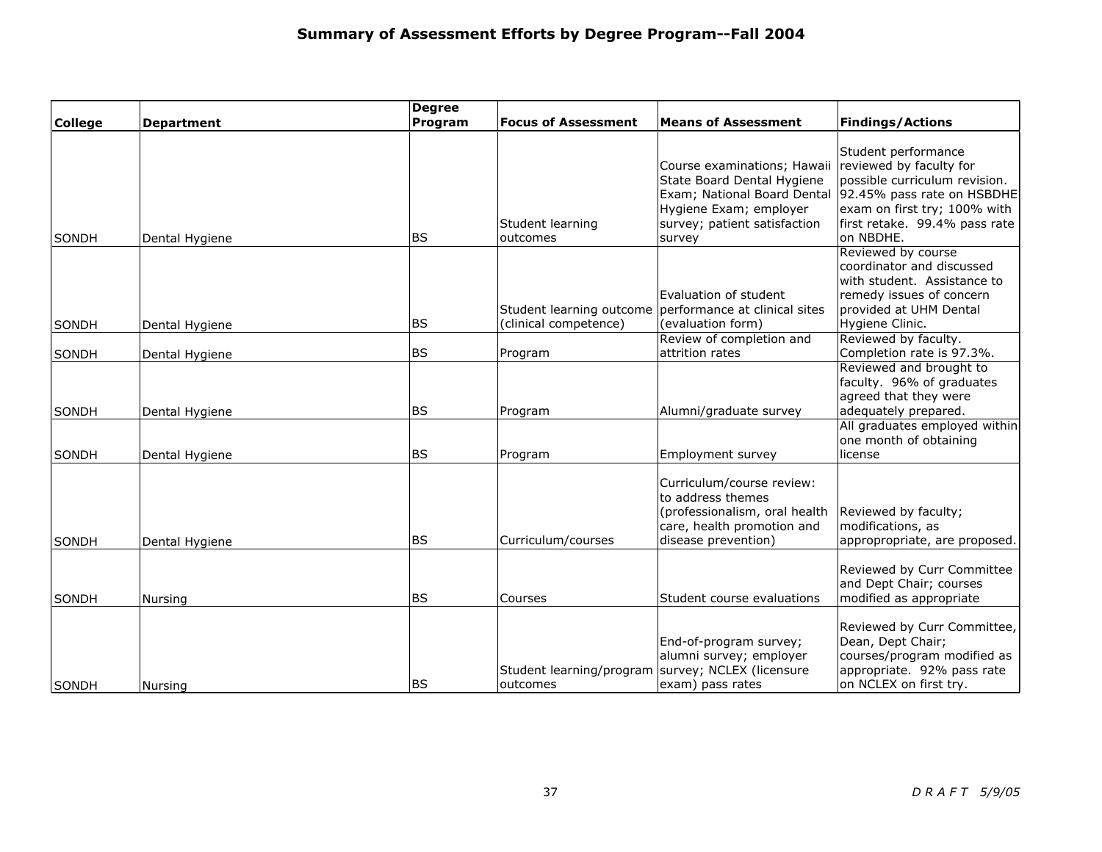|                       |                                  | <b>Degree</b><br>Program | <b>Focus of Assessment</b>                                    | <b>Means of Assessment</b>                                                                                                                                   | <b>Findings/Actions</b>                                                                                                                                                                     |
|-----------------------|----------------------------------|--------------------------|---------------------------------------------------------------|--------------------------------------------------------------------------------------------------------------------------------------------------------------|---------------------------------------------------------------------------------------------------------------------------------------------------------------------------------------------|
| <b>College</b>        | <b>Department</b>                |                          |                                                               |                                                                                                                                                              |                                                                                                                                                                                             |
| SONDH                 | Dental Hygiene                   | <b>BS</b>                | Student learning<br>outcomes                                  | Course examinations; Hawaii<br>State Board Dental Hygiene<br>Exam; National Board Dental<br>Hygiene Exam; employer<br>survey; patient satisfaction<br>survey | Student performance<br>reviewed by faculty for<br>possible curriculum revision.<br>92.45% pass rate on HSBDHE<br>exam on first try; 100% with<br>first retake. 99.4% pass rate<br>on NBDHE. |
| SONDH                 | Dental Hygiene                   | <b>BS</b>                | (clinical competence)                                         | Evaluation of student<br>Student learning outcome performance at clinical sites<br>(evaluation form)                                                         | Reviewed by course<br>coordinator and discussed<br>with student. Assistance to<br>remedy issues of concern<br>provided at UHM Dental<br>Hygiene Clinic.                                     |
|                       |                                  |                          |                                                               | Review of completion and                                                                                                                                     | Reviewed by faculty.                                                                                                                                                                        |
| SONDH                 | Dental Hygiene                   | <b>BS</b>                | Program                                                       | attrition rates                                                                                                                                              | Completion rate is 97.3%.<br>Reviewed and brought to                                                                                                                                        |
| SONDH<br><b>SONDH</b> | Dental Hygiene<br>Dental Hygiene | <b>BS</b><br><b>BS</b>   | Program<br>Program                                            | Alumni/graduate survey<br>Employment survey                                                                                                                  | faculty. 96% of graduates<br>agreed that they were<br>adequately prepared.<br>All graduates employed within<br>one month of obtaining<br>license                                            |
| SONDH                 | Dental Hygiene                   | <b>BS</b>                | Curriculum/courses                                            | Curriculum/course review:<br>to address themes<br>(professionalism, oral health<br>care, health promotion and<br>disease prevention)                         | Reviewed by faculty;<br>modifications, as<br>appropropriate, are proposed.                                                                                                                  |
| SONDH                 | Nursing                          | <b>BS</b>                | Courses                                                       | Student course evaluations                                                                                                                                   | Reviewed by Curr Committee<br>and Dept Chair; courses<br>modified as appropriate                                                                                                            |
| SONDH                 | Nursing                          | <b>BS</b>                | Student learning/program survey; NCLEX (licensure<br>outcomes | End-of-program survey;<br>alumni survey; employer<br>exam) pass rates                                                                                        | Reviewed by Curr Committee,<br>Dean, Dept Chair;<br>courses/program modified as<br>appropriate. 92% pass rate<br>on NCLEX on first try.                                                     |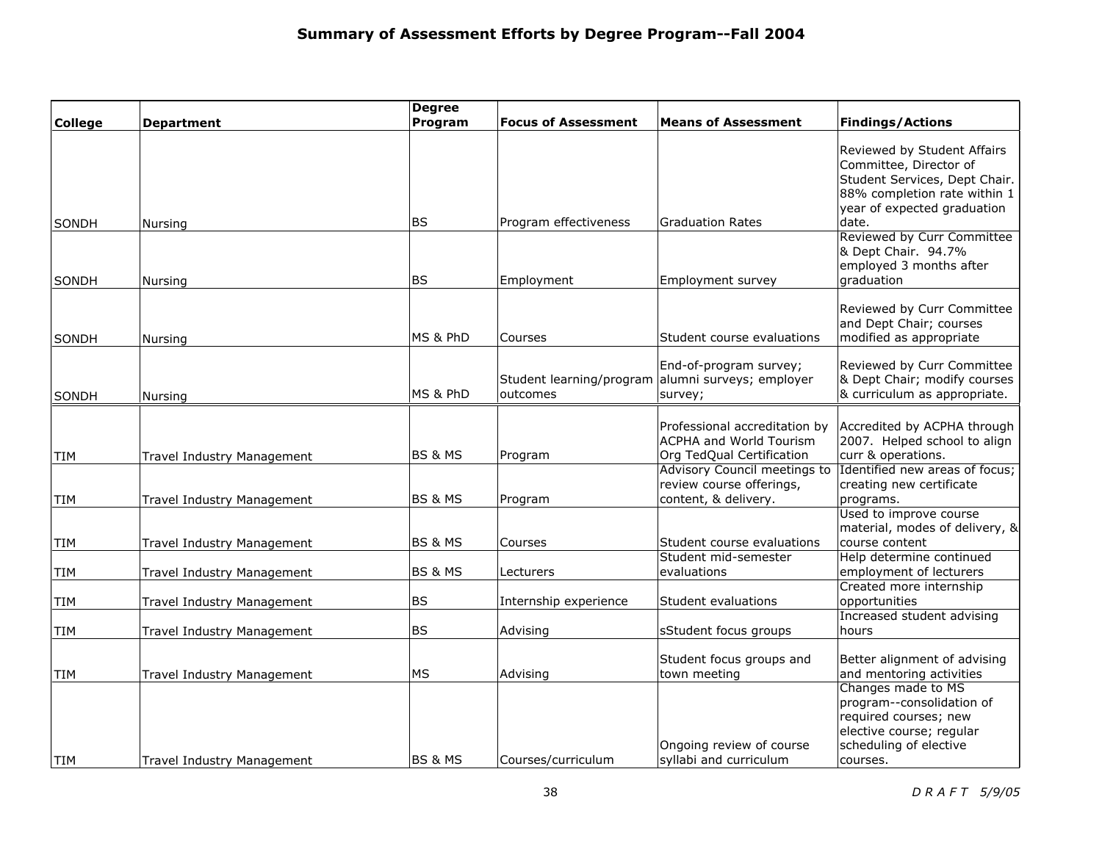|                |                                   | <b>Degree</b>      |                            |                                                                                              |                                                                                                                                                                |
|----------------|-----------------------------------|--------------------|----------------------------|----------------------------------------------------------------------------------------------|----------------------------------------------------------------------------------------------------------------------------------------------------------------|
| <b>College</b> | <b>Department</b>                 | Program            | <b>Focus of Assessment</b> | <b>Means of Assessment</b>                                                                   | <b>Findings/Actions</b>                                                                                                                                        |
| SONDH          | Nursing                           | <b>BS</b>          | Program effectiveness      | <b>Graduation Rates</b>                                                                      | Reviewed by Student Affairs<br>Committee, Director of<br>Student Services, Dept Chair.<br>88% completion rate within 1<br>year of expected graduation<br>date. |
| <b>SONDH</b>   | Nursing                           | <b>BS</b>          | Employment                 | Employment survey                                                                            | <b>Reviewed by Curr Committee</b><br>& Dept Chair. 94.7%<br>employed 3 months after<br>graduation                                                              |
| <b>SONDH</b>   | Nursing                           | MS & PhD           | Courses                    | Student course evaluations                                                                   | Reviewed by Curr Committee<br>and Dept Chair; courses<br>modified as appropriate                                                                               |
| <b>SONDH</b>   | Nursing                           | MS & PhD           | outcomes                   | End-of-program survey;<br>Student learning/program alumni surveys; employer<br>survey;       | Reviewed by Curr Committee<br>& Dept Chair; modify courses<br>& curriculum as appropriate.                                                                     |
| TIM            | Travel Industry Management        | <b>BS &amp; MS</b> | Program                    | Professional accreditation by<br><b>ACPHA and World Tourism</b><br>Org TedQual Certification | Accredited by ACPHA through<br>2007. Helped school to align<br>curr & operations.                                                                              |
| <b>TIM</b>     | Travel Industry Management        | <b>BS &amp; MS</b> | Program                    | Advisory Council meetings to<br>review course offerings,<br>content, & delivery.             | Identified new areas of focus;<br>creating new certificate<br>programs.                                                                                        |
| TIM            | Travel Industry Management        | <b>BS &amp; MS</b> | Courses                    | Student course evaluations<br>Student mid-semester                                           | Used to improve course<br>material, modes of delivery, &<br>course content<br>Help determine continued                                                         |
| TIM            | Travel Industry Management        | <b>BS &amp; MS</b> | Lecturers                  | evaluations                                                                                  | employment of lecturers                                                                                                                                        |
| TIM            | Travel Industry Management        | <b>BS</b>          | Internship experience      | Student evaluations                                                                          | Created more internship<br>opportunities                                                                                                                       |
| TIM            | <b>Travel Industry Management</b> | <b>BS</b>          | Advising                   | sStudent focus groups                                                                        | Increased student advising<br>hours                                                                                                                            |
| TIM            | Travel Industry Management        | <b>MS</b>          | Advising                   | Student focus groups and<br>town meeting                                                     | Better alignment of advising<br>and mentoring activities                                                                                                       |
| <b>TIM</b>     | Travel Industry Management        | <b>BS &amp; MS</b> | Courses/curriculum         | Ongoing review of course<br>syllabi and curriculum                                           | Changes made to MS<br>program--consolidation of<br>required courses; new<br>elective course; regular<br>scheduling of elective<br>courses.                     |